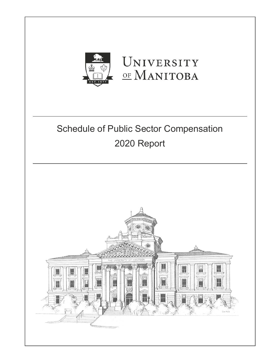

# Schedule of Public Sector Compensation 2020 Report

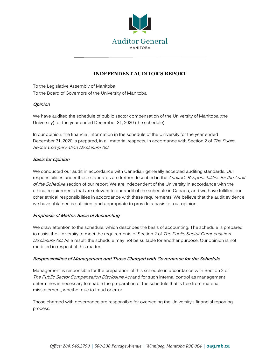

#### **INDEPENDENT AUDITOR'S REPORT**

To the Legislative Assembly of Manitoba To the Board of Governors of the University of Manitoba

#### **Opinion**

We have audited the schedule of public sector compensation of the University of Manitoba (the University) for the year ended December 31, 2020 (the schedule).

In our opinion, the financial information in the schedule of the University for the year ended December 31, 2020 is prepared, in all material respects, in accordance with Section 2 of The Public Sector Compensation Disclosure Act.

#### Basis for Opinion

We conducted our audit in accordance with Canadian generally accepted auditing standards. Our responsibilities under those standards are further described in the Auditor's Responsibilities for the Audit of the Schedule section of our report. We are independent of the University in accordance with the ethical requirements that are relevant to our audit of the schedule in Canada, and we have fulfilled our other ethical responsibilities in accordance with these requirements. We believe that the audit evidence we have obtained is sufficient and appropriate to provide a basis for our opinion.

#### Emphasis of Matter: Basis of Accounting

We draw attention to the schedule, which describes the basis of accounting. The schedule is prepared to assist the University to meet the requirements of Section 2 of The Public Sector Compensation Disclosure Act. As a result, the schedule may not be suitable for another purpose. Our opinion is not modified in respect of this matter.

#### Responsibilities of Management and Those Charged with Governance for the Schedule

Management is responsible for the preparation of this schedule in accordance with Section 2 of The Public Sector Compensation Disclosure Act and for such internal control as management determines is necessary to enable the preparation of the schedule that is free from material misstatement, whether due to fraud or error.

Those charged with governance are responsible for overseeing the University's financial reporting process.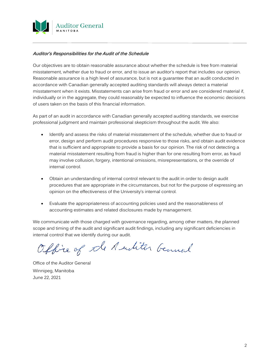

#### Auditor's Responsibilities for the Audit of the Schedule

Our objectives are to obtain reasonable assurance about whether the schedule is free from material misstatement, whether due to fraud or error, and to issue an auditor's report that includes our opinion. Reasonable assurance is a high level of assurance, but is not a guarantee that an audit conducted in accordance with Canadian generally accepted auditing standards will always detect a material misstatement when it exists. Misstatements can arise from fraud or error and are considered material if, individually or in the aggregate, they could reasonably be expected to influence the economic decisions of users taken on the basis of this financial information.

As part of an audit in accordance with Canadian generally accepted auditing standards, we exercise professional judgment and maintain professional skepticism throughout the audit. We also:

- Identify and assess the risks of material misstatement of the schedule, whether due to fraud or error, design and perform audit procedures responsive to those risks, and obtain audit evidence that is sufficient and appropriate to provide a basis for our opinion. The risk of not detecting a material misstatement resulting from fraud is higher than for one resulting from error, as fraud may involve collusion, forgery, intentional omissions, misrepresentations, or the override of internal control.
- Obtain an understanding of internal control relevant to the audit in order to design audit procedures that are appropriate in the circumstances, but not for the purpose of expressing an opinion on the effectiveness of the University's internal control.
- Evaluate the appropriateness of accounting policies used and the reasonableness of accounting estimates and related disclosures made by management.

We communicate with those charged with governance regarding, among other matters, the planned scope and timing of the audit and significant audit findings, including any significant deficiencies in internal control that we identify during our audit.

Office of the Auditor benned

Office of the Auditor General Winnipeg, Manitoba June 22, 2021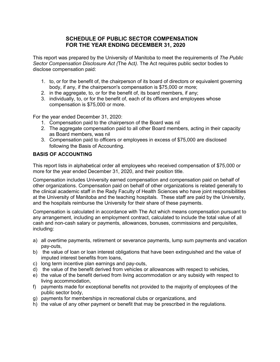## **SCHEDULE OF PUBLIC SECTOR COMPENSATION FOR THE YEAR ENDING DECEMBER 31, 2020**

This report was prepared by the University of Manitoba to meet the requirements of *The Public Sector Compensation Disclosure Act (*The Act*).* The Act requires public sector bodies to disclose compensation paid:

- 1. to, or for the benefit of, the chairperson of its board of directors or equivalent governing body, if any, if the chairperson's compensation is \$75,000 or more;
- 2. in the aggregate, to, or for the benefit of, its board members, if any;
- 3. individually, to, or for the benefit of, each of its officers and employees whose compensation is \$75,000 or more.

For the year ended December 31, 2020:

- 1. Compensation paid to the chairperson of the Board was nil
- 2. The aggregate compensation paid to all other Board members, acting in their capacity as Board members, was nil
- 3. Compensation paid to officers or employees in excess of \$75,000 are disclosed following the Basis of Accounting.

### **BASIS OF ACCOUNTING**

This report lists in alphabetical order all employees who received compensation of \$75,000 or more for the year ended December 31, 2020, and their position title.

Compensation includes University earned compensation and compensation paid on behalf of other organizations. Compensation paid on behalf of other organizations is related generally to the clinical academic staff in the Rady Faculty of Health Sciences who have joint responsibilities at the University of Manitoba and the teaching hospitals. These staff are paid by the University, and the hospitals reimburse the University for their share of these payments.

Compensation is calculated in accordance with The Act which means compensation pursuant to any arrangement, including an employment contract, calculated to include the total value of all cash and non-cash salary or payments, allowances, bonuses, commissions and perquisites, including:

- a) all overtime payments, retirement or severance payments, lump sum payments and vacation pay-outs,
- b) the value of loan or loan interest obligations that have been extinguished and the value of imputed interest benefits from loans,
- c) long term incentive plan earnings and pay-outs,
- d) the value of the benefit derived from vehicles or allowances with respect to vehicles,
- e) the value of the benefit derived from living accommodation or any subsidy with respect to living accommodation,
- f) payments made for exceptional benefits not provided to the majority of employees of the public sector body,
- g) payments for memberships in recreational clubs or organizations, and
- h) the value of any other payment or benefit that may be prescribed in the regulations.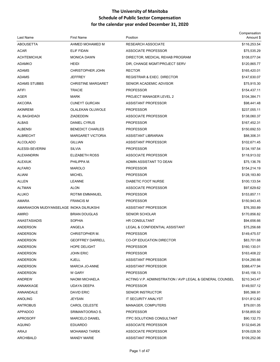| Last Name                               | First Name                | Position                                                 | Compensation<br>Amount \$ |
|-----------------------------------------|---------------------------|----------------------------------------------------------|---------------------------|
| <b>ABOUSETTA</b>                        | AHMED MOHAMED M           | <b>RESEARCH ASSOCIATE</b>                                | \$116,253.54              |
| <b>ACAR</b>                             | <b>ELIF FIDAN</b>         | ASSOCIATE PROFESSOR                                      | \$75,535.29               |
| <b>ACHTEMICHUK</b>                      | <b>MONICA DAWN</b>        | DIRECTOR, MEDICAL REHAB PROGRAM                          | \$108,077.04              |
| ADAMKO                                  | HEIDI                     | DIR, CHANGE MGMT/PROJECT SERV                            | \$120,865.77              |
| <b>ADAMS</b>                            | <b>CHRISTOPHER JOHN</b>   | <b>RECTOR</b>                                            | \$165,420.01              |
| <b>ADAMS</b>                            | <b>JEFFREY</b>            | <b>REGISTRAR &amp; EXEC. DIRECTOR</b>                    | \$147,630.07              |
| <b>ADAMS STUBBS</b>                     | <b>CHRISTINE MARGARET</b> | SENIOR ACADEMIC ADVISOR                                  | \$75,915.30               |
| <b>AFIFI</b>                            | <b>TRACIE</b>             | <b>PROFESSOR</b>                                         | \$154,437.11              |
| AGER                                    | MARK                      | <b>PROJECT MANAGER LEVEL 2</b>                           | \$104,384.71              |
| <b>AKCORA</b>                           | <b>CUNEYT GURCAN</b>      | ASSISTANT PROFESSOR                                      | \$98,441.48               |
| <b>AKINREMI</b>                         | OLALEKAN OLUWOLE          | <b>PROFESSOR</b>                                         | \$237,055.11              |
| AL BAGHDADI                             | <b>ZIADEDDIN</b>          | <b>ASSOCIATE PROFESSOR</b>                               | \$138,060.37              |
| ALBAS                                   | DANIEL CYRUS              | <b>PROFESSOR</b>                                         | \$167,452.31              |
| <b>ALBENSI</b>                          | <b>BENEDICT CHARLES</b>   | <b>PROFESSOR</b>                                         | \$150,692.53              |
| <b>ALBRECHT</b>                         | <b>MARGARET VICTORIA</b>  | <b>ASSISTANT LIBRARIAN</b>                               | \$88,306.31               |
| <b>ALCOLADO</b>                         | <b>GILLIAN</b>            | ASSISTANT PROFESSOR                                      | \$102,671.45              |
| <b>ALESSI-SEVERINI</b>                  | <b>SILVIA</b>             | <b>PROFESSOR</b>                                         | \$134,197.54              |
| ALEXANDRIN                              | <b>ELIZABETH ROSS</b>     | ASSOCIATE PROFESSOR                                      | \$118,913.02              |
| <b>ALEXIUK</b>                          | PHILIPPA M.               | ADMIN ASSISTANT TO DEAN                                  | \$75,136.76               |
| <b>ALFARO</b>                           | <b>MAROLO</b>             | <b>PROFESSOR</b>                                         | \$154,214.19              |
| <b>ALIANI</b>                           | <b>MICHEL</b>             | <b>PROFESSOR</b>                                         | \$128,183.80              |
| <b>ALLEN</b>                            | <b>LEANNE</b>             | DIABETIC FOOT NURSE                                      | \$100,133.54              |
| <b>ALTMAN</b>                           | <b>ALON</b>               | ASSOCIATE PROFESSOR                                      | \$97,629.62               |
| <b>ALUKO</b>                            | ROTIMI EMMANUEL           | <b>PROFESSOR</b>                                         | \$153,857.11              |
| AMARA                                   | <b>FRANCIS M</b>          | <b>PROFESSOR</b>                                         | \$150,943.45              |
| AMARAKOON MUDIYANSELAGE INOKA DILRUKSHI |                           | ASSISTANT PROFESSOR                                      | \$76,350.89               |
| AMIRO                                   | <b>BRIAN DOUGLAS</b>      | <b>SENIOR SCHOLAR</b>                                    | \$170,856.82              |
| ANASTASIADIS                            | <b>SOPHIA</b>             | <b>HR CONSULTANT</b>                                     | \$94,656.66               |
| <b>ANDERSON</b>                         | ANGELA                    | LEGAL & CONFIDENTIAL ASSISTANT                           | \$75,256.68               |
| <b>ANDERSON</b>                         | CHRISTOPHER M.            | <b>PROFESSOR</b>                                         | \$149,475.57              |
| ANDERSON                                | <b>GEOFFREY DARRELL</b>   | <b>CO-OP EDUCATION DIRECTOR</b>                          | \$83,701.68               |
| ANDERSON                                | <b>HOPE DELIGHT</b>       | <b>PROFESSOR</b>                                         | \$160,130.01              |
| <b>ANDERSON</b>                         | <b>JOHN ERIC</b>          | <b>PROFESSOR</b>                                         | \$163,408.22              |
| ANDERSON                                | KJELL                     | ASSISTANT PROFESSOR                                      | \$104,290.66              |
| ANDERSON                                | <b>MARCIA JO-ANNE</b>     | ASSISTANT PROFESSOR                                      | \$388,477.94              |
| ANDERSON                                | W GARY                    | <b>PROFESSOR</b>                                         | \$145,156.13              |
| <b>ANDREW</b>                           | NAOMI MICHAELA            | ACTING V.P. ADMINISTRATION / AVP LEGAL & GENERAL COUNSEL | \$210,343.47              |
| ANNAKKAGE                               | UDAYA DEEPA               | <b>PROFESSOR</b>                                         | \$149,507.12              |
| ANNANDALE                               | <b>DAVID ERIC</b>         | <b>SENIOR INSTRUCTOR</b>                                 | \$95,366.91               |
| ANOLING                                 | JEYSAN                    | IT SECURITY ANALYST                                      | \$101,812.82              |
| <b>ANTROBUS</b>                         | <b>CAROL CELESTE</b>      | MANAGER, COMPUTERS                                       | \$79,001.05               |
| <b>APPADOO</b>                          | SRIMANTOORAO S.           | <b>PROFESSOR</b>                                         | \$158,855.92              |
| <b>APROSOFF</b>                         | <b>MARCELO DANIEL</b>     | <b>ITPC SOLUTIONS CONSULTANT</b>                         | \$90,132.73               |
| <b>AQUINO</b>                           | <b>EDUARDO</b>            | ASSOCIATE PROFESSOR                                      | \$132,645.26              |
| ARAJI                                   | <b>MOHAMAD TAREK</b>      | ASSOCIATE PROFESSOR                                      | \$109,028.50              |
| <b>ARCHIBALD</b>                        | <b>MANDY MARIE</b>        | ASSISTANT PROFESSOR                                      | \$109,252.06              |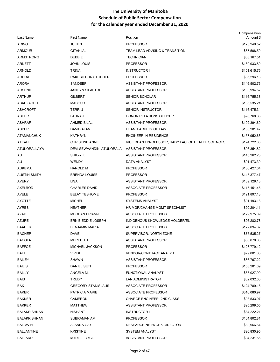| Last Name           | <b>First Name</b>         | Position                                            | Compensation<br>Amount \$ |
|---------------------|---------------------------|-----------------------------------------------------|---------------------------|
| <b>ARINO</b>        | <b>JULIEN</b>             | <b>PROFESSOR</b>                                    | \$123,249.52              |
| <b>ARMOUR</b>       | <b>GITANJALI</b>          | TEAM LEAD ADVSING & TRANSITION                      | \$87,508.50               |
| ARMSTRONG           | <b>DEBBIE</b>             | <b>TECHNICIAN</b>                                   | \$83,167.51               |
| <b>ARNETT</b>       | <b>JOHN LOUIS</b>         | <b>PROFESSOR</b>                                    | \$160,933.80              |
| <b>ARNOLD</b>       | <b>TRINA</b>              | <b>INSTRUCTOR II</b>                                | \$101,615.75              |
| <b>ARORA</b>        | <b>RAKESH CHRISTOPHER</b> | <b>PROFESSOR</b>                                    | \$85,296.18               |
| <b>ARORA</b>        | SANDEEP                   | ASSISTANT PROFESSOR                                 | \$146,502.76              |
| <b>ARSENIO</b>      | <b>JANILYN SILASTRE</b>   | <b>ASSISTANT PROFESSOR</b>                          | \$100,994.57              |
| ARTHUR              | <b>GILBERT</b>            | <b>SENIOR SCHOLAR</b>                               | \$116,755.38              |
| ASADZADEH           | <b>MASOUD</b>             | ASSISTANT PROFESSOR                                 | \$105,535.21              |
| <b>ASHCROFT</b>     | <b>TERRIJ</b>             | <b>SENIOR INSTRUCTOR</b>                            | \$116,475.34              |
| <b>ASHER</b>        | LAURA J                   | DONOR RELATIONS OFFICER                             | \$96,768.85               |
| <b>ASHRAF</b>       | <b>AHMED BILAL</b>        | ASSISTANT PROFESSOR                                 | \$102,394.60              |
| <b>ASPER</b>        | DAVID ALAN                | DEAN, FACULTY OF LAW                                | \$105,281.47              |
| <b>ATAMANCHUK</b>   | <b>KATHRYN</b>            | ENGINEER-IN-RESIDENCE                               | \$157,952.66              |
| ATEAH               | <b>CHRISTINE ANNE</b>     | VICE DEAN / PROFESSOR, RADY FAC. OF HEALTH SCIENCES | \$174,722.68              |
| ATUKORALLAYA        | DEVI SEWVANDINI ATUKORALA | ASSISTANT PROFESSOR                                 | \$96,354.82               |
| AU                  | SHIU-YIK                  | ASSISTANT PROFESSOR                                 | \$145,262.23              |
| AU                  | <b>WENDY</b>              | DATA ANALYST                                        | \$91,473.39               |
| <b>AUKEMA</b>       | <b>HAROLD M</b>           | <b>PROFESSOR</b>                                    | \$136,427.04              |
| <b>AUSTIN-SMITH</b> | <b>BRENDA LOUISE</b>      | <b>PROFESSOR</b>                                    | \$145,377.47              |
| <b>AVERY</b>        | <b>LISA</b>               | ASSISTANT PROFESSOR                                 | \$189,129.13              |
| <b>AXELROD</b>      | <b>CHARLES DAVID</b>      | ASSOCIATE PROFESSOR                                 | \$115,151.45              |
| AYELE               | <b>BELAY TESHOME</b>      | <b>PROFESSOR</b>                                    | \$121,897.13              |
| <b>AYOTTE</b>       | <b>MICHEL</b>             | <b>SYSTEMS ANALYST</b>                              | \$91,193.18               |
| <b>AYRES</b>        | <b>HEATHER</b>            | HR MGR/CHANGE MGMT SPECIALIST                       | \$90,204.11               |
| AZAD                | <b>MEGHAN BRIANNE</b>     | ASSOCIATE PROFESSOR                                 | \$129,975.09              |
| <b>AZURE</b>        | ERNIE EDDIE JOSEPH        | INDIGENOUS KNOWLEDGE HOLDER/EL                      | \$96,282.78               |
| <b>BAADER</b>       | <b>BENJAMIN MARIA</b>     | <b>ASSOCIATE PROFESSOR</b>                          | \$122,094.67              |
| <b>BACHER</b>       | <b>DAVE</b>               | SUPERVISOR, NORTH ZONE                              | \$75.535.27               |
| BACOLA              | <b>MEREDITH</b>           | ASSISTANT PROFESSOR                                 | \$88,078.05               |
| <b>BAFFOE</b>       | MICHAEL JACKSON           | <b>PROFESSOR</b>                                    | \$128,779.12              |
| BAHL                | <b>VIVEK</b>              | VENDOR/CONTRACT ANALYST                             | \$79,001.05               |
| <b>BAILEY</b>       | <b>SHAWN</b>              | ASSISTANT PROFESSOR                                 | \$86,767.22               |
| <b>BAILIS</b>       | DANIEL SETH               | <b>PROFESSOR</b>                                    | \$153,281.09              |
| <b>BAILLY</b>       | ANGELA M.                 | FUNCTIONAL ANALYST                                  | \$83,027.99               |
| <b>BAIS</b>         | <b>TRUDY</b>              | <b>LAN ADMINISTRATOR</b>                            | \$82,032.00               |
| BAK                 | <b>GREGORY STANISLAUS</b> | <b>ASSOCIATE PROFESSOR</b>                          | \$124,789.15              |
| <b>BAKER</b>        | PATRICIA MARIE            | ASSOCIATE PROFESSOR                                 | \$316,080.97              |
| <b>BAKKER</b>       | CAMERON                   | <b>CHARGE ENGINEER -2ND CLASS</b>                   | \$98,533.07               |
| <b>BAKKER</b>       | <b>MATTHEW</b>            | ASSISTANT PROFESSOR                                 | \$95,299.55               |
| <b>BALAKRISHNAN</b> | <b>NISHANT</b>            | <b>INSTRUCTOR I</b>                                 | \$84,222.21               |
| <b>BALAKRISHNAN</b> | <b>SUBRAMANIAM</b>        | <b>PROFESSOR</b>                                    | \$164,802.81              |
| <b>BALDWIN</b>      | <b>ALANNA GAY</b>         | RESEARCH NETWORK DIRECTOR                           | \$82,966.64               |
| <b>BALLANTINE</b>   | <b>KRISTINE</b>           | SYSTEM ANALYST                                      | \$90,830.95               |
| <b>BALLARD</b>      | MYRLE JOYCE               | ASSISTANT PROFESSOR                                 | \$94,231.56               |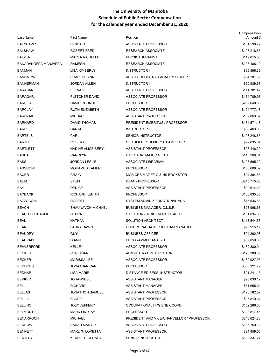| Last Name             | <b>First Name</b>      | Position                                  | Compensation<br>Amount \$ |
|-----------------------|------------------------|-------------------------------------------|---------------------------|
| <b>BALNEAVES</b>      | LYNDA G.               | <b>ASSOCIATE PROFESSOR</b>                | \$131,596.79              |
| <b>BALSHAW</b>        | ROBERT FRED            | <b>RESEARCH ASSOCIATE</b>                 | \$128,218.65              |
| <b>BALZER</b>         | <b>MARLA RICHELLE</b>  | <b>PHYSIOTHERAPIST</b>                    | \$119,015.58              |
| BANADAKOPPA MANJAPPA  | <b>RAMESH</b>          | <b>RESEARCH ASSOCIATE</b>                 | \$108,188.10              |
| <b>BANMAN</b>         | <b>LISA KIMBERLY</b>   | <b>INSTRUCTOR II</b>                      | \$95,596.32               |
| <b>BANNATYNE</b>      | <b>SHARON LYNN</b>     | ASSOC. REGISTRAR ACADEMIC SUPP            | \$84,287.30               |
| <b>BANNERMAN</b>      | <b>JORDAN ALLEN</b>    | <b>INSTRUCTOR II</b>                      | \$90,939.57               |
| <b>BARABAN</b>        | ELENA V.               | ASSOCIATE PROFESSOR                       | \$111,781.47              |
| <b>BARAGAR</b>        | <b>FLETCHER DAVID</b>  | ASSOCIATE PROFESSOR                       | \$134,789.97              |
| <b>BARBER</b>         | DAVID GEORGE           | <b>PROFESSOR</b>                          | \$287,648.58              |
| <b>BARCLAY</b>        | RUTH ELIZABETH         | ASSOCIATE PROFESSOR                       | \$124,777.18              |
| <b>BARCZAK</b>        | <b>MICHAEL</b>         | ASSISTANT PROFESSOR                       | \$132,863.02              |
| <b>BARNARD</b>        | <b>DAVID THOMAS</b>    | PRESIDENT EMERITUS / PROFESSOR            | \$434,571.18              |
| <b>BARR</b>           | <b>DARJA</b>           | <b>INSTRUCTOR II</b>                      | \$86,463.03               |
| <b>BARTELS</b>        | CARL                   | <b>SENIOR INSTRUCTOR</b>                  | \$103,248.65              |
| <b>BARTH</b>          | <b>ROBERT</b>          | CERTIFIED PLUMBER/STEAMFITTER             | \$79,035.84               |
| <b>BARTLETT</b>       | NADINE ALICE BERYL     | ASSISTANT PROFESSOR                       | \$93,146.30               |
| <b>BASHA</b>          | <b>CAROLYN</b>         | DIRECTOR, MAJOR GIFTS                     | \$113,266.01              |
| <b>BASS</b>           | <b>JORDAN LESLIE</b>   | <b>ASSOCIATE LIBRARIAN</b>                | \$103,595.29              |
| <b>BASSUONI</b>       | <b>MOHAMED TAMER</b>   | <b>PROFESSOR</b>                          | \$130,606.02              |
| <b>BAUER</b>          | <b>CRAIG</b>           | MGR CRS MAT FT G & HS BOOKSTOR            | \$94,304.53               |
| <b>BAUM</b>           | <b>STEFI</b>           | DEAN / PROFESSOR                          | \$245,715.25              |
| BAY                   | <b>DENICE</b>          | ASSISTANT PROFESSOR                       | \$99,614.22               |
| <b>BAYDACK</b>        | <b>RICHARD KENITH</b>  | <b>PROFESSOR</b>                          | \$163,835.35              |
| <b>BAZZOCCHI</b>      | <b>ROBERT</b>          | SYSTEM ADMIN & FUNCTIONAL ANAL            | \$76,636.88               |
| <b>BEACH</b>          | SHAUNAVON MICHAEL      | BUSINESS MANAGER, C.L.S.P.                | \$93,998.67               |
| <b>BEACH DUCHARME</b> | <b>DEBRA</b>           | DIRECTOR - INDIGENOUS HEALTH              | \$131,834.85              |
| <b>BEAL</b>           | <b>NATHAN</b>          | <b>SOLUTION ARCHITECT</b>                 | \$113,544.53              |
| <b>BEAN</b>           | <b>LAURA DAWN</b>      | UNDERGRADUATE PROGRAM MANAGER             | \$75,915.19               |
| <b>BEAUDRY</b>        | <b>GUY</b>             | <b>BUSINESS OFFICER</b>                   | \$94,292.98               |
| <b>BEAUVAIS</b>       | <b>DIANNE</b>          | PROGRAMMER ANALYST                        | \$87,850.00               |
| <b>BEAVERFORD</b>     | <b>KELLEY</b>          | ASSOCIATE PROFESSOR                       | \$132,380.04              |
| <b>BECKER</b>         | <b>CHRISTIAN</b>       | ADMINISTRATIVE DIRECTOR                   | \$125,389.06              |
| <b>BECKER</b>         | <b>MARISSA LEE</b>     | ASSOCIATE PROFESSOR                       | \$162,927.05              |
| <b>BEDDOES</b>        | <b>JONATHAN CARL</b>   | <b>PROFESSOR</b>                          | \$330,921.79              |
| <b>BEDNAR</b>         | LISA MARIE             | DISTANCE ED SESS. INSTRUCTOR              | \$91,241.13               |
| <b>BEKKER</b>         | <b>JOHANNES J</b>      | ASSISTANT MANAGER                         | \$95,030.12               |
| <b>BELL</b>           | <b>RICHARD</b>         | ASSISTANT MANAGER                         | \$81,655.24               |
| <b>BELLAS</b>         | <b>JONATHON SAMUEL</b> | ASSISTANT PROFESSOR                       | \$123,582.52              |
| <b>BELLILI</b>        | <b>FAOUZI</b>          | ASSISTANT PROFESSOR                       | \$95,819.31               |
| <b>BELLINO</b>        | <b>JOEY JEFFERY</b>    | OCCUPATIONAL HYGIENE COORD                | \$152,266.60              |
| <b>BELMONTE</b>       | <b>MARK FINDLAY</b>    | <b>PROFESSOR</b>                          | \$128,817.45              |
| <b>BENARROCH</b>      | <b>MICHAEL</b>         | PRESIDENT AND VICE-CHANCELLOR / PROFESSOR | \$243,624.88              |
| <b>BENBOW</b>         | SARAH MARY P           | ASSOCIATE PROFESSOR                       | \$135,759.12              |
| <b>BENNETT</b>        | <b>MARLYN LORETTA</b>  | ASSISTANT PROFESSOR                       | \$94,859.55               |
| <b>BENTLEY</b>        | <b>KENNETH GERALD</b>  | SENIOR INSTRUCTOR                         | \$122,337.27              |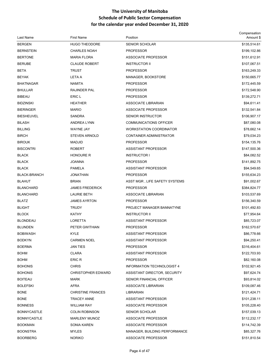| Last Name           | <b>First Name</b>         | Position                          | Compensation<br>Amount \$ |
|---------------------|---------------------------|-----------------------------------|---------------------------|
| <b>BERGEN</b>       | <b>HUGO THEODORE</b>      | <b>SENIOR SCHOLAR</b>             | \$135,514.61              |
| <b>BERNSTEIN</b>    | <b>CHARLES NOAH</b>       | <b>PROFESSOR</b>                  | \$199,102.86              |
| <b>BERTONE</b>      | <b>MARIA FLORA</b>        | ASSOCIATE PROFESSOR               | \$151,612.91              |
| <b>BERUBE</b>       | <b>CLAUDE ROBERT</b>      | <b>INSTRUCTOR II</b>              | \$107,067.51              |
| <b>BETA</b>         | <b>TRUST</b>              | <b>PROFESSOR</b>                  | \$163,249.33              |
| <b>BEYAK</b>        | <b>LETA A</b>             | MANAGER, BOOKSTORE                | \$150,665.77              |
| <b>BHATNAGAR</b>    | <b>NAMITA</b>             | <b>PROFESSOR</b>                  | \$172,445.59              |
| <b>BHULLAR</b>      | <b>RAJINDER PAL</b>       | <b>PROFESSOR</b>                  | \$172,548.90              |
| <b>BIBEAU</b>       | ERIC L                    | <b>PROFESSOR</b>                  | \$139,272.71              |
| <b>BIDZINSKI</b>    | <b>HEATHER</b>            | ASSOCIATE LIBRARIAN               | \$94,611.41               |
| <b>BIERINGER</b>    | <b>MARIO</b>              | ASSOCIATE PROFESSOR               | \$132,541.84              |
| <b>BIESHEUVEL</b>   | <b>SANDRA</b>             | <b>SENIOR INSTRUCTOR</b>          | \$106,907.17              |
| <b>BILASH</b>       | ANDREA LYNN               | <b>COMMUNICATIONS OFFICER</b>     | \$87,080.08               |
| <b>BILLING</b>      | <b>WAYNE JAY</b>          | <b>WORKSTATION COORDINATOR</b>    | \$78,662.14               |
| <b>BIRCH</b>        | <b>STEVEN ARNOLD</b>      | CONTAINER ADMINISTRATOR           | \$79,034.23               |
| <b>BIROUK</b>       | <b>MADJID</b>             | <b>PROFESSOR</b>                  | \$154,135.76              |
| <b>BISCONTRI</b>    | <b>ROBERT</b>             | ASSISTANT PROFESSOR               | \$147,500.36              |
| <b>BLACK</b>        | <b>HONOURE R</b>          | <b>INSTRUCTOR I</b>               | \$84,082.52               |
| <b>BLACK</b>        | <b>JOANNA</b>             | <b>PROFESSOR</b>                  | \$141,892.75              |
| <b>BLACK</b>        | <b>PAMELA</b>             | ASSISTANT PROFESSOR               | \$94,549.65               |
| <b>BLACK-BRANCH</b> | <b>JONATHAN</b>           | <b>PROFESSOR</b>                  | \$155,634.23              |
| <b>BLAHUT</b>       | <b>BRIAN</b>              | ASST MGR, LIFE SAFETY SYSTEMS     | \$91,002.67               |
| <b>BLANCHARD</b>    | <b>JAMES FREDERICK</b>    | <b>PROFESSOR</b>                  | \$384,824.77              |
| <b>BLANCHARD</b>    | <b>LAURIE BETH</b>        | ASSOCIATE LIBRARIAN               | \$103,537.69              |
| <b>BLATZ</b>        | <b>JAMES AYRTON</b>       | <b>PROFESSOR</b>                  | \$156,340.59              |
| <b>BLIGHT</b>       | <b>TRUDY</b>              | PROJECT MANAGER BANNATYNE         | \$101,492.83              |
| <b>BLOCK</b>        | <b>KATHY</b>              | <b>INSTRUCTOR II</b>              | \$77,954.64               |
| <b>BLONDEAU</b>     | LORETTA                   | ASSISTANT PROFESSOR               | \$85,723.07               |
| <b>BLUNDEN</b>      | PETER GWITHIAN            | <b>PROFESSOR</b>                  | \$162,570.67              |
| <b>BOBIWASH</b>     | <b>KYLE</b>               | ASSISTANT PROFESSOR               | \$86,778.66               |
| BODKYN              | <b>CARMEN NOEL</b>        | ASSISTANT PROFESSOR               | \$94,250.41               |
| <b>BOERMA</b>       | <b>JAN TIES</b>           | <b>PROFESSOR</b>                  | \$316,404.61              |
| <b>BOHM</b>         | <b>CLARA</b>              | ASSISTANT PROFESSOR               | \$122,703.93              |
| <b>BOHM</b>         | ERIC R                    | <b>PROFESSOR</b>                  | \$82,160.08               |
| <b>BOHONIS</b>      | <b>CHRIS</b>              | <b>INFORMATION TECHNOLOGIST 4</b> | \$102,921.45              |
| <b>BOHONIS</b>      | <b>CHRISTOPHER EDWARD</b> | ASSISTANT DIRECTOR, SECURITY      | \$97,624.74               |
| <b>BOITEAU</b>      | MARK                      | SENIOR FINANCIAL OFFICER          | \$93,814.02               |
| <b>BOLEFSKI</b>     | AFRA                      | ASSOCIATE LIBRARIAN               | \$109,087.46              |
| <b>BONE</b>         | <b>CHRISTINE FRANCES</b>  | <b>LIBRARIAN</b>                  | \$121,424.71              |
| <b>BONE</b>         | <b>TRACEY ANNE</b>        | ASSISTANT PROFESSOR               | \$101,238.11              |
| <b>BONNESS</b>      | <b>WILLIAM RAY</b>        | ASSOCIATE PROFESSOR               | \$105,228.40              |
| <b>BONNYCASTLE</b>  | <b>COLIN ROBINSON</b>     | <b>SENIOR SCHOLAR</b>             | \$157,039.13              |
| <b>BONNYCASTLE</b>  | <b>MARLENY MUNOZ</b>      | ASSOCIATE PROFESSOR               | \$112,232.17              |
| <b>BOOKMAN</b>      | SONIA KAREN               | ASSOCIATE PROFESSOR               | \$114,742.39              |
| <b>BOONSTRA</b>     | MYLES                     | MANAGER, BUILDING PERFORMANCE     | \$85,327.76               |
| <b>BOORBERG</b>     | <b>NORIKO</b>             | ASSOCIATE PROFESSOR               | \$151,810.54              |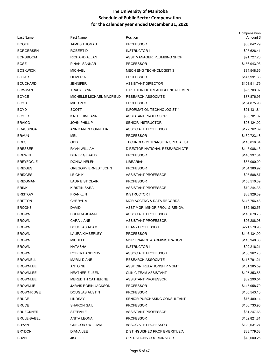| Last Name          | <b>First Name</b>           | Position                          | Compensation<br>Amount \$ |
|--------------------|-----------------------------|-----------------------------------|---------------------------|
| <b>BOOTH</b>       | <b>JAMES THOMAS</b>         | <b>PROFESSOR</b>                  | \$83,042.29               |
| <b>BORGERSEN</b>   | ROBERT D                    | <b>INSTRUCTOR II</b>              | \$95,626.41               |
| <b>BORSBOOM</b>    | <b>RICHARD ALLAN</b>        | ASST MANAGER, PLUMBING SHOP       | \$91.727.20               |
| <b>BOSE</b>        | PINAKI SANKAR               | <b>PROFESSOR</b>                  | \$156,943.93              |
| <b>BOSKWICK</b>    | <b>MICHAEL</b>              | MECH ENG TECHNOLOGIST 3           | \$84,548.65               |
| <b>BOTAR</b>       | OLIVER A I                  | <b>PROFESSOR</b>                  | \$147,991.38              |
| <b>BOUCHARD</b>    | <b>JENNIFER</b>             | <b>ASSISTANT DIRECTOR</b>         | \$103,511.79              |
| <b>BOWMAN</b>      | <b>TRACY LYNN</b>           | DIRECTOR, OUTREACH & ENGAGEMENT   | \$95,703.07               |
| <b>BOYCE</b>       | MICHELLE MICHAEL MACFIELD   | <b>RESEARCH ASSOCIATE</b>         | \$77,876.93               |
| <b>BOYD</b>        | <b>MILTON S</b>             | <b>PROFESSOR</b>                  | \$164,875.96              |
| <b>BOYD</b>        | <b>SCOTT</b>                | <b>INFORMATION TECHNOLOGIST 4</b> | \$91,131.84               |
| <b>BOYER</b>       | <b>KATHERINE ANNE</b>       | ASSISTANT PROFESSOR               | \$85,701.07               |
| <b>BRAICO</b>      | <b>JOHN PHILLIP</b>         | <b>SENIOR INSTRUCTOR</b>          | \$98,124.02               |
| <b>BRASSINGA</b>   | ANN KAREN CORNELIA          | ASSOCIATE PROFESSOR               | \$122,762.69              |
| <b>BRAUN</b>       | <b>MEL</b>                  | <b>PROFESSOR</b>                  | \$139,723.18              |
| <b>BRES</b>        | <b>ODD</b>                  | TECHNOLOGY TRANSFER SPECIALIST    | \$110,816.34              |
| <b>BRESSER</b>     | <b>RYAN WILLIAM</b>         | DIRECTOR, NATIONAL RESEARCH CTR   | \$145,088.13              |
| <b>BREWIN</b>      | <b>DEREK GERALD</b>         | <b>PROFESSOR</b>                  | \$146,997.34              |
| <b>BREYFOGLE</b>   | <b>DONNA HELEN</b>          | <b>LIBRARIAN</b>                  | \$85,000.00               |
| <b>BRIDGES</b>     | <b>GREGORY ERNEST JOHN</b>  | <b>PROFESSOR</b>                  | \$164,380.92              |
| <b>BRIDGES</b>     | LEIGH K                     | ASSISTANT PROFESSOR               | \$93,588.87               |
| <b>BRIDGMAN</b>    | <b>LAURIE ST CLAIR</b>      | <b>PROFESSOR</b>                  | \$158,510.39              |
| <b>BRINK</b>       | <b>KIRSTIN SARA</b>         | ASSISTANT PROFESSOR               | \$79,244.38               |
| <b>BRISTOW</b>     | <b>FRANKLIN</b>             | <b>INSTRUCTOR I</b>               | \$83,929.39               |
| <b>BRITTON</b>     | <b>CHERYL A</b>             | MGR ACCTNG & DATA RECORDS         | \$146,756.48              |
| <b>BROOKS</b>      | <b>DAVID</b>                | ASST MGR, MINOR PROJ. & RENOV.    | \$79,162.53               |
| <b>BROWN</b>       | <b>BRENDA JOANNE</b>        | ASSOCIATE PROFESSOR               | \$118,678.75              |
| <b>BROWN</b>       | <b>CARA LIANE</b>           | ASSISTANT PROFESSOR               | \$96,288.98               |
| <b>BROWN</b>       | DOUGLAS ADAM                | DEAN / PROFESSOR                  | \$221,570.95              |
| <b>BROWN</b>       | <b>LAURA KIMBERLEY</b>      | <b>PROFESSOR</b>                  | \$146,134.90              |
| <b>BROWN</b>       | <b>MICHELE</b>              | MGR FINANCE & ADMINISTRATION      | \$110,948.38              |
| <b>BROWN</b>       | <b>NATASHA</b>              | <b>INSTRUCTOR II</b>              | \$92,216.21               |
| <b>BROWN</b>       | ROBERT ANDREW               | ASSOCIATE PROFESSOR               | \$166,962.78              |
| <b>BROWNELL</b>    | <b>MARNI DIANE</b>          | <b>RESEARCH ASSOCIATE</b>         | \$118,791.21              |
| <b>BROWNLEE</b>    | <b>ANTOINE</b>              | ASST DIR, RELATIONSHIP MGMT       | \$131,285.59              |
| <b>BROWNLEE</b>    | <b>HEATHER EILEEN</b>       | <b>CLINIC TEAM ASSISTANT</b>      | \$107,353.86              |
| <b>BROWNLEE</b>    | <b>MEREDITH CATHERINE</b>   | <b>ASSISTANT PROFESSOR</b>        | \$89,290.54               |
| <b>BROWNLIE</b>    | <b>JARVIS ROBIN JACKSON</b> | <b>PROFESSOR</b>                  | \$145,958.70              |
| <b>BROWNRIDGE</b>  | DOUGLAS AUSTIN              | <b>PROFESSOR</b>                  | \$160,543.10              |
| <b>BRUCE</b>       | LINDSAY                     | SENIOR PURCHASING CONSULTANT      | \$76,489.14               |
| <b>BRUCE</b>       | <b>SHARON GAIL</b>          | <b>PROFESSOR</b>                  | \$166,733.96              |
| <b>BRUECKNER</b>   | <b>STEFANIE</b>             | ASSISTANT PROFESSOR               | \$81,247.68               |
| <b>BRULE-BABEL</b> | ANITA LEONA                 | <b>PROFESSOR</b>                  | \$162,821.81              |
| <b>BRYAN</b>       | <b>GREGORY WILLIAM</b>      | ASSOCIATE PROFESSOR               | \$120,631.27              |
| <b>BRYDON</b>      | DIANA LEE                   | DISTINGUISHED PROF EMERITUS/A     | \$83,779.38               |
| <b>BUAN</b>        | <b>JISSELLE</b>             | OPERATIONS COORDINATOR            | \$78,600.26               |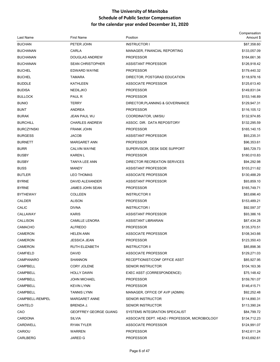| Last Name         | <b>First Name</b>            | Position                                       | Compensation<br>Amount \$ |
|-------------------|------------------------------|------------------------------------------------|---------------------------|
| <b>BUCHAN</b>     | PETER JOHN                   | <b>INSTRUCTOR I</b>                            | \$87,358.60               |
| <b>BUCHANAN</b>   | <b>CARLA</b>                 | MANAGER, FINANCIAL REPORTING                   | \$133,057.09              |
| <b>BUCHANAN</b>   | <b>DOUGLAS ANDREW</b>        | <b>PROFESSOR</b>                               | \$164,661.36              |
| <b>BUCHANAN</b>   | <b>SEAN CHRISTOPHER</b>      | ASSISTANT PROFESSOR                            | \$126,918.42              |
| <b>BUCHEL</b>     | <b>EDWARD WAYNE</b>          | <b>PROFESSOR</b>                               | \$179,440.32              |
| <b>BUCHEL</b>     | <b>TAMARA</b>                | DIRECTOR, POSTGRAD EDUCATION                   | \$118,978.16              |
| <b>BUDDLE</b>     | <b>KATHLEEN</b>              | ASSOCIATE PROFESSOR                            | \$125,613.40              |
| <b>BUDISA</b>     | <b>NEDILJKO</b>              | <b>PROFESSOR</b>                               | \$149,831.04              |
| <b>BULLOCK</b>    | PAUL R                       | <b>PROFESSOR</b>                               | \$153,146.89              |
| <b>BUNIO</b>      | <b>TERRY</b>                 | DIRECTOR, PLANNING & GOVERNANCE                | \$129,947.31              |
| <b>BUNT</b>       | <b>ANDREA</b>                | <b>PROFESSOR</b>                               | \$116,105.12              |
| <b>BURAK</b>      | JEAN PAUL WJ                 | COORDINATOR, UM/SIU                            | \$132,974.85              |
| <b>BURCHILL</b>   | <b>CHARLES ANDREW</b>        | ASSOC. DIR. DATA REPOSITORY                    | \$132,295.59              |
| <b>BURCZYNSKI</b> | <b>FRANK JOHN</b>            | <b>PROFESSOR</b>                               | \$165,140.15              |
| <b>BURGESS</b>    | <b>JACOB</b>                 | ASSISTANT PROFESSOR                            | \$93,235.31               |
| <b>BURNETT</b>    | <b>MARGARET ANN</b>          | <b>PROFESSOR</b>                               | \$96,353.61               |
| <b>BURR</b>       | <b>CALVIN WAYNE</b>          | SUPERVISOR, DESK SIDE SUPPORT                  | \$85.729.73               |
| <b>BUSBY</b>      | <b>KAREN L</b>               | <b>PROFESSOR</b>                               | \$180,010.83              |
| <b>BUSBY</b>      | <b>TANYA LEE ANN</b>         | DIRECTOR RECREATION SERVICES                   | \$94,292.98               |
| <b>BUSS</b>       | MANDY                        | ASSISTANT PROFESSOR                            | \$103,211.62              |
| <b>BUTLER</b>     | <b>LEO THOMAS</b>            | ASSOCIATE PROFESSOR                            | \$130,488.29              |
| <b>BYRNE</b>      | DAVID ALEXANDER              | ASSISTANT PROFESSOR                            | \$93,859.10               |
| <b>BYRNE</b>      | <b>JAMES JOHN SEAN</b>       | <b>PROFESSOR</b>                               | \$165,749.71              |
| <b>BYTHEWAY</b>   | <b>COLLEEN</b>               | <b>INSTRUCTOR II</b>                           | \$83,696.40               |
| CALDER            | <b>ALISON</b>                | <b>PROFESSOR</b>                               | \$153,489.21              |
| <b>CALIC</b>      | <b>DIVNA</b>                 | <b>INSTRUCTOR I</b>                            | \$92,597.37               |
| CALLAWAY          | <b>KARIS</b>                 | ASSISTANT PROFESSOR                            | \$93,386.16               |
| CALLISON          | <b>CAMILLE LENORA</b>        | ASSISTANT LIBRARIAN                            | \$87,434.28               |
| CAMACHO           | <b>ALFREDO</b>               | <b>PROFESSOR</b>                               | \$135,370.51              |
| <b>CAMERON</b>    | <b>HELEN ANN</b>             | <b>ASSOCIATE PROFESSOR</b>                     | \$108,343.66              |
| CAMERON           | <b>JESSICA JEAN</b>          | <b>PROFESSOR</b>                               | \$123,350.43              |
| CAMERON           | RUTH ELIZABETH               | <b>INSTRUCTOR II</b>                           | \$85,898.36               |
| <b>CAMFIELD</b>   | DAVID                        | ASSOCIATE PROFESSOR                            | \$129,271.03              |
| CAMPANARO         | <b>SHANNON</b>               | RECEPTIONIST/CONF OFFICE ASST                  | \$85,927.95               |
| CAMPBELL          | CORY JOLENE                  | <b>SENIOR INSTRUCTOR</b>                       | \$104,163.36              |
| CAMPBELL          | <b>HOLLY DAWN</b>            | EXEC ASST (CORRESPONDENCE)                     | \$75,148.42               |
| CAMPBELL          | <b>JOHN MICHAEL</b>          | <b>PROFESSOR</b>                               | \$159,761.07              |
| CAMPBELL          | <b>KEVIN LYNN</b>            | <b>PROFESSOR</b>                               | \$146,415.71              |
| CAMPBELL          | <b>TANNIS LYNN</b>           | MANAGER, OFFICE OF AVP (ADMIN)                 | \$92,252.48               |
| CAMPBELL-REMPEL   | MARGARET ANNE                | <b>SENIOR INSTRUCTOR</b>                       | \$114,890.31              |
| CANTELO           | BRENDA J.                    | <b>SENIOR INSTRUCTOR</b>                       | \$113,390.24              |
| CAO               | <b>GEOFFREY GEORGE GUANG</b> | SYSTEMS INTEGRATION SPEICALIST                 | \$84,799.72               |
| CARDONA           | <b>SILVIA</b>                | ASSOCIATE DEPT. HEAD / PROFESSOR, MICROBIOLOGY | \$134,712.23              |
| CARDWELL          | RYAN TYLER                   | <b>ASSOCIATE PROFESSOR</b>                     | \$124,991.07              |
| CARIOU            | WARREN                       | <b>PROFESSOR</b>                               | \$142,611.24              |
| CARLBERG          | JARED G                      | <b>PROFESSOR</b>                               | \$143,692.61              |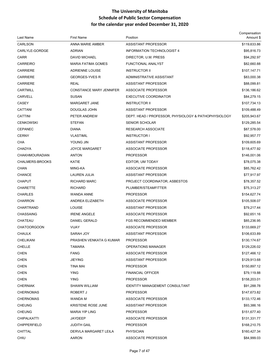| Last Name             | <b>First Name</b>         | Position                                             | Compensation<br>Amount \$ |
|-----------------------|---------------------------|------------------------------------------------------|---------------------------|
| CARLSON               | ANNA MARIE AMBER          | <b>ASSISTANT PROFESSOR</b>                           | \$119,633.86              |
| CARLYLE-GORDGE        | <b>ADRIAN</b>             | INFORMATION TECHNOLOGIST 4                           | \$95,816.73               |
| <b>CARR</b>           | <b>DAVID MICHAEL</b>      | DIRECTOR, U.M. PRESS                                 | \$94,292.97               |
| <b>CARREIRO</b>       | <b>MARIA FATIMA GOMES</b> | <b>FUNCTIONAL ANALYST</b>                            | \$82,660.88               |
| <b>CARRIERE</b>       | <b>ADRIENNE LOUISE</b>    | <b>INSTRUCTOR II</b>                                 | \$107,147.71              |
| <b>CARRIERE</b>       | <b>GEORGES-YVES R</b>     | ADMINISTRATIVE ASSISTANT                             | \$83,000.38               |
| <b>CARRIERE</b>       | <b>REAL</b>               | ASSISTANT PROFESSOR                                  | \$88,099.81               |
| CARTMILL              | CONSTANCE MARY JENNIFER   | ASSOCIATE PROFESSOR                                  | \$136,186.62              |
| <b>CARVELL</b>        | <b>SUSAN</b>              | EXECUTIVE COORDINATOR                                | \$84,279.15               |
| <b>CASEY</b>          | <b>MARGARET JANE</b>      | <b>INSTRUCTOR II</b>                                 | \$107,734.13              |
| <b>CATTANI</b>        | <b>DOUGLAS JOHN</b>       | ASSISTANT PROFESSOR                                  | \$109,488.49              |
| <b>CATTINI</b>        | PETER ANDREW              | DEPT. HEAD / PROFESSOR, PHYSIOLOGY & PATHOPHYSIOLOGY | \$205,943.67              |
| <b>CENKOWSKI</b>      | <b>STEFAN</b>             | <b>SENIOR SCHOLAR</b>                                | \$129,285.54              |
| <b>CEPANEC</b>        | <b>DIANA</b>              | <b>RESEARCH ASSOCIATE</b>                            | \$87,578.00               |
| <b>CERNY</b>          | <b>VLASTIMIL</b>          | <b>INSTRUCTOR I</b>                                  | \$92,957.77               |
| <b>CHA</b>            | YOUNG JIN                 | <b>ASSISTANT PROFESSOR</b>                           | \$109,605.69              |
| <b>CHADYA</b>         | <b>JOYCE MARGARET</b>     | ASSOCIATE PROFESSOR                                  | \$118,477.92              |
| <b>CHAKHMOURADIAN</b> | <b>ANTON</b>              | <b>PROFESSOR</b>                                     | \$146,001.06              |
| CHALMERS-BROOKS       | KATIE                     | EDITOR, UM TODAY                                     | \$78,075.38               |
| <b>CHAN</b>           | MING-KA                   | ASSOCIATE PROFESSOR                                  | \$85,762.42               |
| <b>CHANCE</b>         | LAUREN JULIA              | <b>ASSISTANT PROFESSOR</b>                           | \$77,917.97               |
| <b>CHAPUT</b>         | <b>RICHARD MARC</b>       | PROJECT COORDINATOR, ASBESTOS                        | \$78,357.52               |
| <b>CHARETTE</b>       | <b>RICHARD</b>            | PLUMBER/STEAMFITTER                                  | \$75,313.27               |
| <b>CHARLES</b>        | <b>WANDA ANNE</b>         | <b>PROFESSOR</b>                                     | \$154,627.74              |
| <b>CHARRON</b>        | ANDREA ELIZABETH          | ASSOCIATE PROFESSOR                                  | \$105,508.07              |
| <b>CHARTRAND</b>      | <b>LOUISE</b>             | ASSISTANT PROFESSOR                                  | \$79,217.44               |
| <b>CHASSAING</b>      | <b>IRENE ANGELE</b>       | ASSOCIATE PROFESSOR                                  | \$92,651.16               |
| CHATEAU               | DANIEL GERALD             | <b>FGS RECOMMENDED MEMBER</b>                        | \$85,236.95               |
| <b>CHATOORGOON</b>    | <b>VIJAY</b>              | ASSOCIATE PROFESSOR                                  | \$133,669.27              |
| <b>CHAULK</b>         | SARAH JOY                 | ASSISTANT PROFESSOR                                  | \$106,633.89              |
| <b>CHELIKANI</b>      | PRASHEN VENKATA G KUMAR   | <b>PROFESSOR</b>                                     | \$130,174.67              |
| <b>CHELLE</b>         | <b>TAMARA</b>             | <b>OPERATIONS MANAGER</b>                            | \$129,226.02              |
| <b>CHEN</b>           | FANG                      | ASSOCIATE PROFESSOR                                  | \$127,466.12              |
| <b>CHEN</b>           | <b>JIEYING</b>            | ASSISTANT PROFESSOR                                  | \$129,913.68              |
| <b>CHEN</b>           | TINA MAI                  | <b>PROFESSOR</b>                                     | \$150,897.12              |
| <b>CHEN</b>           | <b>YING</b>               | <b>FINANCIAL OFFICER</b>                             | \$79,119.88               |
| <b>CHEN</b>           | <b>YING</b>               | <b>PROFESSOR</b>                                     | \$158,203.01              |
| <b>CHERNIAK</b>       | <b>SHAWN WILLIAM</b>      | <b>IDENTITY MANAGEMENT CONSULTANT</b>                | \$91,288.78               |
| <b>CHERNOMAS</b>      | ROBERT J                  | <b>PROFESSOR</b>                                     | \$147,673.82              |
| <b>CHERNOMAS</b>      | WANDA M                   | ASSOCIATE PROFESSOR                                  | \$133,172.46              |
| <b>CHEUNG</b>         | <b>KRISTENE ROSE JUNE</b> | ASSISTANT PROFESSOR                                  | \$93,386.16               |
| <b>CHEUNG</b>         | <b>MARIA YIP LING</b>     | <b>PROFESSOR</b>                                     | \$151,677.40              |
| <b>CHIPALKATTI</b>    | JAYDEEP                   | ASSOCIATE PROFESSOR                                  | \$131,331.77              |
| <b>CHIPPERFIELD</b>   | <b>JUDITH GAIL</b>        | <b>PROFESSOR</b>                                     | \$168,210.75              |
| <b>CHITTAL</b>        | DERVLA MARGARET LEILA     | <b>PHYSICIAN</b>                                     | \$160,427.34              |
| <b>CHIU</b>           | AARON                     | ASSOCIATE PROFESSOR                                  | \$84,999.03               |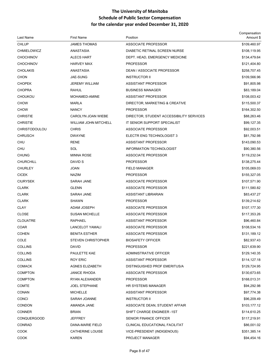| Last Name            | <b>First Name</b>            | Position                                 | Compensation<br>Amount \$ |
|----------------------|------------------------------|------------------------------------------|---------------------------|
| <b>CHLUP</b>         | <b>JAMES THOMAS</b>          | <b>ASSOCIATE PROFESSOR</b>               | \$109,460.97              |
| <b>CHMIELOWICZ</b>   | ANASTASIA                    | DIABETIC RETINAL SCREEN NURSE            | \$108,119.95              |
| CHOCHINOV            | <b>ALECS HART</b>            | DEPT. HEAD, EMERGENCY MEDICINE           | \$134,479.64              |
| <b>CHOCHINOV</b>     | <b>HARVEY MAX</b>            | <b>PROFESSOR</b>                         | \$121,404.80              |
| <b>CHOLAKIS</b>      | <b>ANASTASIA</b>             | DEAN / ASSOCIATE PROFESSOR               | \$258,707.45              |
| <b>CHON</b>          | <b>JAE-SUNG</b>              | <b>INSTRUCTOR II</b>                     | \$109,566.96              |
| <b>CHOPEK</b>        | <b>JEREMY WILLIAM</b>        | <b>ASSISTANT PROFESSOR</b>               | \$91,805.98               |
| <b>CHOPRA</b>        | <b>RAHUL</b>                 | <b>BUSINESS MANAGER</b>                  | \$83,189.04               |
| <b>CHOUKOU</b>       | MOHAMED-AMINE                | ASSISTANT PROFESSOR                      | \$108,003.42              |
| <b>CHOW</b>          | <b>MARLA</b>                 | DIRECTOR, MARKETING & CREATIVE           | \$115,500.37              |
| <b>CHOW</b>          | <b>NANCY</b>                 | <b>PROFESSOR</b>                         | \$164,302.50              |
| <b>CHRISTIE</b>      | CAROLYN JOAN WIEBE           | DIRECTOR, STUDENT ACCESSIBILITY SERVICES | \$88,263.46               |
| <b>CHRISTIE</b>      | <b>WILLIAM JOHN MITCHELL</b> | IT SENIOR SUPPORT SPECIALIST             | \$99,127.35               |
| <b>CHRISTODOULOU</b> | <b>CHRIS</b>                 | ASSOCIATE PROFESSOR                      | \$92,003.51               |
| <b>CHRUSCH</b>       | <b>DWAYNE</b>                | ELECTR ENG TECHNOLOGIST 3                | \$81,792.98               |
| <b>CHU</b>           | <b>RENE</b>                  | ASSISTANT PROFESSOR                      | \$143,090.53              |
| <b>CHU</b>           | SOL                          | INFORMATION TECHNOLOGIST                 | \$90,380.56               |
| <b>CHUNG</b>         | <b>MINNA ROSE</b>            | ASSOCIATE PROFESSOR                      | \$119,232.04              |
| <b>CHURCHILL</b>     | DAVID S                      | <b>PROFESSOR</b>                         | \$138,275.44              |
| <b>CHURLEY</b>       | <b>JOAN</b>                  | <b>FIELD MANAGER</b>                     | \$105,069.03              |
| <b>CICEK</b>         | <b>NAZIM</b>                 | <b>PROFESSOR</b>                         | \$155,327.05              |
| <b>CIURYSEK</b>      | SARAH JANE                   | ASSOCIATE PROFESSOR                      | \$107,571.90              |
| <b>CLARK</b>         | <b>GLENN</b>                 | ASSOCIATE PROFESSOR                      | \$111,580.82              |
| <b>CLARK</b>         | SARAH JANE                   | ASSISTANT LIBRARIAN                      | \$83,437.27               |
| <b>CLARK</b>         | <b>SHAWN</b>                 | <b>PROFESSOR</b>                         | \$139,214.62              |
| <b>CLAY</b>          | ADAM JOSEPH                  | ASSOCIATE PROFESSOR                      | \$107,177.30              |
| <b>CLOSE</b>         | <b>SUSAN MICHELLE</b>        | ASSOCIATE PROFESSOR                      | \$117,353.26              |
| <b>CLOUATRE</b>      | <b>RAPHAEL</b>               | ASSISTANT PROFESSOR                      | \$96,460.84               |
| <b>COAR</b>          | LANCELOT YAMALI              | ASSOCIATE PROFESSOR                      | \$108,534.16              |
| <b>COHEN</b>         | <b>BENITA ESTHER</b>         | <b>ASSOCIATE PROFESSOR</b>               | \$131,189.12              |
| COLE                 | <b>STEVEN CHRISTOPHER</b>    | <b>BIOSAFETY OFFICER</b>                 | \$82,937.43               |
| <b>COLLINS</b>       | <b>DAVID</b>                 | <b>PROFESSOR</b>                         | \$221,639.90              |
| <b>COLLINS</b>       | PAULETTE KAE                 | ADMINISTRATIVE OFFICER                   | \$129,140.35              |
| <b>COLLINS</b>       | ROY ERIC                     | ASSISTANT PROFESSOR                      | \$114,127.18              |
| <b>COMACK</b>        | <b>AGNES ELIZABETH</b>       | DISTINGUISHED PROF EMERITUS/A            | \$129,724.95              |
| <b>COMPTON</b>       | <b>JANICE RHODA</b>          | ASSOCIATE PROFESSOR                      | \$130,673.65              |
| <b>COMPTON</b>       | RYAN ALEXANDER               | <b>PROFESSOR</b>                         | \$168,013.31              |
| COMTE                | <b>JOEL STEPHANE</b>         | HR SYSTEMS MANAGER                       | \$94,292.98               |
| <b>CONAN</b>         | <b>MICHELLE</b>              | ASSISTANT PROFESSOR                      | \$97,774.38               |
| <b>CONCI</b>         | SARAH JOANNE                 | <b>INSTRUCTOR II</b>                     | \$96,209.49               |
| <b>CONDON</b>        | AMANDA JANE                  | ASSOCIATE DEAN, STUDENT AFFAIR           | \$103,177.12              |
| <b>CONNER</b>        | <b>BRIAN</b>                 | SHIFT CHARGE ENGINEER -1ST               | \$114,610.25              |
| <b>CONQUERGOOD</b>   | <b>JEFFREY</b>               | SENIOR FINANCE OFFICER                   | \$117,219.91              |
| CONRAD               | DANA-MARIE FIELD             | CLINICAL EDUCATIONAL FACILITAT           | \$86,001.02               |
| <b>COOK</b>          | CATHERINE LOUISE             | VICE-PRESDIENT (INDIGENOUS)              | \$351,385.14              |
| <b>COOK</b>          | KAREN                        | PROJECT MANAGER                          | \$94,454.16               |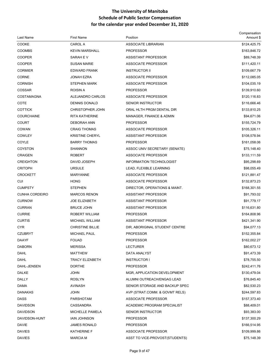| Last Name             | <b>First Name</b>       | Position                       | Compensation<br>Amount \$ |
|-----------------------|-------------------------|--------------------------------|---------------------------|
| <b>COOKE</b>          | CAROL A                 | ASSOCIATE LIBRARIAN            | \$124,425.75              |
| <b>COOMBS</b>         | <b>KEVIN MARSHALL</b>   | <b>PROFESSOR</b>               | \$163,846.72              |
| <b>COOPER</b>         | SARAH E V               | <b>ASSISTANT PROFESSOR</b>     | \$89,748.39               |
| <b>COOPER</b>         | <b>SUSAN MARIE</b>      | ASSOCIATE PROFESSOR            | \$111,420.11              |
| <b>CORMIER</b>        | EDWARD FRANK            | <b>INSTRUCTOR II</b>           | \$109,667.79              |
| <b>CORNE</b>          | <b>JONAH EZRA</b>       | ASSOCIATE PROFESSOR            | \$112,085.05              |
| <b>CORNISH</b>        | <b>STEPHEN MARK</b>     | ASSOCIATE PROFESSOR            | \$104,035.19              |
| COSSAR                | <b>ROISIN A</b>         | <b>PROFESSOR</b>               | \$139,910.60              |
| <b>COSTAMAGNA</b>     | ALEJANDRO CARLOS        | ASSOCIATE PROFESSOR            | \$120,116.83              |
| COTE                  | <b>DENNIS DONALD</b>    | <b>SENIOR INSTRUCTOR</b>       | \$116,666.46              |
| <b>COTTICK</b>        | <b>CHRISTOPHER JOHN</b> | ORAL HLTH PRGM DENTAL DIR      | \$133,810.25              |
| <b>COURCHAINE</b>     | RITA KATHERINE          | MANAGER, FINANCE & ADMIN       | \$94,671.06               |
| <b>COURT</b>          | <b>DEBORAH ANN</b>      | <b>PROFESSOR</b>               | \$155,724.79              |
| <b>COWAN</b>          | <b>CRAIG THOMAS</b>     | ASSOCIATE PROFESSOR            | \$105,326.11              |
| <b>COWLEY</b>         | <b>KRISTINE CHERYL</b>  | ASSISTANT PROFESSOR            | \$108,578.94              |
| COYLE                 | <b>BARRY THOMAS</b>     | <b>PROFESSOR</b>               | \$161,058.06              |
| <b>COYSTON</b>        | <b>SHANNON</b>          | ASSOC UNIV SECRETARY (SENATE)  | \$75,148.40               |
| <b>CRAIGEN</b>        | <b>ROBERT</b>           | ASSOCIATE PROFESSOR            | \$133,111.59              |
| <b>CREIGHTON</b>      | DAVID JOSEPH            | INFORMATION TECHNOLOGIST       | \$95,298.69               |
| <b>CRITOPH</b>        | <b>URSULE</b>           | LEAD, FLEXIBLE LEARNING        | \$98,055.49               |
| <b>CROCKETT</b>       | <b>MARYANNE</b>         | ASSOCIATE PROFESSOR            | \$121,881.47              |
| <b>CUI</b>            | <b>HONG</b>             | ASSOCIATE PROFESSOR            | \$132,873.23              |
| <b>CUMPSTY</b>        | <b>STEPHEN</b>          | DIRECTOR, OPERATIONS & MAINT.  | \$168,301.55              |
| <b>CUNHA CORDEIRO</b> | <b>MARCOS RENON</b>     | ASSISTANT PROFESSOR            | \$91,793.02               |
| <b>CURNOW</b>         | <b>JOE ELIZABETH</b>    | ASSISTANT PROFESSOR            | \$91,779.17               |
| <b>CURRAN</b>         | <b>BRUCE JOHN</b>       | ASSISTANT PROFESSOR            | \$116,631.80              |
| <b>CURRIE</b>         | ROBERT WILLIAM          | <b>PROFESSOR</b>               | \$164,808.96              |
| <b>CURTIS</b>         | <b>MICHAEL WILLIAM</b>  | ASSISTANT PROFESSOR            | \$421,341.90              |
| <b>CYR</b>            | <b>CHRISTINE BILLIE</b> | DIR, ABORIGINAL STUDENT CENTRE | \$94,077.13               |
| <b>CZUBRYT</b>        | <b>MICHAEL PAUL</b>     | <b>PROFESSOR</b>               | \$152,355.84              |
| DAAYF                 | <b>FOUAD</b>            | <b>PROFESSOR</b>               | \$162,002.27              |
| <b>DABORN</b>         | <b>MERISSA</b>          | <b>LECTURER</b>                | \$80,673.12               |
| DAHL                  | <b>MATTHEW</b>          | DATA ANALYST                   | \$91,473.39               |
| DAHL                  | <b>TRACY ELIZABETH</b>  | <b>INSTRUCTOR I</b>            | \$78,755.50               |
| DAHL-JENSEN           | <b>DORTHE</b>           | <b>PROFESSOR</b>               | \$242,411.76              |
| DALKE                 | <b>JOHN</b>             | MGR, APPLICATION DEVELOPMENT   | \$130,479.04              |
| DALLY                 | <b>ROSLYN</b>           | ALUMNI OUTREACH/ENGAG LEAD     | \$76,845.40               |
| DAMA                  | <b>AVINASH</b>          | SENIOR STORAGE AND BACKUP SPEC | \$82,530.23               |
| <b>DANAKAS</b>        | <b>JOHN</b>             | AVP (STRAT.COMM. & GOVMT RELS) | \$244,597.83              |
| DASS                  | PARSHOTAM               | ASSOCIATE PROFESSOR            | \$157,373.40              |
| DAVIDSON              | CASSANDRA               | ACADEMIC PROGRAM SPECIALIST    | \$88,409.01               |
| DAVIDSON              | MICHELLE PAMELA         | <b>SENIOR INSTRUCTOR</b>       | \$93,383.00               |
| DAVIDSON-HUNT         | <b>IAIN JOHNSON</b>     | <b>PROFESSOR</b>               | \$137,300.29              |
| DAVIE                 | <b>JAMES RONALD</b>     | <b>PROFESSOR</b>               | \$166,514.95              |
| <b>DAVIES</b>         | <b>KATHERINE F</b>      | ASSOCIATE PROFESSOR            | \$109,999.86              |
| <b>DAVIES</b>         | <b>MARCIA M</b>         | ASST TO VICE-PROVOST(STUDENTS) | \$75,148.39               |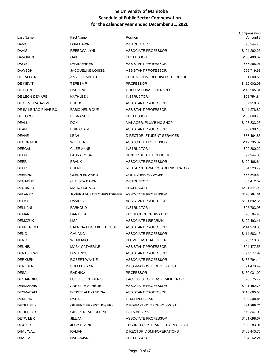| Last Name             | <b>First Name</b>                             | Position                             | Compensation<br>Amount \$ |
|-----------------------|-----------------------------------------------|--------------------------------------|---------------------------|
| <b>DAVIS</b>          | LORI DAWN                                     | <b>INSTRUCTOR II</b>                 | \$95,244.78               |
| <b>DAVIS</b>          | <b>REBECCA LYNN</b>                           | ASSOCIATE PROFESSOR                  | \$104,262.25              |
| <b>DAVOREN</b>        | <b>GAIL</b>                                   | <b>PROFESSOR</b>                     | \$136,488.62              |
| <b>DAWE</b>           | <b>DAVID ERNEST</b>                           | ASSISTANT PROFESSOR                  | \$77,268.91               |
| <b>DAWSON</b>         | <b>JACQUELINE LOUISE</b>                      | ASSISTANT PROFESSOR                  | \$88,719.89               |
| DE JAEGER             | AMY ELIZABETH                                 | EDUCATIONAL SPECIALIST-RESEARC       | \$91,060.58               |
| DE KIEVIT             | <b>TERESAR</b>                                | <b>PROFESSOR</b>                     | \$152,002.06              |
| DE LEON               | <b>DARLENE</b>                                | <b>OCCUPATIONAL THERAPIST</b>        | \$113,265.34              |
| DE LEON-DEMARE        | <b>KATHLEEN</b>                               | <b>INSTRUCTOR II</b>                 | \$95,754.64               |
| DE OLIVEIRA JAYME     | <b>BRUNO</b>                                  | ASSISTANT PROFESSOR                  | \$87,218.68               |
| DE SA LEITAO PINHEIRO | <b>FABIO HENRIQUE</b>                         | ASSISTANT PROFESSOR                  | \$144,278.82              |
| DE TORO               | <b>FERNANDO</b>                               | <b>PROFESSOR</b>                     | \$165,069.78              |
| DEALLY                | <b>DON</b>                                    | MANAGER, PLUMBING SHOP               | \$103,833.26              |
| <b>DEAN</b>           | <b>ERIN CLARE</b>                             | ASSISTANT PROFESSOR                  | \$78,698.15               |
| <b>DEANE</b>          | LEAH                                          | DIRECTOR, STUDENT SERVICES           | \$77,164.86               |
| <b>DECONINCK</b>      | <b>WOUTER</b>                                 | ASSOCIATE PROFESSOR                  | \$112,735.82              |
| <b>DEEGAN</b>         | C LEE ANNE                                    | <b>INSTRUCTOR II</b>                 | \$92,380.22               |
| <b>DEEN</b>           | <b>LAURA ROSA</b>                             | SENIOR BUDGET OFFICER                | \$97,944.33               |
| <b>DEER</b>           | <b>FRANK</b>                                  | ASSOCIATE PROFESSOR                  | \$129,168.64              |
| <b>DEERE</b>          | <b>BRENT</b>                                  | RESEARCH AWARDS ADMINISTRATOR        | \$84,323.79               |
| <b>DEERING</b>        | <b>GLENN EDWARD</b>                           | <b>CONTAINER MANAGER</b>             | \$78,849.59               |
| <b>DEGAGNE</b>        | <b>CHRISTA DAWN</b>                           | <b>INSTRUCTOR I</b>                  | \$85,412.32               |
| <b>DEL BIGIO</b>      | <b>MARC RONALD</b>                            | <b>PROFESSOR</b>                     | \$421,341.90              |
| <b>DELANEY</b>        | JOSEPH AUSTIN CHRISTOPHER ASSOCIATE PROFESSOR |                                      | \$126,264.61              |
| DELAY                 | DAVID C.J.                                    | ASSISTANT PROFESSOR                  | \$101,692.36              |
| <b>DELIJANI</b>       | <b>FARHOUD</b>                                | <b>INSTRUCTOR I</b>                  | \$95,703.98               |
| <b>DEMARE</b>         | DANIELLA                                      | PROJECT COORDINATOR                  | \$76,584.40               |
| <b>DEMCZUK</b>        | <b>LISA</b>                                   | ASSOCIATE LIBRARIAN                  | \$122,193.41              |
| <b>DEMETRIOFF</b>     | SABRINA LEIGH BELLHOUSE                       | ASSISTANT PROFESSOR                  | \$114,279.36              |
| DENG                  | <b>CHUANG</b>                                 | ASSOCIATE PROFESSOR                  | \$114,583.15              |
| <b>DENG</b>           | <b>WENKANG</b>                                | PLUMBER/STEAMFITTER                  | \$75,313.65               |
| <b>DENNIS</b>         | <b>MARY CATHERINE</b>                         | <b>ASSISTANT PROFESSOR</b>           | \$94,177.56               |
| <b>DENTSORAS</b>      | <b>DIMITRIOS</b>                              | ASSISTANT PROFESSOR                  | \$97,377.99               |
| <b>DERKSEN</b>        | ROBERT WAYNE                                  | ASSOCIATE PROFESSOR                  | \$135,794.14              |
| <b>DERKSEN</b>        | SHELLEY ANNE                                  | INFORMATION TECHNOLOGIST             | \$91,473.49               |
| DESAI                 | RADHIKA                                       | <b>PROFESSOR</b>                     | \$160,031.00              |
| <b>DESJARDINS</b>     | LUC JOSEPH DENIS                              | <b>FACILITIES COORD/SR CAMERA OP</b> | \$78,575.79               |
| <b>DESMARAIS</b>      | ANNETTE AURELIE                               | ASSOCIATE PROFESSOR                  | \$141,152.76              |
| <b>DESMARAIS</b>      | DIEDRE ALEXANDRIA                             | ASSISTANT PROFESSOR                  | \$110,685.53              |
| <b>DESPINS</b>        | DANIEL                                        | IT SERVER LEAD                       | \$99,298.85               |
| <b>DETILLIEUX</b>     | <b>GILBERT ERNEST JOSEPH</b>                  | INFORMATION TECHNOLOGIST             | \$91,288.74               |
| <b>DETILLIEUX</b>     | GILLES REAL JOSEPH                            | DATA ANALYST                         | \$79,847.98               |
| <b>DETWILER</b>       | JILLIAN                                       | ASSOCIATE PROFESSOR                  | \$101,698.67              |
| <b>DEXTER</b>         | <b>JODY ELAINE</b>                            | TECHNOLOGY TRANSFER SPECIALIST       | \$98,283.07               |
| DHALIWAL              | <b>RAMAN</b>                                  | DIRECTOR, ADMIN/OPERATIONS           | \$168,443.75              |
| DHALLA                | NARANJAN S                                    | <b>PROFESSOR</b>                     | \$84,262.21               |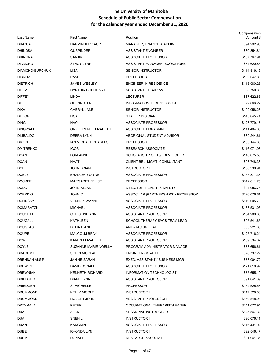| Last Name         | <b>First Name</b>           | Position                               | Compensation<br>Amount \$ |
|-------------------|-----------------------------|----------------------------------------|---------------------------|
| DHANJAL           | <b>HARMINDER KAUR</b>       | MANAGER, FINANCE & ADMIN               | \$94,292.95               |
| <b>DHINDSA</b>    | <b>GURPINDER</b>            | <b>ASSISTANT ENGINEER</b>              | \$80,854.84               |
| <b>DHINGRA</b>    | SANJIV                      | ASSOCIATE PROFESSOR                    | \$107,767.91              |
| <b>DIAMOND</b>    | <b>STACY LYNN</b>           | ASSISTANT MANAGER, BOOKSTORE           | \$84,620.86               |
| DIAMOND-BURCHUK   | <b>LISA</b>                 | <b>SENIOR INSTRUCTOR</b>               | \$114,916.13              |
| <b>DIBROV</b>     | <b>PAVEL</b>                | <b>PROFESSOR</b>                       | \$152,047.88              |
| <b>DIETRICH</b>   | <b>JAMES WESLEY</b>         | <b>ENGINEER IN RESIDENCE</b>           | \$115,980.25              |
| <b>DIETZ</b>      | <b>CYNTHIA GOODHART</b>     | <b>ASSISTANT LIBRARIAN</b>             | \$98,750.66               |
| <b>DIFFEY</b>     | <b>LINDA</b>                | <b>LECTURER</b>                        | \$87,622.65               |
| <b>DIK</b>        | <b>GUENRIKH R.</b>          | INFORMATION TECHNOLOGIST               | \$79,866.22               |
| <b>DIKA</b>       | <b>CHERYL JANE</b>          | <b>SENIOR INSTRUCTOR</b>               | \$109,058.23              |
| <b>DILLON</b>     | <b>LISA</b>                 | <b>STAFF PHYSICIAN</b>                 | \$143,045.71              |
| <b>DING</b>       | <b>HAO</b>                  | ASSOCIATE PROFESSOR                    | \$128,779.17              |
| <b>DINGWALL</b>   | ORVIE IRENE ELIZABETH       | <b>ASSOCIATE LIBRARIAN</b>             | \$111,404.88              |
| <b>DIUBALDO</b>   | DEBRA LYNN                  | ABORIGINAL STUDENT ADVISOR             | \$89,244.61               |
| <b>DIXON</b>      | IAN MICHAEL CHARLES         | <b>PROFESSOR</b>                       | \$165,144.60              |
| <b>DMITRENKO</b>  | <b>IGOR</b>                 | <b>RESEARCH ASSOCIATE</b>              | \$116,071.98              |
| <b>DOAN</b>       | <b>LORI ANNE</b>            | SCHOLARSHIP OF T&L DEVELOPER           | \$110,075.55              |
| <b>DOAN</b>       | NHAT                        | CLIENT REL. MGMT. CONSULTANT           | \$93,748.33               |
| <b>DOBIE</b>      | <b>JOHN BRIAN</b>           | <b>INSTRUCTOR I</b>                    | \$108,330.94              |
| <b>DOBLE</b>      | <b>BRADLEY WAYNE</b>        | ASSOCIATE PROFESSOR                    | \$155,371.38              |
| <b>DOCKER</b>     | <b>MARGARET FELICE</b>      | <b>PROFESSOR</b>                       | \$142,611.25              |
| <b>DODD</b>       | JOHN-ALLAN                  | DIRECTOR, HEALTH & SAFETY              | \$94,086.75               |
| <b>DOERING</b>    | JOHN <sub>C</sub>           | ASSOC. V.P. (PARTNERSHIPS) / PROFESSOR | \$226,076.61              |
| <b>DOLINSKY</b>   | <b>VERNON WAYNE</b>         | ASSOCIATE PROFESSOR                    | \$119,005.70              |
| <b>DOMARATZKI</b> | <b>MICHAEL</b>              | ASSOCIATE PROFESSOR                    | \$138,531.06              |
| <b>DOUCETTE</b>   | <b>CHRISTINE ANNE</b>       | ASSISTANT PROFESSOR                    | \$104,900.66              |
| <b>DOUGALL</b>    | <b>KATHLEEN</b>             | SCHOOL THERAPY SVCS TEAM LEAD          | \$95,541.65               |
| <b>DOUGLAS</b>    | <b>DELIA DIANE</b>          | <b>ANTI-RACISM LEAD</b>                | \$85,221.66               |
| <b>DOUPE</b>      | <b>MALCOLM BRAY</b>         | ASSOCIATE PROFESSOR                    | \$125,716.24              |
| <b>DOW</b>        | KAREN ELIZABETH             | ASSISTANT PROFESSOR                    | \$109,534.82              |
| <b>DOYLE</b>      | <b>SUZANNE MARIE NOELLA</b> | PROGRAM ADMINISTRATOR MANAGE           | \$78,656.61               |
| <b>DRAGOMIR</b>   | SORIN NICOLAE               | ENGINEER (M) -4TH                      | \$76,737.27               |
| DRENNAN ALSIP     | <b>JANINE SARAH</b>         | EXEC. ASSISTANT / BUSINESS MGR         | \$78,004.72               |
| <b>DREWES</b>     | DAVID DONALD                | ASSOCIATE PROFESSOR                    | \$121,818.97              |
| <b>DREWNIAK</b>   | <b>KENNETH RICHARD</b>      | <b>INFORMATION TECHNOLOGIST</b>        | \$75,655.10               |
| <b>DRIEDGER</b>   | DIANE LYNN                  | ASSISTANT PROFESSOR                    | \$91,041.39               |
| <b>DRIEDGER</b>   | S. MICHELLE                 | <b>PROFESSOR</b>                       | \$162,525.53              |
| <b>DRUMMOND</b>   | <b>KELLY NICOLE</b>         | <b>INSTRUCTOR II</b>                   | \$117,529.03              |
| <b>DRUMMOND</b>   | ROBERT JOHN                 | ASSISTANT PROFESSOR                    | \$159,548.94              |
| <b>DRZYMALA</b>   | <b>PETER</b>                | OCCUPATIONAL THERAPIST/LEADER          | \$141,072.94              |
| <b>DUA</b>        | <b>ALOK</b>                 | <b>SESSIONAL INSTRUCTOR</b>            | \$125,547.32              |
| <b>DUA</b>        | <b>SNEHIL</b>               | <b>INSTRUCTOR I</b>                    | \$96,076.11               |
| <b>DUAN</b>       | KANGMIN                     | ASSOCIATE PROFESSOR                    | \$116,431.02              |
| <b>DUBE</b>       | RHONDA LYN                  | <b>INSTRUCTOR II</b>                   | \$92,546.47               |
| <b>DUBIK</b>      | <b>DONALD</b>               | RESEARCH ASSOCIATE                     | \$81,941.35               |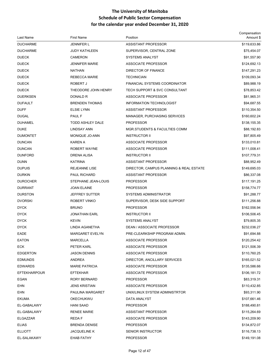| Last Name           | <b>First Name</b>      | Position                                 | Compensation<br>Amount \$ |
|---------------------|------------------------|------------------------------------------|---------------------------|
| <b>DUCHARME</b>     | <b>JENNIFER L</b>      | ASSISTANT PROFESSOR                      | \$119,633.86              |
| <b>DUCHARME</b>     | <b>JUDY KATHLEEN</b>   | SUPERVISOR, CENTRAL ZONE                 | \$75,454.07               |
| <b>DUECK</b>        | CAMERON                | SYSTEMS ANALYST                          | \$91,557.90               |
| <b>DUECK</b>        | <b>JENNIFER MARIE</b>  | ASSOCIATE PROFESSOR                      | \$124,692.13              |
| <b>DUECK</b>        | <b>NATHAN</b>          | DIRECTOR OF FINANCE                      | \$147,291.23              |
| <b>DUECK</b>        | <b>REBECCA MARIE</b>   | <b>TECHNICIAN</b>                        | \$109,093.34              |
| <b>DUECK</b>        | ROBERT J               | <b>FINANCIAL SYSTEMS COORDINATOR</b>     | \$89,988.19               |
| <b>DUECK</b>        | THEODORE JOHN HENRY    | TECH SUPPORT & SVC CONSULTANT            | \$78,853.42               |
| <b>DUERKSEN</b>     | DONALD R               | ASSOCIATE PROFESSOR                      | \$81,965.31               |
| <b>DUFAULT</b>      | <b>BRENDEN THOMAS</b>  | INFORMATION TECHNOLOGIST                 | \$94,687.55               |
| <b>DUFF</b>         | <b>ELSIE LYNN</b>      | ASSISTANT PROFESSOR                      | \$110,354.50              |
| <b>DUGAL</b>        | PAUL F                 | <b>MANAGER, PURCHASING SERVICES</b>      | \$160,602.24              |
| <b>DUHAMEL</b>      | TODD ASHLEY DALE       | <b>PROFESSOR</b>                         | \$138,155.35              |
| <b>DUKE</b>         | <b>LINDSAY ANN</b>     | <b>MGR.STUDENTS &amp; FACULTIES COMM</b> | \$88,192.83               |
| <b>DUMONTET</b>     | MONIQUE JO-ANN         | <b>INSTRUCTOR II</b>                     | \$97,805.49               |
| <b>DUNCAN</b>       | <b>KAREN A</b>         | <b>ASSOCIATE PROFESSOR</b>               | \$133,010.81              |
| <b>DUNCAN</b>       | ROBERT WAYNE           | ASSOCIATE PROFESSOR                      | \$111,008.41              |
| <b>DUNFORD</b>      | <b>DRENA ALISA</b>     | <b>INSTRUCTOR II</b>                     | \$107,779.31              |
| <b>DUNN</b>         | <b>KATRINA</b>         | ASSISTANT PROFESSOR                      | \$88,952.49               |
| <b>DUPUIS</b>       | <b>REJEANNE LISE</b>   | DIRECTOR, CAMPUS PLANNING & REAL ESTATE  | \$149,695.03              |
| <b>DURKIN</b>       | <b>PAUL RICHARD</b>    | ASSISTANT PROFESSOR                      | \$86,337.08               |
| <b>DUROCHER</b>     | STEPHANE JEAN-LOUIS    | <b>PROFESSOR</b>                         | \$117,191.25              |
| <b>DURRANT</b>      | <b>JOAN ELAINE</b>     | <b>PROFESSOR</b>                         | \$158,774.77              |
| <b>DURSTON</b>      | <b>JEFFREY SUTTER</b>  | SYSTEMS ADMINISTRATOR                    | \$91,288.77               |
| <b>DVORSKI</b>      | <b>ROBERT VINKO</b>    | SUPERVISOR, DESK SIDE SUPPORT            | \$111,256.88              |
| <b>DYCK</b>         | <b>BRUNO</b>           | <b>PROFESSOR</b>                         | \$162,556.94              |
| <b>DYCK</b>         | <b>JONATHAN EARL</b>   | <b>INSTRUCTOR II</b>                     | \$106,506.45              |
| <b>DYCK</b>         | <b>KEVIN</b>           | <b>SYSTEMS ANALYST</b>                   | \$79,805.35               |
| <b>DYCK</b>         | LINDA AGANETHA         | DEAN / ASSOCIATE PROFESSOR               | \$232,036.27              |
| EADE                | <b>MARGARET EVELYN</b> | PRE-CLEARKSHIP PROGRAM ADMIN.            | \$91,694.88               |
| <b>EATON</b>        | MARCELLA               | ASSOCIATE PROFESSOR                      | \$120,254.42              |
| <b>ECK</b>          | PETER KARL             | ASSOCIATE PROFESSOR                      | \$121,506.39              |
| <b>EDGERTON</b>     | <b>JASON DENNIS</b>    | ASSOCIATE PROFESSOR                      | \$110,760.25              |
| <b>EDMUNDS</b>      | ANDREA                 | DIRECTOR, ANCILLARY SERVICES             | \$165,021.52              |
| <b>EDWARDS</b>      | <b>MARIE PATRICIA</b>  | ASSOCIATE PROFESSOR                      | \$135,586.66              |
| <b>EFTEKHARPOUR</b> | <b>EFTEKHAR</b>        | ASSOCIATE PROFESSOR                      | \$106,181.72              |
| EGAN                | RORY BERNARD           | <b>PROFESSOR</b>                         | \$83,319.31               |
| EHN                 | <b>JENS KRISTIAN</b>   | ASSOCIATE PROFESSOR                      | \$110,432.85              |
| EHN                 | PAULINA MARGARET       | UNIX/LINUX SYSTEM ADMINISTRTOR           | \$93,311.90               |
| <b>EKUMA</b>        | OKECHUKWU              | DATA ANALYST                             | \$107,661.46              |
| EL-GABALAWY         | <b>HANI SAAD</b>       | <b>PROFESSOR</b>                         | \$188,490.81              |
| EL-GABALAWY         | <b>RENEE MARIE</b>     | ASSISTANT PROFESSOR                      | \$115,264.69              |
| ELGAZZAR            | REDA F                 | ASSOCIATE PROFESSOR                      | \$143,209.90              |
| <b>ELIAS</b>        | <b>BRENDA DENISE</b>   | <b>PROFESSOR</b>                         | \$134,872.07              |
| <b>ELLIOTT</b>      | <b>JACQUELINE K</b>    | <b>SENIOR INSTRUCTOR</b>                 | \$116,738.13              |
| EL-SALAKAWY         | <b>EHAB FATHY</b>      | <b>PROFESSOR</b>                         | \$149,191.08              |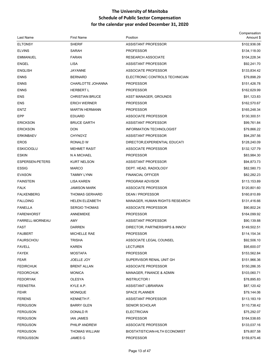| Last Name              | <b>First Name</b>      | Position                              | Compensation<br>Amount \$ |
|------------------------|------------------------|---------------------------------------|---------------------------|
| <b>ELTONSY</b>         | <b>SHERIF</b>          | ASSISTANT PROFESSOR                   | \$102,936.08              |
| <b>ELVINS</b>          | <b>SARAH</b>           | <b>PROFESSOR</b>                      | \$134,118.00              |
| <b>EMMANUEL</b>        | <b>FARAN</b>           | <b>RESEARCH ASSOCIATE</b>             | \$104,228.34              |
| <b>ENGEL</b>           | <b>LISA</b>            | ASSISTANT PROFESSOR                   | \$92,241.70               |
| <b>ENGLISH</b>         | JAYANNE                | ASSOCIATE PROFESSOR                   | \$133,834.42              |
| <b>ENNS</b>            | <b>BERNARD</b>         | ELECTRONIC CONTROLS TECHNICIAN        | \$79,898.29               |
| <b>ENNS</b>            | CHARLOTTE JOHANNA      | <b>PROFESSOR</b>                      | \$151,426.78              |
| <b>ENNS</b>            | <b>HERBERT L</b>       | <b>PROFESSOR</b>                      | \$162,629.99              |
| ENS                    | <b>CHRISTIAN BRUCE</b> | ASST MANAGER, GROUNDS                 | \$91,123.83               |
| <b>ENS</b>             | <b>ERICH WERNER</b>    | <b>PROFESSOR</b>                      | \$162,570.67              |
| <b>ENTZ</b>            | <b>MARTIN HERMANN</b>  | <b>PROFESSOR</b>                      | \$165,248.34              |
| EPP                    | <b>EDUARD</b>          | ASSOCIATE PROFESSOR                   | \$130,300.51              |
| <b>ERICKSON</b>        | <b>BRUCE GARTH</b>     | ASSISTANT PROFESSOR                   | \$99,761.84               |
| <b>ERICKSON</b>        | <b>DON</b>             | INFORMATION TECHNOLOGIST              | \$79,866.22               |
| <b>ERKINBAEV</b>       | <b>CHYNGYZ</b>         | ASSISTANT PROFESSOR                   | \$94,297.56               |
| EROS                   | RONALD W               | DIRECTOR, EXPERIENTIAL EDUCATI        | \$128,240.09              |
| <b>ESKICIOGLU</b>      | <b>MEHMET RASIT</b>    | ASSOCIATE PROFESSOR                   | \$132,127.79              |
| <b>ESKIN</b>           | N A MICHAEL            | <b>PROFESSOR</b>                      | \$83,984.30               |
| <b>ESPERSEN-PETERS</b> | <b>KURT NELSON</b>     | ASSISTANT PROFESSOR                   | \$94,873.73               |
| <b>ESSIG</b>           | <b>MARCO</b>           | DEPT. HEAD, RADIOLOGY                 | \$82,580.73               |
| <b>EVASON</b>          | <b>TAMMY LYNN</b>      | <b>FINANCIAL OFFICER</b>              | \$82,282.23               |
| <b>FAINSTEIN</b>       | LISA KAREN             | PROGRAM ADVISOR                       | \$113,153.89              |
| <b>FALK</b>            | <b>JAMISON MARK</b>    | ASSOCIATE PROFESSOR                   | \$120,801.60              |
| <b>FALKENBERG</b>      | <b>THOMAS GERHARD</b>  | DEAN / PROFESSOR                      | \$160,810.89              |
| <b>FALLDING</b>        | <b>HELEN ELIZABETH</b> | <b>MANAGER, HUMAN RIGHTS RESEARCH</b> | \$131,416.66              |
| <b>FANELLA</b>         | <b>SERGIO THOMAS</b>   | ASSOCIATE PROFESSOR                   | \$90,802.24               |
| <b>FARENHORST</b>      | ANNEMIEKE              | <b>PROFESSOR</b>                      | \$164,099.92              |
| FARRELL-MORNEAU        | AMY                    | ASSISTANT PROFESSOR                   | \$90,139.88               |
| <b>FAST</b>            | <b>DARREN</b>          | DIRECTOR, PARTNERSHIPS & INNOV        | \$149,502.51              |
| <b>FAUBERT</b>         | <b>MICHELLE RAE</b>    | <b>PROFESSOR</b>                      | \$114,154.34              |
| <b>FAURSCHOU</b>       | <b>TRISHA</b>          | ASSOCIATE LEGAL COUNSEL               | \$92,506.10               |
| <b>FAVELL</b>          | <b>KAREN</b>           | <b>LECTURER</b>                       | \$95,600.07               |
| <b>FAYEK</b>           | <b>MOSTAFA</b>         | <b>PROFESSOR</b>                      | \$153,562.84              |
| <b>FEAR</b>            | JOELLE JOY             | SUPERVISOR RENAL UNIT GH              | \$151,966.36              |
| <b>FEDIRCHUK</b>       | <b>BRENT ALLAN</b>     | ASSOCIATE PROFESSOR                   | \$150,286.35              |
| <b>FEDORCHUK</b>       | <b>MONICA</b>          | MANAGER, FINANCE & ADMIN              | \$103,060.71              |
| FEDORYAK               | OLESYA                 | <b>INSTRUCTOR I</b>                   | \$78,895.83               |
| <b>FEENSTRA</b>        | KYLE A.P.              | ASSISTANT LIBRARIAN                   | \$87,120.42               |
| <b>FEHR</b>            | <b>MONIQUE</b>         | <b>SPACE PLANNER</b>                  | \$79,144.06               |
| <b>FERENS</b>          | KENNETH F.             | ASSISTANT PROFESSOR                   | \$113,183.19              |
| <b>FERGUSON</b>        | <b>BARRY GLEN</b>      | <b>SENIOR SCHOLAR</b>                 | \$110,738.42              |
| <b>FERGUSON</b>        | DONALD R               | <b>ELECTRICIAN</b>                    | \$75,292.07               |
| <b>FERGUSON</b>        | <b>IAN JAMES</b>       | <b>PROFESSOR</b>                      | \$164,538.65              |
| <b>FERGUSON</b>        | PHILIP ANDREW          | ASSOCIATE PROFESSOR                   | \$133,037.16              |
| <b>FERGUSON</b>        | <b>THOMAS WILLIAM</b>  | BIOSTATISTICIAN-HLTH ECONOMIST        | \$79,807.58               |
| <b>FERGUSSON</b>       | JAMES G                | <b>PROFESSOR</b>                      | \$159,875.46              |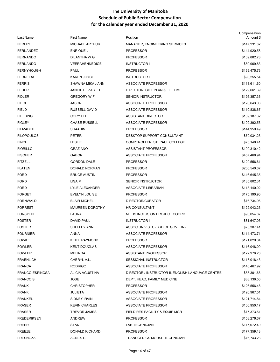| Last Name          | <b>First Name</b>       | Position                                          | Compensation<br>Amount \$ |
|--------------------|-------------------------|---------------------------------------------------|---------------------------|
| <b>FERLEY</b>      | <b>MICHAEL ARTHUR</b>   | <b>MANAGER, ENGINEERING SERVICES</b>              | \$147,231.32              |
| <b>FERNANDEZ</b>   | ENRIQUE J               | <b>PROFESSOR</b>                                  | \$144,920.58              |
| <b>FERNANDO</b>    | DILANTHA W G            | <b>PROFESSOR</b>                                  | \$169,882.78              |
| <b>FERNANDO</b>    | VEERAHENNEDIGE          | <b>INSTRUCTOR I</b>                               | \$80,969.83               |
| <b>FERNYHOUGH</b>  | <b>PAUL</b>             | <b>PROFESSOR</b>                                  | \$169,475.73              |
| <b>FERREIRA</b>    | <b>KAREN JOYCE</b>      | <b>INSTRUCTOR II</b>                              | \$98,255.54               |
| <b>FERRIS</b>      | SHAWNA MIKAL-ANN        | ASSOCIATE PROFESSOR                               | \$113,611.60              |
| <b>FEUER</b>       | <b>JANICE ELIZABETH</b> | DIRECTOR, GIFT PLAN & LIFETIME                    | \$129,661.39              |
| <b>FIDLER</b>      | <b>GREGORY W F</b>      | <b>SENIOR INSTRUCTOR</b>                          | \$126,357.36              |
| <b>FIEGE</b>       | <b>JASON</b>            | ASSOCIATE PROFESSOR                               | \$128,643.08              |
| <b>FIELD</b>       | <b>RUSSELL DAVID</b>    | ASSOCIATE PROFESSOR                               | \$110,838.67              |
| <b>FIELDING</b>    | <b>CORY LEE</b>         | <b>ASSISTANT DIRECTOR</b>                         | \$139,187.32              |
| <b>FIGLEY</b>      | <b>CHASE RUSSELL</b>    | ASSOCIATE PROFESSOR                               | \$109,392.53              |
| <b>FILIZADEH</b>   | <b>SHAAHIN</b>          | <b>PROFESSOR</b>                                  | \$144,959.49              |
| <b>FILOPOULOS</b>  | <b>PETER</b>            | DESKTOP SUPPORT CONSULTANT                        | \$79,034.23               |
| <b>FINCH</b>       | <b>LESLIE</b>           | COMPTROLLER, ST. PAUL COLLEGE                     | \$75,148.41               |
| <b>FIORILLO</b>    | <b>GRAZIANO</b>         | ASSISTANT PROFESSOR                               | \$109,310.42              |
| <b>FISCHER</b>     | <b>GABOR</b>            | ASSOCIATE PROFESSOR                               | \$457,468.94              |
| <b>FITZELL</b>     | <b>GORDON DALE</b>      | <b>PROFESSOR</b>                                  | \$129,556.61              |
| <b>FLATEN</b>      | DONALD NORMAN           | <b>PROFESSOR</b>                                  | \$200,540.67              |
| <b>FORD</b>        | <b>BRUCE AUSTIN</b>     | <b>PROFESSOR</b>                                  | \$146,645.35              |
| <b>FORD</b>        | LISA M                  | <b>SENIOR INSTRUCTOR</b>                          | \$135,802.31              |
| <b>FORD</b>        | LYLE ALEXANDER          | ASSOCIATE LIBRARIAN                               | \$118,140.02              |
| <b>FORGET</b>      | <b>EVELYN LOUISE</b>    | <b>PROFESSOR</b>                                  | \$175,190.90              |
| <b>FORNWALD</b>    | <b>BLAIR MICHEL</b>     | DIRECTOR/CURATOR                                  | \$76,734.96               |
| <b>FORREST</b>     | <b>MAUREEN DOROTHY</b>  | HR CONSULTANT                                     | \$129,043.23              |
| <b>FORSYTHE</b>    | LAURA                   | METIS INCLUSION PROJECT COORD                     | \$93,054.87               |
| <b>FOSTER</b>      | DAVID PAUL              | <b>INSTRUCTOR II</b>                              | \$81,647.03               |
| <b>FOSTER</b>      | SHELLEY ANNE            | ASSOC UNIV SEC (BRD OF GOVERN)                    | \$75,307.41               |
| <b>FOURNIER</b>    | <b>ANNA</b>             | ASSOCIATE PROFESSOR                               | \$114,473.71              |
| <b>FOWKE</b>       | <b>KEITH RAYMOND</b>    | <b>PROFESSOR</b>                                  | \$171,029.04              |
| <b>FOWLER</b>      | <b>KENT DOUGLAS</b>     | ASSOCIATE PROFESSOR                               | \$116,048.09              |
| <b>FOWLER</b>      | MELINDA                 | ASSISTANT PROFESSOR                               | \$122,976.26              |
| <b>FRAEHLICH</b>   | CHERYL V.L.             | <b>SESSIONAL INSTRUCTOR</b>                       | \$113,018.43              |
| <b>FRANCA</b>      | <b>RODRIGO</b>          | ASSOCIATE PROFESSOR                               | \$140,467.92              |
| FRANCO-ESPINOSA    | ALICIA AGUSTINA         | DIRECTOR / INSTRUCTOR II, ENGLISH LANGUAGE CENTRE | \$88,301.66               |
| <b>FRANCOIS</b>    | <b>JOSE</b>             | DEPT. HEAD, FAMILY MEDICINE                       | \$88,136.50               |
| <b>FRANK</b>       | <b>CHRISTOPHER</b>      | <b>PROFESSOR</b>                                  | \$126,556.48              |
| <b>FRANK</b>       | JULIETA                 | ASSOCIATE PROFESSOR                               | \$120,967.51              |
| <b>FRANKEL</b>     | SIDNEY IRVIN            | ASSOCIATE PROFESSOR                               | \$121,714.84              |
| FRASER             | <b>KEVIN CHARLES</b>    | ASSOCIATE PROFESSOR                               | \$100,950.17              |
| FRASER             | <b>TREVOR JAMES</b>     | FIELD RES FACILITY & EQUIP MGR                    | \$77,373.51               |
| <b>FREDERIKSEN</b> | ANDREW                  | <b>PROFESSOR</b>                                  | \$158,276.67              |
| FREER              | STAN                    | <b>LAB TECHNICIAN</b>                             | \$117,072.49              |
| FREEZE             | DONALD RICHARD          | <b>PROFESSOR</b>                                  | \$177,359.18              |
| <b>FRESNOZA</b>    | AGNES L.                | TRANSGENICS MOUSE TECHNICIAN                      | \$76,743.28               |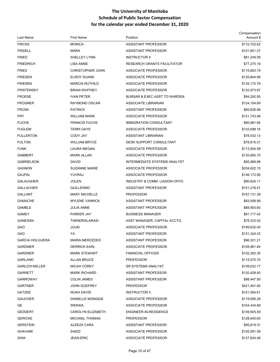| Last Name              | <b>First Name</b>        | Position                                | Compensation<br>Amount \$ |
|------------------------|--------------------------|-----------------------------------------|---------------------------|
| <b>FRICKE</b>          | <b>MONICA</b>            | ASSISTANT PROFESSOR                     | \$110,722.62              |
| <b>FRIDELL</b>         | <b>MARA</b>              | ASSISTANT PROFESSOR                     | \$101,801.27              |
| <b>FRIED</b>           | SHELLEY LYNN             | <b>INSTRUCTOR II</b>                    | \$81,249.09               |
| <b>FRIEDRICH</b>       | LISA ANNE                | RESEARCH GRANTS FACILITATOR             | \$77,275.19               |
| <b>FRIES</b>           | <b>CHRISTOPHER JOHN</b>  | ASSOCIATE PROFESSOR                     | \$115,893.79              |
| <b>FRIESEN</b>         | <b>ELROY DUANE</b>       | <b>ASSOCIATE PROFESSOR</b>              | \$120,844.68              |
| <b>FRIESEN</b>         | <b>MARCIA RUTHILD</b>    | ASSOCIATE PROFESSOR                     | \$135,172.79              |
| <b>FRISTENSKY</b>      | <b>BRIAN WHITNEY</b>     | ASSOCIATE PROFESSOR                     | \$132,973.87              |
| <b>FROESE</b>          | <b>IVAN PETER</b>        | <b>BURSAR &amp; EXEC ASST TO WARDEN</b> | \$94,292.95               |
| <b>FROGNER</b>         | RAYMOND OSCAR            | ASSOCIATE LIBRARIAN                     | \$124,104.69              |
| <b>FROSK</b>           | <b>PATRICK</b>           | ASSISTANT PROFESSOR                     | \$85,626.88               |
| <b>FRY</b>             | <b>WILLIAM MARK</b>      | ASSOCIATE PROFESSOR                     | \$121,743.46              |
| <b>FUCHS</b>           | <b>FRANCIS FUCHS</b>     | <b>IMMIGRATION CONSULTANT</b>           | \$80,981.84               |
| <b>FUGLEM</b>          | <b>TERRI GAYE</b>        | ASSOCIATE PROFESSOR                     | \$133,098.16              |
| <b>FULLERTON</b>       | <b>CODY JAY</b>          | <b>ASSISTANT LIBRARIAN</b>              | \$78,532.13               |
| <b>FULTON</b>          | <b>WILLIAM BRYCE</b>     | DESK SUPPORT CONSULTANT                 | \$76,619.31               |
| <b>FUNK</b>            | <b>LAURA MEGAN</b>       | ASSOCIATE PROFESSOR                     | \$113,554.58              |
| <b>GABBERT</b>         | <b>MARK ALLAN</b>        | ASSOCIATE PROFESSOR                     | \$135,665.75              |
| <b>GABRIELSON</b>      | <b>DAVID</b>             | <b>INTERMEDIATE SYSTEMS ANALYST</b>     | \$85,968.98               |
| <b>GAGNON</b>          | <b>SUZANNE MARIE</b>     | ASSOCIATE PROFESSOR                     | \$204,622.10              |
| <b>GAJPAL</b>          | YUVRAJ                   | ASSOCIATE PROFESSOR                     | \$146,172.99              |
| <b>GALAUGHER</b>       | <b>JOLEN</b>             | INDUSTRY & COMM. LIASION OFFIC          | \$90,624.11               |
| <b>GALLACHER</b>       | <b>GUILLERMO</b>         | ASSISTANT PROFESSOR                     | \$101,216.51              |
| <b>GALLANT</b>         | <b>MARY MICHELLE</b>     | <b>PROFESSOR</b>                        | \$167,131.39              |
| <b>GAMACHE</b>         | <b>MYLENE YANNICK</b>    | ASSISTANT PROFESSOR                     | \$83,058.99               |
| <b>GAMBLE</b>          | <b>JULIA ANNE</b>        | ASSISTANT PROFESSOR                     | \$88,903.60               |
| <b>GAMEY</b>           | PARKER JAY               | <b>BUSINESS MANAGER</b>                 | \$81,717.42               |
| GANESAN                | THENDRALARASI            | ASST MANAGER, CAPITAL ACCTG             | \$78,333.03               |
| GAO                    | <b>JIJUN</b>             | ASSOCIATE PROFESSOR                     | \$199,632.40              |
| GAO                    | YA                       | ASSISTANT PROFESSOR                     | \$151,324.53              |
| <b>GARCIA HOLGUERA</b> | <b>MARIA MERCEDES</b>    | ASSISTANT PROFESSOR                     | \$96,301.21               |
| <b>GARDNER</b>         | <b>DERRICK EARL</b>      | ASSOCIATE PROFESSOR                     | \$109,961.84              |
| <b>GARDNER</b>         | <b>MARK STEWART</b>      | <b>FINANCIAL OFFICER</b>                | \$102,262.35              |
| GARLAND                | <b>ALLAN BRUCE</b>       | <b>PROFESSOR</b>                        | \$115,570.70              |
| <b>GARLICH-MILLER</b>  | <b>MICAH COREY</b>       | SR SYSTEMS ANALYST                      | \$109,632.17              |
| GARRETT                | <b>MARK RICHARD</b>      | ASSISTANT PROFESSOR                     | \$120,428.40              |
| <b>GARROWAY</b>        | <b>COLIN JAMES</b>       | ASSISTANT PROFESSOR                     | \$98,447.00               |
| <b>GARTNER</b>         | <b>JOHN GODFREY</b>      | <b>PROFESSOR</b>                        | \$421,491.90              |
| <b>GATZKE</b>          | NOAH DAVID               | <b>INSTRUCTOR II</b>                    | \$101,064.61              |
| <b>GAUCHER</b>         | DANIELLE MONIQUE         | ASSOCIATE PROFESSOR                     | \$119,695.29              |
| GE                     | WENXIA                   | ASSOCIATE PROFESSOR                     | \$154,434.89              |
| GEDDERT                | <b>CAROLYN ELIZABETH</b> | ENGINEER-IN-RESIDENCE                   | \$139,905.59              |
| <b>GERICKE</b>         | <b>MICHAEL THOMAS</b>    | <b>PROFESSOR</b>                        | \$128,940.83              |
| <b>GERSTEIN</b>        | ALEEZA CARA              | ASSISTANT PROFESSOR                     | \$95,819.31               |
| <b>GHAVAMI</b>         | SAEID                    | ASSOCIATE PROFESSOR                     | \$105,591.58              |
| <b>GHIA</b>            | JEAN-ERIC                | ASSOCIATE PROFESSOR                     | \$127,834.46              |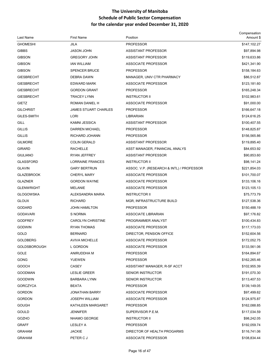| Last Name         | <b>First Name</b>           | Position                                  | Compensation<br>Amount \$ |
|-------------------|-----------------------------|-------------------------------------------|---------------------------|
| <b>GHOMESHI</b>   | <b>JILA</b>                 | <b>PROFESSOR</b>                          | \$147,102.27              |
| <b>GIBBS</b>      | <b>JASON JOHN</b>           | ASSISTANT PROFESSOR                       | \$97,894.98               |
| <b>GIBSON</b>     | <b>GREGORY JOHN</b>         | <b>ASSISTANT PROFESSOR</b>                | \$119,633.86              |
| <b>GIBSON</b>     | <b>IAN WILLIAM</b>          | ASSOCIATE PROFESSOR                       | \$421,341.90              |
| <b>GIBSON</b>     | <b>SPENCER BRUCE</b>        | <b>PROFESSOR</b>                          | \$158,184.63              |
| <b>GIESBRECHT</b> | <b>DEBRA DAWN</b>           | MANAGER, UNIV CTR PHARMACY                | \$86,512.87               |
| <b>GIESBRECHT</b> | <b>EDWARD MARK</b>          | ASSOCIATE PROFESSOR                       | \$123,181.60              |
| <b>GIESBRECHT</b> | <b>GORDON GRANT</b>         | <b>PROFESSOR</b>                          | \$165,248.34              |
| <b>GIESBRECHT</b> | <b>TRACEY LYNN</b>          | <b>INSTRUCTOR II</b>                      | \$102,983.61              |
| GIETZ             | ROMAN DANIEL H              | ASSOCIATE PROFESSOR                       | \$91,000.00               |
| <b>GILCHRIST</b>  | <b>JAMES STUART CHARLES</b> | <b>PROFESSOR</b>                          | \$166,647.18              |
| GILES-SMITH       | LORI                        | LIBRARIAN                                 | \$124,616.25              |
| GILL              | <b>KAMNI JESSICA</b>        | <b>ASSISTANT PROFESSOR</b>                | \$100,407.55              |
| <b>GILLIS</b>     | <b>DARREN MICHAEL</b>       | <b>PROFESSOR</b>                          | \$148,825.87              |
| <b>GILLIS</b>     | <b>RICHARD JOHANN</b>       | <b>PROFESSOR</b>                          | \$156,565.86              |
| <b>GILMORE</b>    | <b>COLIN GERALD</b>         | ASSISTANT PROFESSOR                       | \$119,895.40              |
| <b>GIRARD</b>     | <b>RACHELLE</b>             | ASST MANAGER, FINANCIAL ANALYS            | \$84,653.92               |
| <b>GIULIANO</b>   | <b>RYAN JEFFREY</b>         | ASSISTANT PROFESSOR                       | \$90,853.60               |
| <b>GLASSFORD</b>  | <b>LORRAINE FRANCES</b>     | <b>INSTRUCTOR II</b>                      | \$98,141.24               |
| <b>GLAVIN</b>     | <b>GARY BERTRUN</b>         | ASSOC. V.P. (RESEARCH & INTL) / PROFESSOR | \$221,854.03              |
| <b>GLAZEBROOK</b> | <b>CHERYL MARY</b>          | ASSOCIATE PROFESSOR                       | \$101,700.07              |
| <b>GLAZNER</b>    | <b>GORDON WAYNE</b>         | ASSOCIATE PROFESSOR                       | \$133,106.16              |
| <b>GLENWRIGHT</b> | <b>MELANIE</b>              | ASSOCIATE PROFESSOR                       | \$123,105.13              |
| <b>GLOGOWSKA</b>  | ALEKSANDRA MARIA            | <b>INSTRUCTOR II</b>                      | \$75,773.79               |
| <b>GLOUX</b>      | <b>RICHARD</b>              | <b>MGR, INFRASTRUCTURE BUILD</b>          | \$127,538.36              |
| <b>GODARD</b>     | <b>JOHN HAMILTON</b>        | <b>PROFESSOR</b>                          | \$150,488.19              |
| <b>GODAVARI</b>   | S NORMA                     | ASSOCIATE LIBRARIAN                       | \$97,176.82               |
| <b>GODFREY</b>    | <b>CAROLYN CHRISTINE</b>    | PROGRAMMER ANALYST                        | \$100,434.83              |
| <b>GODWIN</b>     | <b>RYAN THOMAS</b>          | ASSOCIATE PROFESSOR                       | \$117,173.03              |
| GOLD              | <b>BERNARD</b>              | DIRECTOR, PENSION OFFICE                  | \$152,604.56              |
| GOLDBERG          | <b>AVIVA MICHELLE</b>       | ASSOCIATE PROFESSOR                       | \$172,052.75              |
| GOLDSBOROUGH      | L GORDON                    | ASSOCIATE PROFESSOR                       | \$133,561.06              |
| GOLE              | ANIRUDDHA M                 | <b>PROFESSOR</b>                          | \$164,894.67              |
| <b>GONG</b>       | <b>YUEWEN</b>               | <b>PROFESSOR</b>                          | \$162,265.46              |
| GOOCH             | <b>CASEY</b>                | ASSISTANT MANAGER, R-SF ACCT              | \$102,955.39              |
| <b>GOODMAN</b>    | LESLIE GREER                | <b>SENIOR INSTRUCTOR</b>                  | \$191,070.30              |
| <b>GOODWIN</b>    | <b>BARBARA LYNN</b>         | <b>SENIOR INSTRUCTOR</b>                  | \$113,407.53              |
| <b>GORCZYCA</b>   | <b>BEATA</b>                | <b>PROFESSOR</b>                          | \$139,149.05              |
| <b>GORDON</b>     | <b>JONATHAN BARRY</b>       | ASSOCIATE PROFESSOR                       | \$97,499.62               |
| <b>GORDON</b>     | JOSEPH WILLIAM              | <b>ASSOCIATE PROFESSOR</b>                | \$124,975.87              |
| <b>GOUGH</b>      | KATHLEEN MARGARET           | <b>PROFESSOR</b>                          | \$162,088.85              |
| GOULD             | <b>JENNIFER</b>             | SUPERVISOR P.E.M.                         | \$117,034.59              |
| GOZHO             | NHAMO GEORGE                | <b>INSTRUCTOR II</b>                      | \$98,242.05               |
| GRAFF             | <b>LESLEY A</b>             | <b>PROFESSOR</b>                          | \$192,059.74              |
| GRAHAM            | <b>JACKIE</b>               | DIRECTOR OF HEALTH PROGARMS               | \$116,741.06              |
| <b>GRAHAM</b>     | PETER CJ                    | <b>ASSOCIATE PROFESSOR</b>                | \$108,834.44              |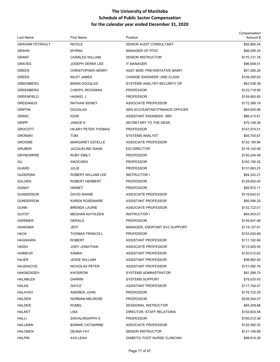| Last Name              | <b>First Name</b>          | Position                       | Compensation<br>Amount \$ |
|------------------------|----------------------------|--------------------------------|---------------------------|
| <b>GRAHAM-TETRAULT</b> | <b>NICOLE</b>              | SENIOR AUDIT CONSULTANT        | \$92,864.54               |
| <b>GRAHN</b>           | <b>MYRNA</b>               | MANAGER OF FFDC                | \$98,085.25               |
| <b>GRANT</b>           | <b>CHARLES WILLIAM</b>     | <b>SENIOR INSTRUCTOR</b>       | \$170,731.76              |
| <b>GRAVES</b>          | <b>JOSEPH DEREK LEE</b>    | IT MANAGER                     | \$96,608.51               |
| <b>GREEN</b>           | <b>CHRISTOPHER HENRY</b>   | ASST MGR, PREVENTATIVE MAINT.  | \$91,595.26               |
| <b>GREEN</b>           | <b>RILEY JAMES</b>         | CHARGE ENGINEER -2ND CLASS     | \$109,295.63              |
| <b>GREENBERG</b>       | <b>BRIAN DOUGLAS</b>       | SYSTEMS ANALYST-SECURITY OP    | \$83,538.39               |
| <b>GREENBERG</b>       | <b>CHERYL ROCKMAN</b>      | <b>PROFESSOR</b>               | \$122,716.90              |
| <b>GREENFIELD</b>      | <b>HASKEL J</b>            | <b>PROFESSOR</b>               | \$159,893.85              |
| <b>GREIDANUS</b>       | <b>NATHAN SIDNEY</b>       | ASSOCIATE PROFESSOR            | \$172,366.19              |
| <b>GRIFFIN</b>         | <b>DOUGLAS</b>             | SEN ACCOUNTANT/FINANCE OFFICER | \$94,655.99               |
| <b>GRINIC</b>          | <b>IGOR</b>                | ASSISTANT ENGINEER -3RD        | \$86,413.81               |
| <b>GRIPP</b>           | <b>JANICE K</b>            | SECRETARY TO THE DEAN          | \$75,148.38               |
| <b>GROCOTT</b>         | <b>HILARY PETER THOMAS</b> | <b>PROFESSOR</b>               | \$147,074.01              |
| <b>GRONSKI</b>         | <b>TOM</b>                 | <b>SYSTEMS ANALYST</b>         | \$93,700.67               |
| <b>GROOME</b>          | <b>MARGARET ESTELLE</b>    | ASSOCIATE PROFESSOR            | \$132,190.94              |
| <b>GRUBER</b>          | <b>JACQUELINE ISAAN</b>    | <b>EDI DIRECTOR</b>            | \$116,142.90              |
| <b>GRYMONPRE</b>       | <b>RUBY EMILY</b>          | <b>PROFESSOR</b>               | \$150,244.49              |
| GU                     | <b>XIAOCHEN</b>            | <b>PROFESSOR</b>               | \$162,190.52              |
| <b>GUARD</b>           | JULIE                      | <b>PROFESSOR</b>               | \$131,683.25              |
| <b>GUDERIAN</b>        | ROBERT WILLIAM LEE         | <b>INSTRUCTOR I</b>            | \$84,222.21               |
| <b>GULDEN</b>          | ROBERT HERBERT             | <b>PROFESSOR</b>               | \$128,650.40              |
| <b>GUNAY</b>           | <b>HIKMET</b>              | <b>PROFESSOR</b>               | \$92,672.11               |
| <b>GUNDERSON</b>       | DAVID SHANE                | ASSOCIATE PROFESSOR            | \$118,642.51              |
| <b>GUNDERSON</b>       | <b>KAREN ROSEMARIE</b>     | ASSISTANT PROFESSOR            | \$95,596.25               |
| <b>GUNN</b>            | <b>BRENDA LAURIE</b>       | ASSOCIATE PROFESSOR            | \$132,722.01              |
| <b>GUYOT</b>           | <b>MEGHAN KATHLEEN</b>     | <b>INSTRUCTOR I</b>            | \$84,903.01               |
| <b>GWINNER</b>         | <b>GERALD</b>              | <b>PROFESSOR</b>               | \$149,647.96              |
| <b>HAAKSMA</b>         | JEFF                       | MANAGER, ENDPOINT SVC-SUPPORT  | \$119,127.81              |
| <b>HACK</b>            | <b>THOMAS FRANCIS L</b>    | <b>PROFESSOR</b>               | \$153,930.89              |
| <b>HAGIWARA</b>        | ROBERT                     | ASSISTANT PROFESSOR            | \$111,182.84              |
| <b>HAIGH</b>           | <b>JODY JONATHAN</b>       | ASSOCIATE PROFESSOR            | \$112,005.45              |
| <b>HAIMEUR</b>         | ASMAA                      | ASSISTANT PROFESSOR            | \$130,512.62              |
| <b>HAJER</b>           | <b>JESSE WILLIAM</b>       | ASSISTANT PROFESSOR            | \$98,982.82               |
| <b>HAJIDIACOS</b>      | NICHOLAS PETER             | ASSISTANT PROFESSOR            | \$121,092.76              |
| HAKIMZADEH             | <b>KHOSROW</b>             | <b>SYSTEMS ADMINISTRATOR</b>   | \$91,288.75               |
| <b>HALABUZA</b>        | <b>DARRIN</b>              | <b>SYSTEMS SUPPORT</b>         | \$79,533.43               |
| HALAS                  | GAYLE                      | ASSISTANT PROFESSOR            | \$117,754.47              |
| HALAYKO                | ANDREW JOHN                | <b>PROFESSOR</b>               | \$176,722.29              |
| HALDEN                 | <b>NORMAN MELROSE</b>      | <b>PROFESSOR</b>               | \$239,344.27              |
| <b>HALDER</b>          | <b>RUMEL</b>               | <b>SESSIONAL INSTRUCTOR</b>    | \$84,208.68               |
| HALKET                 | <b>LISA</b>                | DIRECTOR, STAFF RELATIONS      | \$152,604.56              |
| HALLI                  | SHIVALINGAPPA S            | <b>PROFESSOR</b>               | \$185,512.36              |
| HALLMAN                | <b>BONNIE CATHARINE</b>    | ASSOCIATE PROFESSOR            | \$132,092.33              |
| <b>HALONEN</b>         | DEANA FAY                  | <b>SENIOR INSTRUCTOR</b>       | \$131,195.89              |
| <b>HALPIN</b>          | AVA LEAH                   | DIABETIC FOOT NURSE CLINICIAN  | \$88,814.28               |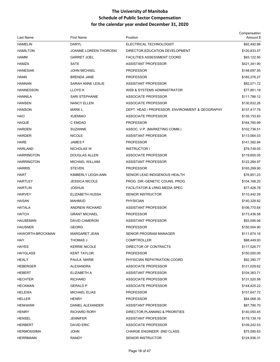| Last Name          | <b>First Name</b>             | Position                                        | Compensation<br>Amount \$ |
|--------------------|-------------------------------|-------------------------------------------------|---------------------------|
| <b>HAMELIN</b>     | <b>DARYL</b>                  | ELECTRICAL TECHNOLOGIST                         | \$92,492.88               |
| <b>HAMILTON</b>    | <b>JOANNE LOREEN THOROSKI</b> | DIRECTOR, EDUCATION DEVELOPMENT                 | \$120,833.57              |
| <b>HAMM</b>        | <b>GARRET JOEL</b>            | <b>FACILITIES ASSESSMENT COORD</b>              | \$93,122.95               |
| HAMZA              | SATE                          | ASSISTANT PROFESSOR                             | \$421,341.90              |
| <b>HANESIAK</b>    | <b>JOHN MICHAEL</b>           | <b>PROFESSOR</b>                                | \$148,697.95              |
| <b>HANN</b>        | <b>BRENDA JANE</b>            | <b>PROFESSOR</b>                                | \$165,276.27              |
| <b>HANNAN</b>      | SARAH ANNE LESLIE             | <b>ASSISTANT PROFESSOR</b>                      | \$82,071.72               |
| <b>HANNESSON</b>   | LLOYD K                       | WEB & SYSTEMS ADMINISTRATOR                     | \$77,851.19               |
| HANNILA            | <b>SARI STEPHANIE</b>         | ASSOCIATE PROFESSOR                             | \$111,786.12              |
| <b>HANSEN</b>      | <b>NANCY ELLEN</b>            | ASSOCIATE PROFESSOR                             | \$130,832.26              |
| <b>HANSON</b>      | <b>MARK L</b>                 | DEPT. HEAD / PROFESSOR, ENVIRONMENT & GEOGRAPHY | \$137,417.79              |
| HAO                | <b>XUEMIAO</b>                | ASSOCIATE PROFESSOR                             | \$135,153.83              |
| <b>HAQUE</b>       | C EMDAD                       | <b>PROFESSOR</b>                                | \$164,760.99              |
| <b>HARDEN</b>      | <b>SUZANNE</b>                | ASSOC. V.P. (MARKETING COMM.)                   | \$102,736.51              |
| <b>HARDER</b>      | <b>NICOLE</b>                 | ASSISTANT PROFESSOR                             | \$113,564.03              |
| <b>HARE</b>        | <b>JAMESF</b>                 | <b>PROFESSOR</b>                                | \$141,392.94              |
| <b>HARLAND</b>     | NICHOLAS W                    | <b>INSTRUCTOR I</b>                             | \$79,749.05               |
| <b>HARRINGTON</b>  | <b>DOUGLAS ALLEN</b>          | ASSOCIATE PROFESSOR                             | \$119,655.05              |
| <b>HARRINGTON</b>  | <b>MICHAEL WILLIAM</b>        | ASSISTANT PROFESSOR                             | \$122,284.97              |
| <b>HARRIS</b>      | <b>STEVEN</b>                 | <b>PROFESSOR</b>                                | \$165,299.90              |
| <b>HART</b>        | KIMBERLY LEIGH-ANN            | SENIOR LEAD INDIGENOUS HEALTH                   | \$76,851.23               |
| <b>HARTLEY</b>     | <b>JESSICA NICOLE</b>         | PROG. DIR.-GENETIC COUNS. PROG.                 | \$104,168.20              |
| <b>HARTLIN</b>     | <b>JOSHUA</b>                 | <b>FACILITATOR &amp; LRNG MEDIA SPEC</b>        | \$77,426.78               |
| <b>HARVEY</b>      | <b>ELIZABETH HUSSA</b>        | <b>SENIOR INSTRUCTOR</b>                        | \$110,442.59              |
| <b>HASAN</b>       | <b>MAHMUD</b>                 | <b>PHYSICIAN</b>                                | \$140,328.82              |
| <b>HATALA</b>      | <b>ANDREW RICHARD</b>         | ASSISTANT PROFESSOR                             | \$106,770.64              |
| <b>HATCH</b>       | <b>GRANT MICHAEL</b>          | <b>PROFESSOR</b>                                | \$173,436.58              |
| <b>HAUSEMAN</b>    | <b>DAVID CAMERON</b>          | ASSISTANT PROFESSOR                             | \$93,095.06               |
| <b>HAUSNER</b>     | <b>GEORG</b>                  | <b>PROFESSOR</b>                                | \$150,004.90              |
| HAWORTH-BROCKMAN   | <b>MARGARET JEAN</b>          | SENIOR PROGRAM MANAGER                          | \$111,674.16              |
| HAY                | THOMAS J                      | <b>COMPTROLLER</b>                              | \$88,449.93               |
| <b>HAYES</b>       | <b>KERRIE NICOLE</b>          | DIRECTOR OF CONTRACTS                           | \$117,526.77              |
| <b>HAYGLASS</b>    | <b>KENT TAYLOR</b>            | <b>PROFESSOR</b>                                | \$150,000.00              |
| <b>HEALY</b>       | PAULA MARIE                   | PHYSICIAN REPATRIATION COORD                    | \$92,390.77               |
| <b>HEBERGER</b>    | ALEXANDRA                     | ASSOCIATE PROFESSOR                             | \$121,029.62              |
| HEBERT             | ELIZABETH A                   | ASSISTANT PROFESSOR                             | \$104,363.71              |
| <b>HECHTER</b>     | <b>RICHARD</b>                | <b>ASSOCIATE PROFESSOR</b>                      | \$131,520.58              |
| <b>HECKMAN</b>     | <b>GERALD P</b>               | ASSOCIATE PROFESSOR                             | \$144,425.22              |
| <b>HELEWA</b>      | <b>MICHAEL ELIAS</b>          | <b>PROFESSOR</b>                                | \$151,647.72              |
| <b>HELLER</b>      | <b>HENRY</b>                  | <b>PROFESSOR</b>                                | \$84,068.35               |
| <b>HENHAWK</b>     | DANIEL ALEXANDER              | ASSISTANT PROFESSOR                             | \$87,790.70               |
| <b>HENRY</b>       | <b>RICHARD RORY</b>           | DIRECTOR, PLANNING & PRIORITIES                 | \$140,050.45              |
| <b>HENSEL</b>      | <b>JENNIFER</b>               | ASSISTANT PROFESSOR                             | \$179,139.19              |
| HERBERT            | DAVID ERIC                    | ASSOCIATE PROFESSOR                             | \$109,242.53              |
| <b>HERMOSISIMA</b> | <b>JOHN</b>                   | CHARGE ENGINEER -2ND CLASS                      | \$75,595.63               |
| <b>HERRMANN</b>    | <b>RANDY</b>                  | <b>SENIOR INSTRUCTOR</b>                        | \$124,936.31              |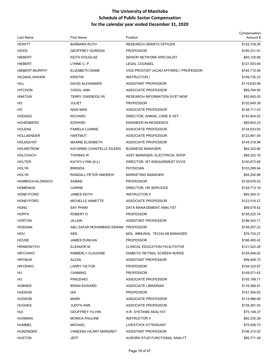| Last Name            | <b>First Name</b>                  | Position                                | Compensation<br>Amount \$ |
|----------------------|------------------------------------|-----------------------------------------|---------------------------|
| <b>HEWITT</b>        | <b>BARBARA RUTH</b>                | <b>RESEARCH GRANTS OFFICER</b>          | \$125,728.26              |
| <b>HICKS</b>         | <b>GEOFFREY GORDON</b>             | <b>PROFESSOR</b>                        | \$165,231.91              |
| <b>HIEBERT</b>       | <b>KEITH DOUGLAS</b>               | SENIOR NETWORK SPECIALIST               | \$93,125.86               |
| <b>HIEBERT</b>       | LYNNE C. P.                        | <b>LEGAL COUNSEL</b>                    | \$127,933.69              |
| HIEBERT-MURPHY       | ELIZABETH DIANE                    | VICE-PROVOST (ACAD AFFAIRS) / PROFESSOR | \$194,710.08              |
| <b>HILDAHL-SHAWN</b> | <b>KRISTIN</b>                     | <b>INSTRUCTOR I</b>                     | \$169,735.23              |
| HILL                 | DAVID ALEXANDER                    | ASSISTANT PROFESSOR                     | \$119,633.86              |
| <b>HITCHON</b>       | <b>CAROL ANN</b>                   | ASSOCIATE PROFESSOR                     | \$89,764.90               |
| <b>HNATIUK</b>       | <b>TERRY GWENDOLYN</b>             | <b>RESEARCH INFORMATION SYST MGR</b>    | \$93,893.00               |
| HO                   | <b>JULIET</b>                      | <b>PROFESSOR</b>                        | \$120,849.39              |
| HO                   | <b>NGAI MAN</b>                    | ASSOCIATE PROFESSOR                     | \$128,711.03              |
| <b>HODGES</b>        | <b>RICHARD</b>                     | DIRECTOR, ANIMAL CARE & VET.            | \$152,604.52              |
| <b>HOHENBERG</b>     | <b>EDWARD</b>                      | ENGINEER-IN-RESIDENCE                   | \$85,643.23               |
| <b>HOLENS</b>        | PAMELA LUANNE                      | ASSOCIATE PROFESSOR                     | \$134,633.83              |
| HOLLAENDER           | <b>HARTMUT</b>                     | ASSOCIATE PROFESSOR                     | \$122,861.05              |
| <b>HOLMQVIST</b>     | <b>MAXINE ELISABETH</b>            | ASSOCIATE PROFESSOR                     | \$144,318.96              |
| <b>HOLMSTROM</b>     | KATARINA CHANTELLE EILEEN          | <b>BUSINESS MANAGER</b>                 | \$84,323.80               |
| <b>HOLOVACH</b>      | <b>THOMAS W</b>                    | ASST MANAGER, ELECTRICAL SHOP           | \$89,322.16               |
| <b>HOLTER</b>        | KATHY-LYNN (K-L)                   | DIRECTOR, IST ENGAGEMENT SVCS           | \$150,673.85              |
| <b>HOLYK</b>         | <b>BRENDA</b>                      | <b>PHYSICIAN</b>                        | \$103,289.94              |
| <b>HOLYK</b>         | RANDALL PETER ANDREW               | <b>MARKETING MANAGER</b>                | \$94,292.98               |
| HOMBACH-KLONISCH     | <b>SABINE</b>                      | <b>PROFESSOR</b>                        | \$139,976.52              |
| <b>HOMENIUK</b>      | <b>CARRIE</b>                      | DIRECTOR, HR SERVICES                   | \$128,713.18              |
| <b>HONEYFORD</b>     | <b>JAMES KEITH</b>                 | <b>INSTRUCTOR II</b>                    | \$85,264.31               |
| <b>HONEYFORD</b>     | MICHELLE ANNETTE                   | ASSOCIATE PROFESSOR                     | \$123,516.27              |
| <b>HONG</b>          | <b>SAY PHAM</b>                    | DATA MANAGEMENT ANALYST                 | \$89,079.42               |
| <b>HOPPA</b>         | ROBERT D                           | <b>PROFESSOR</b>                        | \$158,225.74              |
| <b>HORTON</b>        | <b>JILLIAN</b>                     | ASSISTANT PROFESSOR                     | \$188,343.71              |
| <b>HOSSAIN</b>       | ABU ZAFAR MOHAMMAD EKRAM PROFESSOR |                                         | \$155,057.23              |
| HOU                  | <b>SEN</b>                         | MOL. IMMUNOL TECH/LAB MANAGER           | \$76,743.27               |
| <b>HOUSE</b>         | <b>JAMES DUNCAN</b>                | <b>PROFESSOR</b>                        | \$166,485.42              |
| <b>HRABOWYCH</b>     | ELEANOR M                          | CLINICAL EDUCATION FACILITATOR          | \$121,522.26              |
| <b>HRYCAIKO</b>      | KIMBERLY CLAUDINE                  | DIABETIC RETINAL SCREEN NURSE           | \$104,946.02              |
| <b>HRYNIUK</b>       | ALEXA                              | ASSISTANT PROFESSOR                     | \$99,406.73               |
| <b>HRYSHKO</b>       | <b>LARRY VICTOR</b>                | <b>PROFESSOR</b>                        | \$164,333.87              |
| HU                   | <b>CANMING</b>                     | <b>PROFESSOR</b>                        | \$148,071.63              |
| HU                   | <b>PINGZHAO</b>                    | ASSOCIATE PROFESSOR                     | \$105,198.71              |
| <b>HUBNER</b>        | <b>BRIAN EDWARD</b>                | ASSOCIATE LIBRARIAN                     | \$116,568.91              |
| <b>HUDSON</b>        | IAN                                | <b>PROFESSOR</b>                        | \$151,554.62              |
| <b>HUDSON</b>        | MARK                               | ASSOCIATE PROFESSOR                     | \$114,986.66              |
| <b>HUGHES</b>        | <b>JUDITH ANN</b>                  | ASSOCIATE PROFESSOR                     | \$129,381.93              |
| HUI                  | <b>GEOFFREY YU-HIN</b>             | H.R. SYSTEMS ANALYST                    | \$75,148.37               |
| <b>HUISMAN</b>       | <b>MONICA PAULINE</b>              | <b>INSTRUCTOR II</b>                    | \$82,330.28               |
| <b>HUMMEL</b>        | <b>MICHAEL</b>                     | LIVESTOCK ATTENDANT                     | \$75,006.73               |
| <b>HUNZINGER</b>     | VANESSA HILARY MARGRET             | ASSISTANT PROFESSOR                     | \$106,310.02              |
| <b>HUSTON</b>        | JEFF                               | AURORA STUD FUNCTIONAL ANALYT           | \$95,771.49               |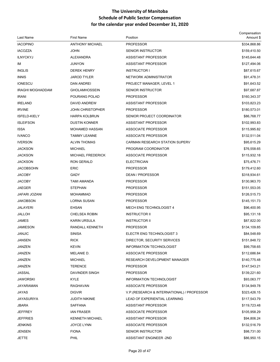| Last Name            | <b>First Name</b>        | Position                                    | Compensation<br>Amount \$ |
|----------------------|--------------------------|---------------------------------------------|---------------------------|
| <b>IACOPINO</b>      | <b>ANTHONY MICHAEL</b>   | <b>PROFESSOR</b>                            | \$334,868.86              |
| <b>IACOZZA</b>       | <b>JOHN</b>              | <b>SENIOR INSTRUCTOR</b>                    | \$159,410.50              |
| <b>ILNYCKYJ</b>      | <b>ALEXANDRA</b>         | <b>ASSISTANT PROFESSOR</b>                  | \$145,644.48              |
| ΙM                   | <b>JUNYON</b>            | ASSISTANT PROFESSOR                         | \$127,494.06              |
| <b>INGLIS</b>        | <b>DEREK HENRY</b>       | <b>INSTRUCTOR I</b>                         | \$87,615.67               |
| <b>INNIS</b>         | <b>JAROD TYLER</b>       | NETWORK ADMINISTRATOR                       | \$91,478.31               |
| <b>IONESCU</b>       | DAN ANDREI               | PROJECT MANAGER, LEVEL 1                    | \$91,643.52               |
| IRAGHI MOGHADDAM     | <b>GHOLAMHOSSEIN</b>     | <b>SENIOR INSTRUCTOR</b>                    | \$97,687.87               |
| <b>IRANI</b>         | POURANG POLAD            | <b>PROFESSOR</b>                            | \$160,343.37              |
| <b>IRELAND</b>       | DAVID ANDREW             | ASSISTANT PROFESSOR                         | \$103,823.23              |
| <b>IRVINE</b>        | <b>JOHN CHRISTOPHER</b>  | <b>PROFESSOR</b>                            | \$180,573.01              |
| <b>ISFELD-KIELY</b>  | <b>HARPA KOLBRUN</b>     | SENIOR PROJECT COORDINATOR                  | \$86,768.77               |
| <b>ISLEIFSON</b>     | <b>DUSTIN KONNER</b>     | ASSISTANT PROFESSOR                         | \$102,993.83              |
| <b>ISSA</b>          | <b>MOHAMED HASSAN</b>    | ASSOCIATE PROFESSOR                         | \$115,995.82              |
| <b>IVANCO</b>        | <b>TAMMY LEANNE</b>      | ASSOCIATE PROFESSOR                         | \$132,511.04              |
| <b>IVERSON</b>       | <b>ALVIN THOMAS</b>      | CARMAN RESEARCH STATION SUPERV              | \$95,615.29               |
| JACKSON              | <b>MICHAEL</b>           | PROGRAM COORDINATOR                         | \$76,558.65               |
| <b>JACKSON</b>       | <b>MICHAEL FREDERICK</b> | ASSOCIATE PROFESSOR                         | \$115,932.18              |
| JACKSON              | <b>RON GERALD</b>        | <b>ELECTRICIAN</b>                          | \$75,476.71               |
| JACOBSOHN            | <b>ERIC</b>              | <b>PROFESSOR</b>                            | \$179,412.60              |
| <b>JACOBY</b>        | <b>GADY</b>              | DEAN / PROFESSOR                            | \$318,934.61              |
| <b>JACOBY</b>        | <b>TAMI AMANDA</b>       | <b>PROFESSOR</b>                            | \$130,963.70              |
| <b>JAEGER</b>        | <b>STEPHAN</b>           | <b>PROFESSOR</b>                            | \$151,553.05              |
| <b>JAFARI JOZANI</b> | <b>MOHAMMAD</b>          | <b>PROFESSOR</b>                            | \$126,515.73              |
| <b>JAKOBSON</b>      | <b>LORNA SUSAN</b>       | <b>PROFESSOR</b>                            | \$145,151.73              |
| <b>JALAYERI</b>      | <b>EHSAN</b>             | MECH ENG TECHNOLOGIST 4                     | \$96,400.95               |
| <b>JALLOH</b>        | <b>CHELSEA ROBIN</b>     | <b>INSTRUCTOR II</b>                        | \$95,131.18               |
| <b>JAMES</b>         | KARIN URSULA             | <b>INSTRUCTOR II</b>                        | \$87,822.00               |
| <b>JAMIESON</b>      | RANDALL KENNETH          | <b>PROFESSOR</b>                            | \$134,109.85              |
| <b>JANJIC</b>        | <b>SINISA</b>            | ELECTR ENG TECHNOLOGIST 3                   | \$84,548.69               |
| JANSEN               | <b>RICK</b>              | DIRECTOR, SECURITY SERVICES                 | \$151,848.72              |
| JANZEN               | <b>KEVIN</b>             | INFORMATION TECHNOLOGIST                    | \$99,758.65               |
| JANZEN               | MELANIE D.               | ASSOCIATE PROFESSOR                         | \$112,686.84              |
| JANZEN               | <b>MICHAEL</b>           | RESEARCH DEVELOPMENT MANAGER                | \$140,775.48              |
| JANZEN               | <b>TERENCE</b>           | <b>PROFESSOR</b>                            | \$147,543.21              |
| JASSAL               | DAVINDER SINGH           | <b>PROFESSOR</b>                            | \$139,221.60              |
| JAWORSKI             | KYLE                     | INFORMATION TECHNOLOGIST                    | \$93,063.77               |
| JAYARAMAN            | RAGHAVAN                 | ASSOCIATE PROFESSOR                         | \$134,949.78              |
| JAYAS                | <b>DIGVIR</b>            | V.P. (RESEARCH & INTERNATIONAL) / PROFESSOR | \$323,426.15              |
| JAYASURIYA           | <b>JUDITH NIKINIE</b>    | LEAD OF EXPERIENTIAL LEARNING               | \$117,543.79              |
| JBARA                | SAFFANA                  | ASSISTANT PROFESSOR                         | \$119,723.48              |
| JEFFREY              | <b>IAN FRASER</b>        | ASSOCIATE PROFESSOR                         | \$105,958.29              |
| <b>JEFFRIES</b>      | <b>KENNETH MICHAEL</b>   | ASSISTANT PROFESSOR                         | \$94,806.24               |
| <b>JENKINS</b>       | JOYCE LYNN               | ASSOCIATE PROFESSOR                         | \$132,516.79              |
| JENSEN               | <b>FIONA</b>             | <b>SENIOR INSTRUCTOR</b>                    | \$98,731.00               |
| <b>JETTE</b>         | PHIL                     | ASSISTANT ENGINEER -2ND                     | \$86,950.15               |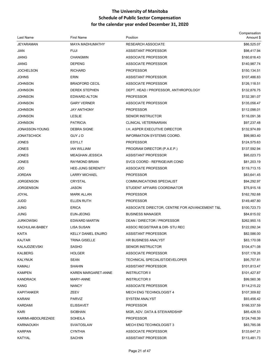| Last Name          | <b>First Name</b>          | Position                                       | Compensation<br>Amount \$ |
|--------------------|----------------------------|------------------------------------------------|---------------------------|
| <b>JEYARAMAN</b>   | <b>MAYA MADHUMATHY</b>     | <b>RESEARCH ASSOCIATE</b>                      | \$86,525.07               |
| JIAN               | FUJI                       | <b>ASSISTANT PROFESSOR</b>                     | \$98,417.94               |
| <b>JIANG</b>       | <b>CHANGMIN</b>            | ASSOCIATE PROFESSOR                            | \$160,616.43              |
| <b>JIANG</b>       | <b>DEPENG</b>              | ASSOCIATE PROFESSOR                            | \$140,987.74              |
| <b>JOCHELSON</b>   | <b>RICHARD</b>             | <b>PROFESSOR</b>                               | \$150,134.51              |
| <b>JOHNS</b>       | <b>ERIN</b>                | <b>ASSISTANT PROFESSOR</b>                     | \$107,486.83              |
| <b>JOHNSON</b>     | <b>BRADFORD CECIL</b>      | ASSOCIATE PROFESSOR                            | \$126,118.51              |
| <b>JOHNSON</b>     | <b>DEREK STEPHEN</b>       | DEPT. HEAD / PROFESSOR, ANTHROPOLOGY           | \$132,876.75              |
| <b>JOHNSON</b>     | EDWARD ALTON               | <b>PROFESSOR</b>                               | \$132,381.07              |
| <b>JOHNSON</b>     | <b>GARY VERNER</b>         | ASSOCIATE PROFESSOR                            | \$135,056.47              |
| <b>JOHNSON</b>     | <b>JAY ANTHONY</b>         | <b>PROFESSOR</b>                               | \$112,098.01              |
| <b>JOHNSON</b>     | <b>LESLIE</b>              | <b>SENIOR INSTRUCTOR</b>                       | \$116,091.38              |
| <b>JOHNSON</b>     | <b>PATRICIA</b>            | <b>CLINICAL VETERINARIAN</b>                   | \$97,237.48               |
| JONASSON-YOUNG     | <b>DEBRA SIGNE</b>         | I.H. ASPER EXECUTIVE DIRECTOR                  | \$132,974.89              |
| <b>JONATSCHICK</b> | <b>GUY J D</b>             | INFORMATION SYSTEMS COORD.                     | \$99,983.40               |
| <b>JONES</b>       | <b>ESYLLT</b>              | <b>PROFESSOR</b>                               | \$124,575.63              |
| <b>JONES</b>       | <b>JAN WILLIAM</b>         | PROGRAM DIRECTOR (P.A.E.P.)                    | \$137,592.94              |
| <b>JONES</b>       | <b>MEAGHAN JESSICA</b>     | ASSISTANT PROFESSOR                            | \$95,023.73               |
| <b>JONES</b>       | <b>RAYMOND BRIAN</b>       | SVCS COORD - REFRIGE/AIR COND                  | \$81,203.19               |
| <b>JOO</b>         | HEE-JUNG SERENITY          | ASSOCIATE PROFESSOR                            | \$119,713.15              |
| <b>JORDAN</b>      | <b>LARRY MICHAEL</b>       | <b>PROFESSOR</b>                               | \$83,641.45               |
| <b>JORGENSON</b>   | <b>CRYSTAL</b>             | <b>COMMUNICATIONS SPECIALIST</b>               | \$94,292.97               |
| <b>JORGENSON</b>   | JASON                      | STUDENT AFFAIRS COORDINATOR                    | \$75,915.18               |
| <b>JOYAL</b>       | <b>MARK ALLAN</b>          | <b>PROFESSOR</b>                               | \$162,782.68              |
| JUDD               | <b>ELLEN RUTH</b>          | <b>PROFESSOR</b>                               | \$149,487.80              |
| <b>JUNG</b>        | <b>ERICA</b>               | ASSOCIATE DIRECTOR, CENTRE FOR ADVANCEMENT T&L | \$100,723.73              |
| <b>JUNG</b>        | <b>EUN-JEONG</b>           | <b>BUSINESS MANAGER</b>                        | \$84,615.02               |
| <b>JURKOWSKI</b>   | <b>EDWARD MARTIN</b>       | DEAN / DIRECTOR / PROFESSOR                    | \$262,950.15              |
| KACHULAK-BABEY     | LISA SUSAN                 | ASSOC REGISTRAR & DIR-STU REC                  | \$122,092.34              |
| <b>KAITA</b>       | <b>KELLY DANIEL ENJIRO</b> | ASSISTANT PROFESSOR                            | \$82,586.00               |
| <b>KAJTAR</b>      | TRINA GISELLE              | HR BUSINESS ANALYST                            | \$83,170.08               |
| KALAJDZIEVSKI      | SASHO                      | <b>SENIOR INSTRUCTOR</b>                       | \$104,471.08              |
| KALBERG            | <b>HOLGER</b>              | ASSOCIATE PROFESSOR                            | \$107,178.26              |
| <b>KALYNUK</b>     | SEAN                       | TECHNICAL SPECIALIST/DEVELOPER                 | \$95,757.81               |
| KAMALI             | <b>SHAHIN</b>              | ASSISTANT PROFESSOR                            | \$101,813.47              |
| <b>KAMPEN</b>      | KAREN MARGARET-ANNE        | <b>INSTRUCTOR II</b>                           | \$101,427.87              |
| <b>KANDRACK</b>    | MARY-ANNE                  | <b>INSTRUCTOR II</b>                           | \$99,560.36               |
| KANG               | <b>NANCY</b>               | ASSOCIATE PROFESSOR                            | \$114,215.22              |
| <b>KAPITANKER</b>  | ZEEV                       | MECH ENG TECHNOLOGIST 4                        | \$107,309.82              |
| KARANI             | <b>PARVIZ</b>              | SYSTEM ANALYST                                 | \$93,456.42               |
| KARDAMI            | <b>ELISSAVET</b>           | <b>PROFESSOR</b>                               | \$166,337.59              |
| KARI               | <b>SIOBHAN</b>             | MGR, ADV. DATA & STEWARDSHIP                   | \$85,428.53               |
| KARIMI-ABDOLREZAEE | SOHEILA                    | <b>PROFESSOR</b>                               | \$124,748.39              |
| <b>KARNAOUKH</b>   | <b>SVIATOSLAW</b>          | MECH ENG TECHNOLOGIST 3                        | \$83,785.08               |
| <b>KARPAN</b>      | <b>CYNTHIA</b>             | ASSOCIATE PROFESSOR                            | \$133,647.21              |
| KATYAL             | <b>SACHIN</b>              | ASSISTANT PROFESSOR                            | \$113,481.73              |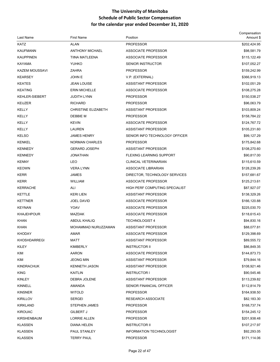| Last Name             | <b>First Name</b>          | Position                        | Compensation<br>Amount \$ |
|-----------------------|----------------------------|---------------------------------|---------------------------|
| <b>KATZ</b>           | <b>ALAN</b>                | <b>PROFESSOR</b>                | \$202,424.95              |
| <b>KAUFMANN</b>       | <b>ANTHONY MICHAEL</b>     | ASSOCIATE PROFESSOR             | \$98,581.79               |
| <b>KAUPPINEN</b>      | <b>TIINA MATLEENA</b>      | ASSOCIATE PROFESSOR             | \$115,122.49              |
| KAYAMA                | <b>YUHKO</b>               | <b>SENIOR INSTRUCTOR</b>        | \$107,052.27              |
| <b>KAZEM MOUSSAVI</b> | ZAHRA                      | <b>PROFESSOR</b>                | \$159,242.99              |
| <b>KEARSEY</b>        | <b>JOHN E</b>              | V.P. (EXTERNAL)                 | \$366,919.13              |
| <b>KEATES</b>         | <b>JEAN LOUISE</b>         | ASSISTANT PROFESSOR             | \$102,051.29              |
| <b>KEATING</b>        | <b>ERIN MICHELLE</b>       | ASSOCIATE PROFESSOR             | \$108,275.28              |
| <b>KEHLER-SIEBERT</b> | <b>JUDITH LYNN</b>         | <b>PROFESSOR</b>                | \$150,538.27              |
| KEIJZER               | <b>RICHARD</b>             | <b>PROFESSOR</b>                | \$96,063.79               |
| <b>KELLY</b>          | <b>CHRISTINE ELIZABETH</b> | ASSISTANT PROFESSOR             | \$103,809.24              |
| <b>KELLY</b>          | <b>DEBBIE M</b>            | <b>PROFESSOR</b>                | \$158,784.22              |
| <b>KELLY</b>          | <b>KEVIN</b>               | ASSOCIATE PROFESSOR             | \$124,767.72              |
| KELLY                 | <b>LAUREN</b>              | <b>ASSISTANT PROFESSOR</b>      | \$105,231.60              |
| <b>KELSO</b>          | <b>JAMES HENRY</b>         | SENIOR INFO TECHNOLOGY OFFICER  | \$99,127.29               |
| <b>KENKEL</b>         | <b>NORMAN CHARLES</b>      | <b>PROFESSOR</b>                | \$175,842.68              |
| <b>KENNEDY</b>        | <b>GERARD JOSEPH</b>       | ASSISTANT PROFESSOR             | \$108,270.60              |
| <b>KENNEDY</b>        | <b>JONATHAN</b>            | <b>FLEXING LEARNING SUPPORT</b> | \$90,817.00               |
| <b>KENNY</b>          | LEO                        | <b>CLINICAL VETERINARIAN</b>    | \$115,610.59              |
| <b>KEOWN</b>          | <b>VERA LYNN</b>           | ASSOCIATE LIBRARIAN             | \$128,239.26              |
| <b>KERR</b>           | JAMES                      | DIRECTOR, TECHNOLOGY SERVICES   | \$157,681.67              |
| <b>KERR</b>           | <b>WILLIAM</b>             | ASSOCIATE PROFESSOR             | \$125,213.61              |
| KERRACHE              | ALI                        | HIGH PERF COMPUTING SPECIALIST  | \$87,927.07               |
| <b>KETTLE</b>         | <b>KERI LIEN</b>           | ASSISTANT PROFESSOR             | \$138,329.26              |
| <b>KETTNER</b>        | <b>JOEL DAVID</b>          | ASSOCIATE PROFESSOR             | \$166,120.88              |
| <b>KEYNAN</b>         | <b>YOAV</b>                | ASSOCIATE PROFESSOR             | \$225,030.70              |
| <b>KHAJEHPOUR</b>     | <b>MAZDAK</b>              | ASSOCIATE PROFESSOR             | \$118,615.43              |
| <b>KHAN</b>           | ABDUL KHALIQ               | <b>TECHNOLOGIST 4</b>           | \$94,830.16               |
| <b>KHAN</b>           | MOHAMMAD NURUZZAMAN        | ASSISTANT PROFESSOR             | \$88,077.81               |
| <b>KHODAY</b>         | AMAR                       | ASSOCIATE PROFESSOR             | \$129,398.69              |
| <b>KHOSHDARREGI</b>   | MATT                       | <b>ASSISTANT PROFESSOR</b>      | \$89,555.72               |
| KILEY                 | <b>KIMBERLY</b>            | <b>INSTRUCTOR II</b>            | \$86,849.35               |
| KIM                   | AARON                      | ASSOCIATE PROFESSOR             | \$144,873.73              |
| KIM                   | <b>JEONG MIN</b>           | ASSISTANT PROFESSOR             | \$79,844.16               |
| <b>KINDRACHUK</b>     | <b>KENNETH JASON</b>       | ASSISTANT PROFESSOR             | \$108,921.46              |
| KING                  | KAITLIN                    | <b>INSTRUCTOR I</b>             | \$90,545.46               |
| KINLEY                | DEBRA JOLENE               | ASSISTANT PROFESSOR             | \$113,239.82              |
| <b>KINNELL</b>        | AMANDA                     | SENIOR FINANCIAL OFFICER        | \$112,814.79              |
| <b>KINSNER</b>        | <b>WITOLD</b>              | <b>PROFESSOR</b>                | \$164,938.50              |
| <b>KIRILLOV</b>       | <b>SERGEI</b>              | <b>RESEARCH ASSOCIATE</b>       | \$82,183.30               |
| <b>KIRKLAND</b>       | <b>STEPHEN JAMES</b>       | <b>PROFESSOR</b>                | \$168,737.74              |
| <b>KIROUAC</b>        | GILBERT J                  | <b>PROFESSOR</b>                | \$154,245.12              |
| KIRSHENBAUM           | LORRIE ALLEN               | <b>PROFESSOR</b>                | \$201,938.48              |
| <b>KLASSEN</b>        | DIANA HELEN                | <b>INSTRUCTOR II</b>            | \$107,217.97              |
| <b>KLASSEN</b>        | PAUL STANLEY               | INFORMATION TECHNOLOGIST        | \$92,293.05               |
| <b>KLASSEN</b>        | <b>TERRY PAUL</b>          | <b>PROFESSOR</b>                | \$171,114.06              |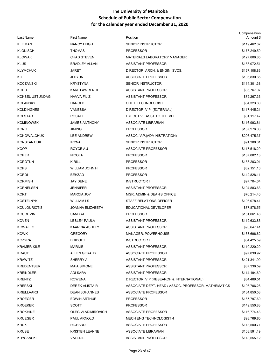| Last Name           | <b>First Name</b>         | Position                                             | Compensation<br>Amount \$ |
|---------------------|---------------------------|------------------------------------------------------|---------------------------|
| <b>KLEIMAN</b>      | <b>NANCY LEIGH</b>        | <b>SENIOR INSTRUCTOR</b>                             | \$119,462.67              |
| <b>KLONISCH</b>     | THOMAS                    | <b>PROFESSOR</b>                                     | \$173,249.50              |
| <b>KLOWAK</b>       | <b>CHAD STEVEN</b>        | MATERIALS LABORATORY MANAGER                         | \$127,806.85              |
| <b>KLUS</b>         | <b>BRADLEY ALLAN</b>      | ASSISTANT PROFESSOR                                  | \$158,072.51              |
| <b>KLYMCHUK</b>     | JARET                     | DIRECTOR, ARCH. & ENGIN. SVCS.                       | \$167,108.83              |
| KO                  | <b>JI HYUN</b>            | ASSOCIATE PROFESSOR                                  | \$105,830.65              |
| <b>KOCZANSKI</b>    | <b>KRYSTYNA</b>           | <b>SENIOR INSTRUCTOR</b>                             | \$114,301.38              |
| <b>KOHUT</b>        | <b>KARL LAWRENCE</b>      | ASSISTANT PROFESSOR                                  | \$85,767.07               |
| KOKSEL USTUNDAG     | <b>HAVVA FILIZ</b>        | ASSISTANT PROFESSOR                                  | \$79,267.33               |
| <b>KOLANSKY</b>     | <b>HAROLD</b>             | CHIEF TECHNOLOGIST                                   | \$84,323.80               |
| <b>KOLDINGNES</b>   | <b>VANESSA</b>            | DIRECTOR, V.P. (EXTERNAL)                            | \$117,445.21              |
| <b>KOLSTAD</b>      | <b>ROSALIE</b>            | EXECUTIVE ASST TO THE VPE                            | \$81,117.47               |
| <b>KOMINOWSKI</b>   | JAMES ANTHONY             | ASSOCIATE LIBRARIAN                                  | \$116,993.61              |
| <b>KONG</b>         | JIMING                    | <b>PROFESSOR</b>                                     | \$157,276.08              |
| <b>KONOWALCHUK</b>  | <b>LEE ANDREW</b>         | ASSOC. V.P. (ADMINISTRATION)                         | \$206,475.37              |
| KONSTANTIUK         | <b>IRYNA</b>              | <b>SENIOR INSTRUCTOR</b>                             | \$91,388.81               |
| <b>KOOP</b>         | ROYCE A J                 | ASSOCIATE PROFESSOR                                  | \$117,518.29              |
| <b>KOPER</b>        | <b>NICOLA</b>             | <b>PROFESSOR</b>                                     | \$137,082.13              |
| <b>KOPOTUN</b>      | <b>KIRILL</b>             | <b>PROFESSOR</b>                                     | \$158,203.01              |
| <b>KOPS</b>         | WILLIAM JOHN H            | <b>PROFESSOR</b>                                     | \$82,151.16               |
| <b>KORDI</b>        | <b>BEHZAD</b>             | <b>PROFESSOR</b>                                     | \$142,828.11              |
| <b>KORMISH</b>      | JAY DENE                  | <b>INSTRUCTOR II</b>                                 | \$97,704.64               |
| KORNELSEN           | JENNIFER                  | ASSISTANT PROFESSOR                                  | \$104,883.63              |
| <b>KORT</b>         | <b>MARCIA JOY</b>         | MGR, ADMIN & DEAN'S OFFICE                           | \$76,214.40               |
| <b>KOSTELNYK</b>    | <b>WILLIAM I S</b>        | STAFF RELATIONS OFFICER                              | \$106,078.41              |
| <b>KOULOURIOTIS</b> | JOANNA ELIZABETH          | EDUCATIONAL DEVELOPER                                | \$77,878.55               |
| <b>KOURITZIN</b>    | SANDRA                    | <b>PROFESSOR</b>                                     | \$161,061.46              |
| <b>KOVEN</b>        | <b>LESLEY PAULA</b>       | ASSISTANT PROFESSOR                                  | \$119,633.86              |
| <b>KOWALEC</b>      | <b>KAARINA ASHLEY</b>     | <b>ASSISTANT PROFESSOR</b>                           | \$93,647.41               |
| <b>KOWK</b>         | <b>GREGORY</b>            | <b>MANAGER, POWERHOUSE</b>                           | \$138,696.62              |
| <b>KOZYRA</b>       | <b>BRIDGET</b>            | <b>INSTRUCTOR II</b>                                 | \$84,425.59               |
| <b>KRAMER-KILE</b>  | <b>MARNIE</b>             | ASSISTANT PROFESSOR                                  | \$110,220.20              |
| KRAUT               | ALLEN GERALD              | ASSOCIATE PROFESSOR                                  | \$97,039.92               |
| <b>KRAWITZ</b>      | SHERRY A.                 | ASSISTANT PROFESSOR                                  | \$421,341.90              |
| <b>KREDENTSER</b>   | <b>MAIA SIMONE</b>        | ASSISTANT PROFESSOR                                  | \$87,336.59               |
| <b>KREINDLER</b>    | ADI SARA                  | ASSISTANT PROFESSOR                                  | \$114,194.69              |
| <b>KRENTZ</b>       | ROWENA                    | DIRECTOR, V.P. (RESEARCH & INTERNATIONAL)            | \$84,489.51               |
| <b>KREPSKI</b>      | <b>DEREK ALISTAIR</b>     | ASSOCIATE DEPT. HEAD / ASSOC. PROFESSOR, MATHEMATICS | \$106,706.28              |
| <b>KRIELLAARS</b>   | <b>DEAN JOHANNES</b>      | ASSOCIATE PROFESSOR                                  | \$134,850.58              |
| <b>KROEGER</b>      | EDWIN ARTHUR              | <b>PROFESSOR</b>                                     | \$167,797.60              |
| KROEKER             | SCOTT                     | <b>PROFESSOR</b>                                     | \$149,550.83              |
| <b>KROKHINE</b>     | <b>OLEG VLADIMIROVICH</b> | ASSOCIATE PROFESSOR                                  | \$116,774.43              |
| <b>KRUEGER</b>      | PAUL ARNOLD               | MECH ENG TECHNOLOGIST 4                              | \$93,769.80               |
| KRUK                | RICHARD                   | ASSOCIATE PROFESSOR                                  | \$113,500.71              |
| <b>KRUSE</b>        | <b>KRISTEN LEANNE</b>     | ASSOCIATE LIBRARIAN                                  | \$108,591.19              |
| <b>KRYSANSKI</b>    | VALERIE                   | ASSISTANT PROFESSOR                                  | \$118,555.12              |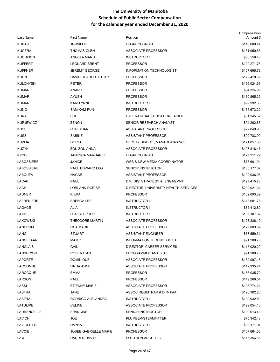| Last Name         | <b>First Name</b>            | Position                              | Compensation<br>Amount \$ |
|-------------------|------------------------------|---------------------------------------|---------------------------|
| <b>KUBAS</b>      | <b>JENNIFER</b>              | <b>LEGAL COUNSEL</b>                  | \$116,689.44              |
| <b>KUCERA</b>     | <b>THOMAS GLEN</b>           | <b>ASSOCIATE PROFESSOR</b>            | \$131,950.83              |
| <b>KUCHISON</b>   | ANGELA MARIA                 | <b>INSTRUCTOR I</b>                   | \$80,558.46               |
| <b>KUFFERT</b>    | <b>LEONARD BRENT</b>         | <b>PROFESSOR</b>                      | \$129,271.76              |
| <b>KUFFNER</b>    | <b>JEREMY GEORGE</b>         | INFORMATION TECHNOLOGIST              | \$107,696.72              |
| <b>KUHN</b>       | DAVID CHARLES STORY          | <b>PROFESSOR</b>                      | \$172,410.39              |
| <b>KULCHYSKI</b>  | <b>PETER</b>                 | <b>PROFESSOR</b>                      | \$166,024.59              |
| <b>KUMAR</b>      | <b>ANAND</b>                 | <b>PROFESSOR</b>                      | \$94,324.95               |
| <b>KUMAR</b>      | <b>AYUSH</b>                 | <b>PROFESSOR</b>                      | \$130,565.39              |
| <b>KUMAR</b>      | <b>KARI LYNNE</b>            | <b>INSTRUCTOR II</b>                  | \$99,992.33               |
| <b>KUNG</b>       | <b>SAM KAM-PUN</b>           | <b>PROFESSOR</b>                      | \$135,673.22              |
| <b>KURAL</b>      | <b>BRITT</b>                 | <b>EXPERIENTIAL EDUCATION FACILIT</b> | \$81,345.32               |
| <b>KURJEWICZ</b>  | <b>ZENON</b>                 | SENIOR RESEARCH ANALYST               | \$94,292.83               |
| <b>KUSS</b>       | <b>CHRISTIAN</b>             | <b>ASSISTANT PROFESSOR</b>            | \$92,849.90               |
| <b>KUSS</b>       | <b>SABINE</b>                | ASSISTANT PROFESSOR                   | \$92,783.90               |
| <b>KUZMA</b>      | <b>DORIS</b>                 | DEPUTY DIRECT., MANAGE/FINANCE        | \$121,857.35              |
| KUZYK             | ZOU ZOU ANNA                 | ASSOCIATE PROFESSOR                   | \$107,818.47              |
| <b>KYDD</b>       | <b>JANESCA MARGARET</b>      | <b>LEGAL COUNSEL</b>                  | \$127,211.29              |
| <b>LABOSSIERE</b> | <b>JANICE</b>                | WEB & NEW MEDIA COORDINATOR           | \$78,601.94               |
| <b>LABOSSIERE</b> | PAUL EDWARD LEO              | <b>SENIOR INSTRUCTOR</b>              | \$135,177.67              |
| <b>LABOUTA</b>    | <b>HAGAR</b>                 | ASSISTANT PROFESSOR                   | \$102,936.08              |
| <b>LACAP</b>      | <b>PAUL</b>                  | DIR, DIGI STRATEGY & ENGAGMNT         | \$127,415.73              |
| LACH              | <b>LORI-ANN DORISE</b>       | DIRECTOR, UNIVERSITY HEALTH SERVICES  | \$202,021.34              |
| LADNER            | KIERA                        | <b>PROFESSOR</b>                      | \$162,693.39              |
| LAFRENIERE        | <b>BRENDA LEE</b>            | <b>INSTRUCTOR II</b>                  | \$143,681.78              |
| LAGACE            | <b>ALIA</b>                  | <b>INSTRUCTOR I</b>                   | \$85,412.80               |
| LAING             | <b>CHRISTOPHER</b>           | <b>INSTRUCTOR II</b>                  | \$107,107.32              |
| <b>LAKOWSKI</b>   | THEODORE MARTIN              | ASSOCIATE PROFESSOR                   | \$123,836.19              |
| LANDRUM           | LISA MARIE                   | ASSOCIATE PROFESSOR                   | \$127,883.89              |
| LANG              | <b>STUART</b>                | <b>ASSISTANT ENGINEER</b>             | \$78,559.31               |
| LANGELAAR         | <b>MAIKO</b>                 | <b>INFORMATION TECHNOLOGIST</b>       | \$91,288.78               |
| LANGLAIS          | <b>GAIL</b>                  | DIRECTOR, CAREER SERVICES             | \$115,020.20              |
| LANSDOWN          | ROBERT IAN                   | PROGRAMMER ANALYST                    | \$91,288.75               |
| <b>LAPORTE</b>    | <b>DOMINIQUE</b>             | ASSOCIATE PROFESSOR                   | \$132,097.16              |
| LARCOMBE          | <b>LINDA ANNE</b>            | ASSOCIATE PROFESSOR                   | \$112,935.74              |
| LAROCQUE          | EMMA                         | <b>PROFESSOR</b>                      | \$166,035.70              |
| LARSON            | <b>PAUL</b>                  | <b>PROFESSOR</b>                      | \$149,266.54              |
| LASSI             | ETIENNE-MARIE                | ASSOCIATE PROFESSOR                   | \$108,774.24              |
| LASTRA            | JANE                         | ASSOC REGISTRAR & DIR-FAA             | \$120,302.26              |
| LASTRA            | RODRIGO ALEJANDRO            | <b>INSTRUCTOR II</b>                  | \$100,932.89              |
| <b>LATULIPE</b>   | <b>CELINE</b>                | ASSOCIATE PROFESSOR                   | \$129,054.10              |
| LAURENCELLE       | <b>FRANCINE</b>              | <b>SENIOR INSTRUCTOR</b>              | \$109,013.43              |
| LAVICH            | JOE                          | PLUMBER/STEAMFITTER                   | \$75,342.48               |
| LAVIOLETTE        | DAYNA                        | <b>INSTRUCTOR II</b>                  | \$93,171.97               |
| LAVOIE            | <b>JOSEE GABRIELLE MARIE</b> | <b>PROFESSOR</b>                      | \$167,664.03              |
| LAW               | DARREN DAVID                 | SOLUTION ARCHITECT                    | \$116,356.56              |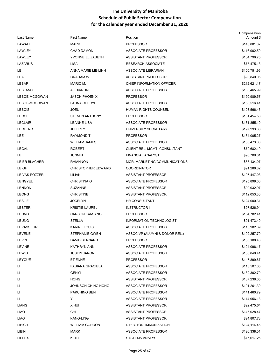| Last Name      | <b>First Name</b>         | Position                       | Compensation<br>Amount \$ |
|----------------|---------------------------|--------------------------------|---------------------------|
| LAWALL         | <b>MARK</b>               | <b>PROFESSOR</b>               | \$143,881.07              |
| LAWLEY         | <b>CHAD DAMON</b>         | ASSOCIATE PROFESSOR            | \$116,902.50              |
| LAWLEY         | YVONNE ELIZABETH          | <b>ASSISTANT PROFESSOR</b>     | \$104,796.75              |
| <b>LAZARUS</b> | LISA                      | <b>RESEARCH ASSOCIATE</b>      | \$75,475.13               |
| LE             | ANNA MARIE ME-LINH        | ASSOCIATE LIBRARIAN            | \$100,751.96              |
| LEA            | <b>GRAHAM W</b>           | ASSISTANT PROFESSOR            | \$93,840.05               |
| LEBAR          | MARIO M.                  | CHIEF INFORMATION OFFICER      | \$212,621.17              |
| <b>LEBLANC</b> | ALEXANDRE                 | <b>ASSOCIATE PROFESSOR</b>     | \$133,465.99              |
| LEBOE-MCGOWAN  | <b>JASON PHOENIX</b>      | <b>PROFESSOR</b>               | \$190,989.57              |
| LEBOE-MCGOWAN  | <b>LAUNA CHERYL</b>       | ASSOCIATE PROFESSOR            | \$168,516.41              |
| <b>LEBOIS</b>  | <b>JOEL</b>               | HUMAN RIGHTS COUNSEL           | \$103,566.43              |
| <b>LECCE</b>   | <b>STEVEN ANTHONY</b>     | <b>PROFESSOR</b>               | \$131,454.56              |
| <b>LECLAIR</b> | <b>LEANNE LISA</b>        | <b>ASSOCIATE PROFESSOR</b>     | \$131,855.10              |
| <b>LECLERC</b> | <b>JEFFREY</b>            | UNIVERSITY SECRETARY           | \$197,293.36              |
| LEE            | <b>RAYMOND T</b>          | <b>PROFESSOR</b>               | \$164,005.27              |
| LEE            | <b>WILLIAM JAMES</b>      | ASSOCIATE PROFESSOR            | \$103,473.00              |
| <b>LEGAL</b>   | <b>ROBERT</b>             | CLIENT REL. MGMT. CONSULTANT   | \$79,682.10               |
| LEI            | <b>JUNMEI</b>             | FINANCIAL ANALYST              | \$90,709.61               |
| LEIER BLACHER  | <b>RHIANNON</b>           | MGR, MARKETING/COMMUNICATIONS  | \$83,134.07               |
| LEIGH          | <b>CHRISTOPHER EDWARD</b> | <b>COORDINATOR</b>             | \$91,288.82               |
| LEIVAS POZZER  | LILIAN                    | ASSISTANT PROFESSOR            | \$107,447.03              |
| LENGYEL        | <b>CHRISTINA O</b>        | ASSOCIATE PROFESSOR            | \$125,899.06              |
| <b>LENNON</b>  | <b>SUZANNE</b>            | ASSISTANT PROFESSOR            | \$99,932.97               |
| <b>LEONG</b>   | <b>CHRISTINE</b>          | ASSISTANT PROFESSOR            | \$112,053.36              |
| <b>LESLIE</b>  | <b>JOCELYN</b>            | HR CONSULTANT                  | \$124,000.31              |
| <b>LESTER</b>  | <b>KRISTIE LAUREL</b>     | <b>INSTRUCTOR I</b>            | \$97,526.94               |
| <b>LEUNG</b>   | <b>CARSON KAI-SANG</b>    | <b>PROFESSOR</b>               | \$154,782.41              |
| <b>LEUNG</b>   | <b>STELLA</b>             | INFORMATION TECHNOLOGIST       | \$91,473.40               |
| LEVASSEUR      | <b>KARINE LOUISE</b>      | ASSOCIATE PROFESSOR            | \$115,982.69              |
| <b>LEVENE</b>  | <b>STEPHANIE GWEN</b>     | ASSOC VP (ALUMNI & DONOR REL.) | \$192,257.79              |
| LEVIN          | DAVID BERNARD             | <b>PROFESSOR</b>               | \$153,108.48              |
| <b>LEVINE</b>  | <b>KATHRYN ANN</b>        | ASSOCIATE PROFESSOR            | \$124,096.17              |
| LEWIS          | <b>JUSTIN JARON</b>       | ASSOCIATE PROFESSOR            | \$108,840.41              |
| LEYGUE         | <b>ETIENNE</b>            | <b>PROFESSOR</b>               | \$147,899.67              |
| Ц              | <b>FABIANA GRACIELA</b>   | ASSOCIATE PROFESSOR            | \$113,507.05              |
| П              | <b>GENYI</b>              | ASSOCIATE PROFESSOR            | \$132,302.70              |
| П              | <b>HONG</b>               | ASSISTANT PROFESSOR            | \$137,238.05              |
| П              | JOHNSON CHING HONG        | ASSOCIATE PROFESSOR            | \$101,261.30              |
| П              | <b>PAKCHING BEN</b>       | ASSOCIATE PROFESSOR            | \$141,460.79              |
| П              | YI                        | ASSOCIATE PROFESSOR            | \$114,956.13              |
| <b>LIANG</b>   | <b>XIHUI</b>              | ASSISTANT PROFESSOR            | \$92,475.64               |
| LIAO           | CHI                       | ASSISTANT PROFESSOR            | \$145,028.47              |
| LIAO           | <b>KANG-LING</b>          | ASSISTANT PROFESSOR            | \$94,807.73               |
| <b>LIBICH</b>  | <b>WILLIAM GORDON</b>     | DIRECTOR, IMMUNIZATION         | \$124,114.46              |
| <b>LIBIN</b>   | <b>MARK</b>               | ASSOCIATE PROFESSOR            | \$126,338.01              |
| <b>LILLIES</b> | KEITH                     | SYSTEMS ANALYST                | \$77,617.25               |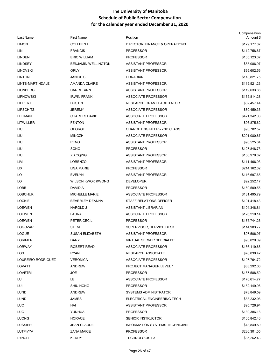| Last Name          | <b>First Name</b>          | Position                              | Compensation<br>Amount \$ |
|--------------------|----------------------------|---------------------------------------|---------------------------|
| <b>LIMON</b>       | COLLEEN L.                 | DIRECTOR, FINANCE & OPERATIONS        | \$129,177.07              |
| LIN                | <b>FRANCIS</b>             | <b>PROFESSOR</b>                      | \$112,758.67              |
| <b>LINDEN</b>      | <b>ERIC WILLIAM</b>        | <b>PROFESSOR</b>                      | \$165,123.07              |
| <b>LINDSEY</b>     | <b>BENJAMIN WELLINGTON</b> | ASSISTANT PROFESSOR                   | \$85,086.97               |
| <b>LINOVSKI</b>    | <b>ORLY</b>                | ASSISTANT PROFESSOR                   | \$95,602.56               |
| <b>LINTON</b>      | <b>JANICE S</b>            | <b>LIBRARIAN</b>                      | \$118,821.75              |
| LINTS-MARTINDALE   | <b>AMANDA CLAIRE</b>       | ASSISTANT PROFESSOR                   | \$119,521.23              |
| <b>LIONBERG</b>    | <b>CARRIE ANN</b>          | ASSISTANT PROFESSOR                   | \$119,633.86              |
| <b>LIPNOWSKI</b>   | <b>IRWIN FRANK</b>         | ASSOCIATE PROFESSOR                   | \$135,814.28              |
| <b>LIPPERT</b>     | <b>DUSTIN</b>              | RESEARCH GRANT FACILITATOR            | \$82,457.44               |
| <b>LIPSCHITZ</b>   | <b>JEREMY</b>              | ASSOCIATE PROFESSOR                   | \$80,459.36               |
| LITTMAN            | <b>CHARLES DAVID</b>       | <b>ASSOCIATE PROFESSOR</b>            | \$421,342.08              |
| LITWILLER          | <b>FENTON</b>              | <b>ASSISTANT PROFESSOR</b>            | \$96,875.62               |
| LIU                | <b>GEORGE</b>              | <b>CHARGE ENGINEER - 2ND CLASS</b>    | \$93,782.57               |
| LIU                | <b>MINGZHI</b>             | ASSOCIATE PROFESSOR                   | \$201,080.67              |
| LIU                | <b>PENG</b>                | ASSISTANT PROFESSOR                   | \$90,525.64               |
| LIU                | SONG                       | <b>PROFESSOR</b>                      | \$127,848.73              |
| LIU                | <b>XIAOQING</b>            | <b>ASSISTANT PROFESSOR</b>            | \$106,979.62              |
| LIVI               | <b>LORENZO</b>             | ASSISTANT PROFESSOR                   | \$111,466.93              |
| LIX                | LISA MARIE                 | <b>PROFESSOR</b>                      | \$214,162.62              |
| LO                 | <b>EVELYN</b>              | ASSISTANT PROFESSOR                   | \$116,697.65              |
| LO                 | <b>WILSON KWOK KWONG</b>   | <b>DEVELOPER</b>                      | \$92,252.17               |
| LOBB               | DAVID A                    | <b>PROFESSOR</b>                      | \$160,509.55              |
| <b>LOBCHUK</b>     | <b>MICHELLE MARIE</b>      | ASSOCIATE PROFESSOR                   | \$131,495.79              |
| <b>LOCKIE</b>      | <b>BEVERLEY DEANNA</b>     | STAFF RELATIONS OFFICER               | \$101,418.43              |
| <b>LOEWEN</b>      | <b>HAROLD J</b>            | ASSISTANT LIBRARIAN                   | \$104,348.81              |
| <b>LOEWEN</b>      | LAURA                      | ASSOCIATE PROFESSOR                   | \$126,210.14              |
| <b>LOEWEN</b>      | PETER CECIL                | <b>PROFESSOR</b>                      | \$175,744.26              |
| <b>LOGOZAR</b>     | <b>STEVE</b>               | SUPERVISOR, SERVICE DESK              | \$114,983.77              |
| <b>LOGUE</b>       | <b>SUSAN ELIZABETH</b>     | <b>ASSISTANT PROFESSOR</b>            | \$97,506.97               |
| <b>LORIMER</b>     | <b>DARYL</b>               | <b>VIRTUAL SERVER SPECIALIST</b>      | \$93,029.09               |
| LORWAY             | <b>ROBERT READ</b>         | ASSOCIATE PROFESSOR                   | \$136,119.66              |
| LOS                | <b>RYAN</b>                | <b>RESEARCH ASSOCIATE</b>             | \$76,030.42               |
| LOUREIRO-RODRIGUEZ | <b>VERONICA</b>            | ASSOCIATE PROFESSOR                   | \$107,764.72              |
| LOVATT             | <b>ANDREW</b>              | <b>PROJECT MANAGER LEVEL 1</b>        | \$83,292.36               |
| <b>LOVETRI</b>     | <b>JOE</b>                 | <b>PROFESSOR</b>                      | \$167,588.50              |
| LU                 | LEI                        | ASSOCIATE PROFESSOR                   | \$170,614.77              |
| LUI                | <b>SHIU HONG</b>           | <b>PROFESSOR</b>                      | \$152,149.96              |
| LUND               | ANDREW                     | SYSTEMS ADMINISTRATOR                 | \$78,849.59               |
| LUND               | JAMES                      | ELECTRICAL ENGINEERING TECH           | \$83,232.98               |
| <b>LUO</b>         | HAI                        | ASSISTANT PROFESSOR                   | \$95,726.94               |
| <b>LUO</b>         | YUNHUA                     | <b>PROFESSOR</b>                      | \$139,386.18              |
| <b>LUONG</b>       | <b>HORACE</b>              | <b>SENIOR INSTRUCTOR</b>              | \$105,842.46              |
| <b>LUSSIER</b>     | JEAN-CLAUDE                | <b>INFORMATION SYSTEMS TECHNICIAN</b> | \$78,849.59               |
| LUTFIYYA           | <b>ZANA MARIE</b>          | <b>PROFESSOR</b>                      | \$230,301.05              |
| <b>LYNCH</b>       | <b>KERRY</b>               | <b>TECHNOLOGIST 3</b>                 | \$85,262.43               |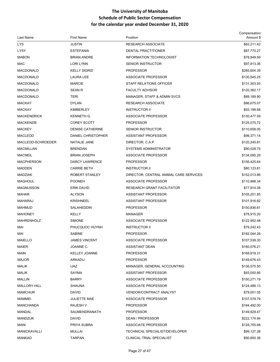| Last Name          | <b>First Name</b>         | Position                               | Compensation<br>Amount \$ |
|--------------------|---------------------------|----------------------------------------|---------------------------|
| <b>LYS</b>         | <b>JUSTIN</b>             | <b>RESEARCH ASSOCIATE</b>              | \$82,211.42               |
| <b>LYSY</b>        | <b>ESTEFANIA</b>          | DENTAL PRACTITIONER                    | \$87,770.27               |
| <b>MABON</b>       | <b>BRIAN ANDRE</b>        | <b>INFORMATION TECHNOLOGIST</b>        | \$78,849.59               |
| MAC                | LORI LYNN                 | <b>SENIOR INSTRUCTOR</b>               | \$97,813.36               |
| MACDONALD          | <b>KELLY SIGRID</b>       | <b>PROFESSOR</b>                       | \$285,604.39              |
| <b>MACDONALD</b>   | LAURA LEE                 | ASSOCIATE PROFESSOR                    | \$130,545.25              |
| <b>MACDONALD</b>   | <b>MARCIE</b>             | STAFF RELATIONS OFFICER                | \$131,303.93              |
| <b>MACDONALD</b>   | <b>SEAN R</b>             | <b>FACULTY ADVISOR</b>                 | \$120,362.17              |
| <b>MACDONALD</b>   | TERI                      | MANAGER, STAFF & ADMIN SVCS            | \$89,189.90               |
| <b>MACKAY</b>      | <b>DYLAN</b>              | <b>RESEARCH ASSOCIATE</b>              | \$86,675.07               |
| <b>MACKAY</b>      | <b>KIMBERLEY</b>          | <b>INSTRUCTOR II</b>                   | \$93,198.68               |
| <b>MACKENDRICK</b> | KENNETH G.                | ASSOCIATE PROFESSOR                    | \$130,477.59              |
| <b>MACKENZIE</b>   | <b>COREY SCOTT</b>        | <b>PROFESSOR</b>                       | \$125,075.72              |
| <b>MACKEY</b>      | <b>DENISE CATHERINE</b>   | <b>SENIOR INSTRUCTOR</b>               | \$110,658.05              |
| <b>MACLEOD</b>     | <b>DANIEL CHRISTOPHER</b> | ASSISTANT PROFESSOR                    | \$99,371.14               |
| MACLEOD-SCHROEDER  | <b>NATALIE JANE</b>       | DIRECTOR, C.A.P.                       | \$120,240.81              |
| MACMILLAN          | <b>BRENDAN</b>            | <b>SYSTEMS ADMINISTRATOR</b>           | \$90,028.75               |
| <b>MACNEIL</b>     | <b>BRIAN JOSEPH</b>       | ASSOCIATE PROFESSOR                    | \$134,095.29              |
| <b>MACPHERSON</b>  | DARCY LAWRENCE            | <b>PROFESSOR</b>                       | \$156,425.64              |
| MADDEN             | <b>CARRIE BETH</b>        | <b>INSTRUCTOR II</b>                   | \$80,123.81               |
| <b>MADZIAK</b>     | ROBERT STANLEY            | DIRECTOR, CENTRAL ANIMAL CARE SERVICES | \$152,013.86              |
| <b>MAGHOUL</b>     | <b>POONEH</b>             | ASSOCIATE PROFESSOR                    | \$110,988.34              |
| MAGNUSSON          | <b>ERIK DAVID</b>         | RESEARCH GRANT FACILITATOR             | \$77,914.38               |
| <b>MAHAR</b>       | <b>ALYSON</b>             | ASSISTANT PROFESSOR                    | \$105,201.85              |
| MAHARAJ            | <b>KRISHNEEL</b>          | ASSISTANT PROFESSOR                    | \$101,916.82              |
| <b>MAHMUD</b>      | SALAHEDDIN                | <b>PROFESSOR</b>                       | \$150,836.61              |
| <b>MAHONEY</b>     | KELLY                     | <b>MANAGER</b>                         | \$78,915.20               |
| MAHRENHOLZ         | <b>SIMONE</b>             | ASSOCIATE PROFESSOR                    | \$122,952.48              |
| MAI                | PHUCQUOC HUYNH            | <b>INSTRUCTOR II</b>                   | \$79,242.43               |
| MAI                | <b>SABINE</b>             | <b>PROFESSOR</b>                       | \$182,044.26              |
| <b>MAIELLO</b>     | <b>JAMES VINCENT</b>      | ASSOCIATE PROFESSOR                    | \$107,538.30              |
| <b>MAIER</b>       | JOANNE C.                 | <b>ASSISTANT DEAN</b>                  | \$160,076.21              |
| MAIN               | <b>KELLEY JOANNE</b>      | <b>PROFESSOR</b>                       | \$168,919.31              |
| <b>MAJOR</b>       | ARKADIJ                   | <b>PROFESSOR</b>                       | \$149,676.43              |
| <b>MALIK</b>       | <b>IJAZ</b>               | MANAGER, GENERAL ACCOUNTING            | \$136,575.50              |
| MALIK              | SAYMA                     | ASSISTANT PROFESSOR                    | \$93,050.85               |
| MALLIN             | <b>BARRY</b>              | ASSOCIATE PROFESSOR                    | \$150,271.19              |
| MALLORY-HILL       | SHAUNA                    | ASSOCIATE PROFESSOR                    | \$124,486.13              |
| <b>MAMCHUR</b>     | <b>DAVID</b>              | VENDOR/CONTRACT ANALYST                | \$79,001.05               |
| <b>MAMMEI</b>      | JULIETTE MAE              | ASSOCIATE PROFESSOR                    | \$107,578.79              |
| <b>MANCHANDA</b>   | RAJESH V                  | <b>PROFESSOR</b>                       | \$184,492.00              |
| MANDAL             | SAUMENDRANATH             | <b>PROFESSOR</b>                       | \$149,929.47              |
| MANDZUK            | <b>DAVID</b>              | DEAN / PROFESSOR                       | \$222,174.94              |
| MANI               | PRIYA SUBRA               | ASSOCIATE PROFESSOR                    | \$128,755.68              |
| MANICKAVALLI       | MULLAI                    | TECHNICAL SPECIALIST/DEVELOPER         | \$99,127.28               |
| <b>MANKAD</b>      | <b>TARPAN</b>             | CLINICAL TRIAL SPECIALIST              | \$90,850.36               |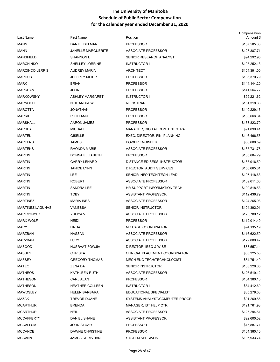| Last Name               | <b>First Name</b>         | Position                       | Compensation<br>Amount \$ |
|-------------------------|---------------------------|--------------------------------|---------------------------|
| <b>MANN</b>             | <b>DANIEL DELMAR</b>      | <b>PROFESSOR</b>               | \$157,585.38              |
| <b>MANN</b>             | <b>JANELLE MARGUERITE</b> | ASSOCIATE PROFESSOR            | \$123,387.71              |
| MANSFIELD               | <b>SHANNON L</b>          | SENIOR RESEARCH ANALYST        | \$94,292.95               |
| <b>MARCHINKO</b>        | <b>SHELLEY LORRINE</b>    | <b>INSTRUCTOR II</b>           | \$105,252.13              |
| MARCINCO-JERRIS         | <b>AUDREY MARIA</b>       | <b>ARCHITECT</b>               | \$104,391.00              |
| <b>MARCUS</b>           | <b>JEFFREY MEIER</b>      | <b>PROFESSOR</b>               | \$135,370.79              |
| MARK                    | <b>BRIAN</b>              | <b>PROFESSOR</b>               | \$144,144.20              |
| MARKHAM                 | <b>JOHN</b>               | <b>PROFESSOR</b>               | \$141,564.77              |
| <b>MARKOWSKY</b>        | <b>ASHLEY MARGARET</b>    | <b>INSTRUCTOR II</b>           | \$99,221.62               |
| <b>MARNOCH</b>          | <b>NEIL ANDREW</b>        | <b>REGISTRAR</b>               | \$151,318.68              |
| <b>MAROTTA</b>          | <b>JONATHAN</b>           | <b>PROFESSOR</b>               | \$140,229.16              |
| <b>MARRIE</b>           | <b>RUTH ANN</b>           | <b>PROFESSOR</b>               | \$105,666.64              |
| <b>MARSHALL</b>         | AARON JAMES               | <b>PROFESSOR</b>               | \$168,823.70              |
| <b>MARSHALL</b>         | <b>MICHAEL</b>            | MANAGER, DIGITAL CONTENT STRA. | \$91,890.41               |
| <b>MARTEL</b>           | <b>GISELLE</b>            | EXEC. DIRECTOR, FIN. PLANNING  | \$146,466.56              |
| <b>MARTENS</b>          | <b>JAMES</b>              | POWER ENGINEER                 | \$86,608.59               |
| <b>MARTENS</b>          | <b>RHONDA MARIE</b>       | ASSOCIATE PROFESSOR            | \$135,731.78              |
| <b>MARTIN</b>           | DONNA ELIZABETH           | <b>PROFESSOR</b>               | \$135,684.29              |
| <b>MARTIN</b>           | <b>GARRY LENARD</b>       | DISTANCE ED SESS. INSTRUCTOR   | \$165,916.50              |
| <b>MARTIN</b>           | <b>JANICE LYNN</b>        | DIRECTOR, AUDIT SERVICES       | \$150,665.81              |
| <b>MARTIN</b>           | <b>LEE</b>                | SENIOR INFO TECH/TECH LEAD     | \$107,118.63              |
| <b>MARTIN</b>           | <b>ROBERT</b>             | ASSOCIATE PROFESSOR            | \$109,611.06              |
| <b>MARTIN</b>           | SANDRA LEE                | HR SUPPORT INFORMATION TECH    | \$109,818.53              |
| <b>MARTIN</b>           | <b>TOBY</b>               | ASSISTANT PROFESSOR            | \$112,436.79              |
| <b>MARTINEZ</b>         | <b>MARIA INES</b>         | ASSOCIATE PROFESSOR            | \$124,265.08              |
| <b>MARTINEZ LAGUNAS</b> | <b>VANESSA</b>            | <b>SENIOR INSTRUCTOR</b>       | \$104,392.01              |
| <b>MARTSYNYUK</b>       | YULIYA V                  | ASSOCIATE PROFESSOR            | \$120,780.12              |
| MARX-WOLF               | HEIDI                     | <b>PROFESSOR</b>               | \$119,014.49              |
| <b>MARY</b>             | LINDA                     | MD CARE COORDINATOR            | \$94,135.19               |
| <b>MARZBAN</b>          | <b>HASSAN</b>             | ASSOCIATE PROFESSOR            | \$116,622.59              |
| MARZBAN                 | <b>LUCY</b>               | <b>ASSOCIATE PROFESSOR</b>     | \$129,800.47              |
| <b>MASOOD</b>           | NUSRAAT FOWJIA            | DIRECTOR, IEEQ & WISE          | \$88,557.14               |
| MASSEY                  | <b>CHRISTA</b>            | CLINICAL PLACEMENT COORDINATOR | \$83,325.53               |
| MASSEY                  | <b>GREGORY THOMAS</b>     | MECH ENG TECH/TECHNOLOGIST     | \$84,751.49               |
| MATEO                   | ZENAIDA                   | <b>SENIOR INSTRUCTOR</b>       | \$103,228.85              |
| <b>MATHEOS</b>          | KATHLEEN RUTH             | <b>ASSOCIATE PROFESSOR</b>     | \$126,519.12              |
| <b>MATHESON</b>         | CARL ALAN                 | <b>PROFESSOR</b>               | \$164,380.10              |
| <b>MATHESON</b>         | <b>HEATHER COLLEEN</b>    | <b>INSTRUCTOR I</b>            | \$84,412.60               |
| MAWDSLEY                | <b>HELEN BARBARA</b>      | EDUCATIONAL SPECIALIST         | \$85,279.08               |
| MAZAK                   | <b>TREVOR DUANE</b>       | SYSTEMS ANALYST/COMPUTER PROGR | \$91,269.85               |
| <b>MCARTHUR</b>         | <b>BRENDA</b>             | MANAGER, IST HELP CTR          | \$121,761.93              |
| <b>MCARTHUR</b>         | NEIL                      | ASSOCIATE PROFESSOR            | \$125,294.51              |
| <b>MCCAFFERTY</b>       | DANIEL SHANE              | ASSISTANT PROFESSOR            | \$92,600.02               |
| <b>MCCALLUM</b>         | <b>JOHN STUART</b>        | <b>PROFESSOR</b>               | \$75,887.71               |
| <b>MCCANCE</b>          | DAWNE CHRISTINE           | <b>PROFESSOR</b>               | \$164,380.10              |
| <b>MCCANN</b>           | <b>JAMES CHRISTIAN</b>    | <b>SYSTEM SPECIALIST</b>       | \$107,933.74              |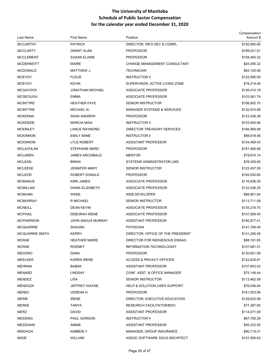| Last Name              | <b>First Name</b>        | Position                              | Compensation<br>Amount \$ |
|------------------------|--------------------------|---------------------------------------|---------------------------|
| <b>MCCARTHY</b>        | <b>PATRICK</b>           | DIRECTOR, INFO SEC & COMPL            | \$150,665.80              |
| <b>MCCLARTY</b>        | <b>GRANT ALAN</b>        | <b>PROFESSOR</b>                      | \$168,021.81              |
| <b>MCCLEMENT</b>       | <b>SUSAN ELAINE</b>      | <b>PROFESSOR</b>                      | \$158,465.32              |
| <b>MCDERMOTT</b>       | <b>MAIRE</b>             | CHANGE MANAGEMENT CONSULTANT          | \$93,095.32               |
| <b>MCDONALD</b>        | MATTHEW J.               | <b>TECHNICIAN</b>                     | \$84,125.09               |
| <b>MCEVOY</b>          | <b>FLEUR</b>             | <b>INSTRUCTOR II</b>                  | \$122,995.09              |
| <b>MCEVOY</b>          | <b>KEVIN</b>             | SUPERVISOR, ACTIVE LIVING ZONE        | \$78,214.46               |
| <b>MCGAVOCK</b>        | <b>JONATHAN MICHAEL</b>  | ASSOCIATE PROFESSOR                   | \$126,410.18              |
| <b>MCGEOUGH</b>        | <b>EMMA</b>              | ASSOCIATE PROFESSOR                   | \$103,561.74              |
| <b>MCINTYRE</b>        | <b>HEATHER FAYE</b>      | <b>SENIOR INSTRUCTOR</b>              | \$106,852.70              |
| <b>MCINTYRE</b>        | MICHAEL N.               | <b>MANAGER SYSTEMS &amp; SERVICES</b> | \$132,974.89              |
| <b>MCKENNA</b>         | <b>SEAN ANDREW</b>       | <b>PROFESSOR</b>                      | \$123,438.38              |
| <b>MCKENZIE</b>        | <b>MARCIA MAIA</b>       | <b>INSTRUCTOR II</b>                  | \$103,400.06              |
| <b>MCKINLEY</b>        | <b>LANCE RAYMOND</b>     | <b>DIRECTOR TREASURY SERVICES</b>     | \$166,969.89              |
| <b>MCKINNON</b>        | <b>EMILY ANNE</b>        | <b>INSTRUCTOR II</b>                  | \$88,818.46               |
| <b>MCKINNON</b>        | <b>LYLE ROBERT</b>       | <b>ASSISTANT PROFESSOR</b>            | \$104,469.43              |
| <b>MCLACHLAN</b>       | <b>STEPHANE MARC</b>     | <b>PROFESSOR</b>                      | \$161,066.68              |
| <b>MCLAREN</b>         | <b>JAMES ARCHIBALD</b>   | <b>MENTOR</b>                         | \$79,674.14               |
| <b>MCLEAN</b>          | <b>BRIAN</b>             | SYSTEMS ADMINISTRATOR LMS             | \$78,309.60               |
| <b>MCLEESE</b>         | <b>JENNIFER MARY</b>     | <b>SENIOR INSTRUCTOR</b>              | \$122,457.29              |
| <b>MCLEOD</b>          | ROBERT DONALD            | <b>PROFESSOR</b>                      | \$165,830.60              |
| <b>MCMANUS</b>         | <b>KIRK JAMES</b>        | ASSOCIATE PROFESSOR                   | \$116,836.50              |
| <b>MCMILLAN</b>        | DIANA ELIZABETH          | ASSOCIATE PROFESSOR                   | \$133,538.25              |
| <b>MCMUNN</b>          | <b>WADE</b>              | WEB DEVELOPER                         | \$86,901.84               |
| <b>MCMURRAY</b>        | R MICHAEL                | <b>SENIOR INSTRUCTOR</b>              | \$113,711.09              |
| <b>MCNEILL</b>         | <b>DEAN KEVIN</b>        | ASSOCIATE PROFESSOR                   | \$135,216.70              |
| <b>MCPHAIL</b>         | <b>DEBORAH IRENE</b>     | ASSOCIATE PROFESSOR                   | \$107,069.40              |
| <b>MCPHERSON</b>       | <b>JOHN ANGUS MURRAY</b> | ASSISTANT PROFESSOR                   | \$160,877.41              |
| <b>MCQUARRIE</b>       | <b>SHAUNA</b>            | <b>PHYSICIAN</b>                      | \$141,706.49              |
| <b>MCQUARRIE SMITH</b> | <b>KERRY</b>             | DIRECTOR, OFFICE OF THE PRESIDENT     | \$131,285.59              |
| MCRAE                  | <b>HEATHER MARIE</b>     | DIRECTOR FOR INDIGENOUS ENGAG         | \$88,191.65               |
| <b>MCRAE</b>           | <b>RODNEY</b>            | <b>INFORMATION TECHNOLOGIST</b>       | \$107,681.51              |
| <b>MEDORO</b>          | DANA                     | <b>PROFESSOR</b>                      | \$130,651.08              |
| <b>MEELKER</b>         | <b>KAREN IRENE</b>       | ACCESS & PRIVACY OFFICER              | \$122,629.81              |
| MEHRAN                 | <b>BABAK</b>             | ASSISTANT PROFESSOR                   | \$107,853.42              |
| MENARD                 | <b>LINDSAY</b>           | CONF. ASST. & OFFICE MANAGER          | \$75,148.44               |
| MENDEZ                 | <b>LISA</b>              | <b>SENIOR INSTRUCTOR</b>              | \$113,462.59              |
| MENDOZA                | JEFFREY WAYNE            | HELP & SOLUTION USER SUPPORT          | \$76,546.84               |
| <b>MENEC</b>           | <b>VERENA H</b>          | <b>PROFESSOR</b>                      | \$161,053.98              |
| MERIE                  | <b>IRENE</b>             | DIRECTOR, EXECUTIVE EDUCATION         | \$129,622.99              |
| MERKE                  | <b>TANYA</b>             | RESEARCH FACILITATOR/BDO              | \$77,387.85               |
| MERZ                   | DAVID                    | ASSISTANT PROFESSOR                   | \$114,071.09              |
| <b>MESSING</b>         | PAUL GORDON              | <b>INSTRUCTOR II</b>                  | \$87,756.28               |
| MEZGHANI               | AMINE                    | ASSISTANT PROFESSOR                   | \$95,233.55               |
| <b>MIDDAGH</b>         | <b>KIMBERLY</b>          | MANAGER, GROUP INSURANCE              | \$90,719.31               |
| <b>MIGIE</b>           | <b>WILLIAM</b>           | ASSOC SOFTWARE SOLN ARCHITECT         | \$101,095.63              |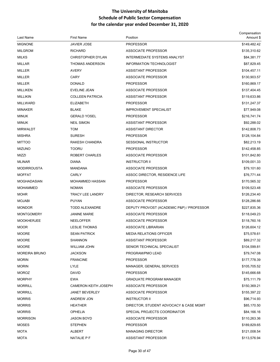| Last Name            | <b>First Name</b>           | Position                                  | Compensation<br>Amount \$ |
|----------------------|-----------------------------|-------------------------------------------|---------------------------|
| <b>MIGNONE</b>       | <b>JAVIER JOSE</b>          | <b>PROFESSOR</b>                          | \$149,482.42              |
| <b>MILGROM</b>       | <b>RICHARD</b>              | ASSOCIATE PROFESSOR                       | \$135,310.62              |
| <b>MILKS</b>         | <b>CHRISTOPHER DYLAN</b>    | INTERMEDIATE SYSTEMS ANALYST              | \$84,381.77               |
| <b>MILLAR</b>        | THOMAS ANDERSON             | INFORMATION TECHNOLOGIST                  | \$87,829.45               |
| MILLER               | AVERY                       | ASSISTANT PROFESSOR                       | \$104,457.11              |
| MILLER               | <b>CARY</b>                 | ASSOCIATE PROFESSOR                       | \$130,903.57              |
| MILLER               | <b>DONALD</b>               | <b>PROFESSOR</b>                          | \$160,869.17              |
| <b>MILLIKEN</b>      | <b>EVELINE JEAN</b>         | <b>ASSOCIATE PROFESSOR</b>                | \$137,404.45              |
| <b>MILLIKIN</b>      | <b>COLLEEN PATRICIA</b>     | ASSISTANT PROFESSOR                       | \$119,633.86              |
| <b>MILLWARD</b>      | <b>ELIZABETH</b>            | <b>PROFESSOR</b>                          | \$131,247.37              |
| <b>MINAKER</b>       | <b>BLAKE</b>                | <b>IMPROVEMENT SPECIALIST</b>             | \$77,949.08               |
| <b>MINUK</b>         | <b>GERALD YOSEL</b>         | <b>PROFESSOR</b>                          | \$216,741.74              |
| <b>MINUK</b>         | <b>NEIL SIMON</b>           | ASSISTANT PROFESSOR                       | \$92,288.02               |
| <b>MIRWALDT</b>      | <b>TOM</b>                  | <b>ASSISTANT DIRECTOR</b>                 | \$142,808.73              |
| <b>MISHRA</b>        | <b>SURESH</b>               | <b>PROFESSOR</b>                          | \$128,104.84              |
| <b>MITTOO</b>        | RAKESH CHANDRA              | <b>SESSIONAL INSTRUCTOR</b>               | \$82,213.19               |
| <b>MIZUNO</b>        | <b>TOORU</b>                | <b>PROFESSOR</b>                          | \$142,458.85              |
| MIZZI                | ROBERT CHARLES              | ASSOCIATE PROFESSOR                       | \$101,842.80              |
| <b>MLINAR</b>        | <b>DIANA</b>                | <b>INSTRUCTOR II</b>                      | \$109,001.33              |
| <b>MODIRROUSTA</b>   | MANDANA                     | ASSOCIATE PROFESSOR                       | \$79,101.60               |
| <b>MOFFAT</b>        | <b>CARLY</b>                | ASSOC DIRECTOR, RESIDENCE LIFE            | \$76,771.44               |
| MOGHADASIAN          | <b>MOHAMMED HASSAN</b>      | <b>PROFESSOR</b>                          | \$170,565.32              |
| <b>MOHAMMED</b>      | <b>NOMAN</b>                | <b>ASSOCIATE PROFESSOR</b>                | \$109,523.48              |
| <b>MOHR</b>          | <b>TRACY LEE LANDRY</b>     | DIRECTOR, RESEARCH SERVICES               | \$126,234.40              |
| MOJABI               | <b>PUYAN</b>                | ASSOCIATE PROFESSOR                       | \$128,286.66              |
| <b>MONDOR</b>        | <b>TODD ALEXANDRE</b>       | DEPUTY PROVOST (ACADEMIC P&P) / PROFESSOR | \$227,835.36              |
| <b>MONTGOMERY</b>    | <b>JANINE MARIE</b>         | ASSOCIATE PROFESSOR                       | \$118,049.23              |
| <b>MOOKHERJEE</b>    | <b>NEELOFFER</b>            | <b>ASSOCIATE PROFESSOR</b>                | \$118,760.16              |
| <b>MOOR</b>          | <b>LESLIE THOMAS</b>        | <b>ASSOCIATE LIBRARIAN</b>                | \$126,604.12              |
| <b>MOORE</b>         | <b>SEAN PATRICK</b>         | <b>MEDIA RELATIONS OFFICER</b>            | \$75,578.61               |
| <b>MOORE</b>         | <b>SHANNON</b>              | ASSISTANT PROFESSOR                       | \$89,217.32               |
| <b>MOORE</b>         | <b>WILLIAM JOHN</b>         | SENIOR TECHNICAL SPECIALIST               | \$104,599.81              |
| <b>MOREIRA BRUNO</b> | <b>JACKSON</b>              | PROGRAM/PMO LEAD                          | \$79,747.08               |
| <b>MORIN</b>         | <b>FRANCINE</b>             | <b>PROFESSOR</b>                          | \$177,778.39              |
| <b>MORIN</b>         | LYLE                        | <b>MANAGER, GENERAL SERVICES</b>          | \$105,705.52              |
| <b>MOROZ</b>         | DAVID                       | <b>PROFESSOR</b>                          | \$145,666.68              |
| <b>MORPHY</b>        | <b>EWA</b>                  | <b>GRADUATE PROGRAM MANAGER</b>           | \$75,111.79               |
| <b>MORRILL</b>       | <b>CAMERON KEITH JOSEPH</b> | <b>ASSOCIATE PROFESSOR</b>                | \$150,369.21              |
| <b>MORRILL</b>       | <b>JANET BEVERLEY</b>       | ASSOCIATE PROFESSOR                       | \$155,397.22              |
| <b>MORRIS</b>        | <b>ANDREW JON</b>           | <b>INSTRUCTOR II</b>                      | \$96,714.93               |
| <b>MORRIS</b>        | <b>HEATHER</b>              | DIRECTOR, STUDENT ADVOCACY & CASE MGMT    | \$85,170.50               |
| <b>MORRIS</b>        | OPHELIA                     | SPECIAL PROJECTS COORDINATOR              | \$84,166.16               |
| <b>MORRISON</b>      | JASON BOYD                  | ASSOCIATE PROFESSOR                       | \$110,263.36              |
| <b>MOSES</b>         | <b>STEPHEN</b>              | <b>PROFESSOR</b>                          | \$189,829.65              |
| MOTA                 | ALBERT                      | <b>MANAGING DIRECTOR</b>                  | \$121,008.54              |
| <b>MOTA</b>          | NATALIE P F                 | ASSISTANT PROFESSOR                       | \$113,576.94              |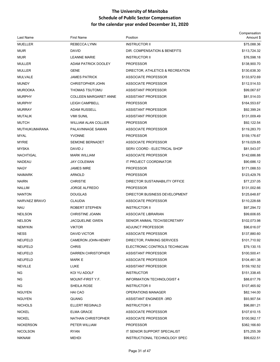| Last Name        | <b>First Name</b>            | Position                         | Compensation<br>Amount \$ |
|------------------|------------------------------|----------------------------------|---------------------------|
| <b>MUELLER</b>   | <b>REBECCA LYNN</b>          | <b>INSTRUCTOR II</b>             | \$75,088.36               |
| <b>MUIR</b>      | <b>DAVID</b>                 | DIR. COMPENSATION & BENEFITS     | \$113,724.32              |
| <b>MUIR</b>      | <b>LEANNE MARIE</b>          | <b>INSTRUCTOR II</b>             | \$76,598.18               |
| MULLER           | <b>ADAM PATRICK DOOLEY</b>   | <b>PROFESSOR</b>                 | \$138,900.70              |
| MULLER           | <b>GENE</b>                  | DIRECTOR, ATHLETICS & RECREATION | \$130,638.30              |
| MULVALE          | <b>JAMES PATRICK</b>         | ASSOCIATE PROFESSOR              | \$133,972.69              |
| <b>MUNDY</b>     | <b>CHRISTOPHER JOHN</b>      | ASSOCIATE PROFESSOR              | \$112,514.53              |
| <b>MUROOKA</b>   | THOMAS TSUTOMU               | ASSISTANT PROFESSOR              | \$99,067.67               |
| <b>MURPHY</b>    | <b>COLLEEN MARGARET ANNE</b> | ASSISTANT PROFESSOR              | \$81,514.03               |
| <b>MURPHY</b>    | <b>LEIGH CAMPBELL</b>        | <b>PROFESSOR</b>                 | \$164,553.67              |
| <b>MURRAY</b>    | <b>ADAM RUSSELL</b>          | ASSISTANT PROFESSOR              | \$92,399.24               |
| <b>MUTALIK</b>   | <b>VIMI SUNIL</b>            | ASSISTANT PROFESSOR              | \$131,009.49              |
| <b>MUTCH</b>     | <b>WILLIAM ALAN COLLIER</b>  | <b>PROFESSOR</b>                 | \$92,122.54               |
| MUTHUKUMARANA    | PALAVINNAGE SAMAN            | ASSOCIATE PROFESSOR              | \$119,283.70              |
| <b>MYAL</b>      | <b>YVONNE</b>                | <b>PROFESSOR</b>                 | \$159,176.67              |
| <b>MYRIE</b>     | <b>SEMONE BERNADET</b>       | ASSOCIATE PROFESSOR              | \$119,029.85              |
| <b>MYSKA</b>     | DAVID J                      | SERV COORD - ELECTRICAL SHOP     | \$81,543.07               |
| <b>NACHTIGAL</b> | <b>MARK WILLIAM</b>          | ASSOCIATE PROFESSOR              | \$142,686.88              |
| <b>NADEAU</b>    | <b>JAY COLEMAN</b>           | IT PROJECT COORDINATOR           | \$90,686.12               |
| <b>NAGY</b>      | <b>JAMES IMRE</b>            | <b>PROFESSOR</b>                 | \$171,088.53              |
| <b>NAIMARK</b>   | <b>ARNOLD</b>                | <b>PROFESSOR</b>                 | \$123,429.76              |
| <b>NAIRN</b>     | <b>CHRISTIE</b>              | DIRECTOR SUSTAINABILITY OFFICE   | \$77,237.05               |
| <b>NALLIM</b>    | <b>JORGE ALFREDO</b>         | <b>PROFESSOR</b>                 | \$131,002.66              |
| <b>NANTON</b>    | <b>DOUGLAS</b>               | DIRECTOR BUSINESS DEVELOPMENT    | \$125,648.87              |
| NARVAEZ BRAVO    | <b>CLAUDIA</b>               | ASSOCIATE PROFESSOR              | \$110,228.68              |
| NAU              | ROBERT STEPHEN               | <b>INSTRUCTOR II</b>             | \$97,294.72               |
| <b>NEILSON</b>   | <b>CHRISTINE JOANN</b>       | <b>ASSOCIATE LIBRARIAN</b>       | \$99,606.65               |
| <b>NELSON</b>    | <b>JACQUELINE GWEN</b>       | SENIOR ANIMAL TECH/SECRETARY     | \$102,073.98              |
| <b>NEMYKIN</b>   | <b>VIKTOR</b>                | ADJUNCT PROFESSOR                | \$96.616.07               |
| <b>NESS</b>      | <b>DAVID VICTOR</b>          | ASSOCIATE PROFESSOR              | \$137,880.60              |
| <b>NEUFELD</b>   | CAMERON JOHN-HENRY           | DIRECTOR, PARKING SERVICES       | \$101,710.92              |
| <b>NEUFELD</b>   | <b>CHRIS</b>                 | ELECTRONIC CONTROLS TECHNICIAN   | \$79,130.15               |
| <b>NEUFELD</b>   | DARREN CHRISTOPHER           | ASSISTANT PROFESSOR              | \$100,500.41              |
| <b>NEUFELD</b>   | MARK E                       | ASSOCIATE PROFESSOR              | \$104,461.38              |
| <b>NEVILLE</b>   | LUKE                         | ASSISTANT PROFESSOR              | \$159,192.52              |
| ΝG               | KOI YU ADOLF                 | <b>INSTRUCTOR</b>                | \$151,338.45              |
| ΝG               | MOUNT-FIRST Y.F.             | INFORMATION TECHNOLOGIST 4       | \$88,617.76               |
| ΝG               | SHEILA ROSE                  | <b>INSTRUCTOR II</b>             | \$107,465.92              |
| <b>NGUYEN</b>    | <b>HAI CAO</b>               | <b>OPERATIONS MANAGER</b>        | \$82,144.00               |
| <b>NGUYEN</b>    | QUANG                        | ASSISTANT ENGINEER -3RD          | \$93,907.54               |
| <b>NICHOLS</b>   | ELLERT REGINALD              | <b>INSTRUCTOR II</b>             | \$96,881.21               |
| <b>NICKEL</b>    | <b>ELMA GRACE</b>            | ASSOCIATE PROFESSOR              | \$107,610.15              |
| <b>NICKEL</b>    | NATHAN CHRISTOPHER           | ASSOCIATE PROFESSOR              | \$100,562.17              |
| <b>NICKERSON</b> | PETER WILLIAM                | PROFESSOR                        | \$382,166.60              |
| <b>NICOLSON</b>  | <b>RYAN</b>                  | IT SENIOR SUPPORT SPECIALIST     | \$75,255.39               |
| <b>NIKNAM</b>    | <b>MEHDI</b>                 | INSTRUCTIONAL TECHNOLOGY SPEC    | \$99,622.51               |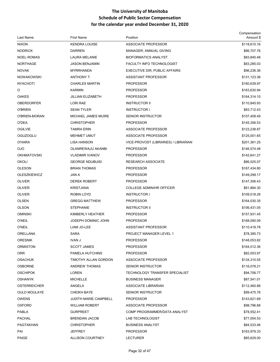| Last Name           | <b>First Name</b>            | Position                             | Compensation<br>Amount \$ |
|---------------------|------------------------------|--------------------------------------|---------------------------|
| <b>NIXON</b>        | <b>KENDRA LOUISE</b>         | ASSOCIATE PROFESSOR                  | \$118,610.16              |
| <b>NODRICK</b>      | <b>DARREN</b>                | MANAGER, ANNUAL GIVING               | \$86,707.76               |
| NOEL-ROMAS          | LAURA MELANIE                | <b>BIOFORMATICS ANALYST</b>          | \$83,840.48               |
| <b>NORTHAGE</b>     | <b>JASON BENJAMIN</b>        | <b>FACULTY INFO TECHNOLOGIST</b>     | \$83,285.03               |
| <b>NOVAK</b>        | <b>MYRRHANDA</b>             | EXECUTIVE DIR, PUBLIC AFFAIRS        | \$96,236.36               |
| <b>NOWAKOWSKI</b>   | ANTHONY T.                   | ASSISTANT PROFESSOR                  | \$131,123.36              |
| <b>NYACHOTI</b>     | <b>CHARLES MARTIN</b>        | <b>PROFESSOR</b>                     | \$160,639.97              |
| O                   | <b>KARMIN</b>                | <b>PROFESSOR</b>                     | \$163,630.94              |
| <b>OAKES</b>        | <b>JILLIAN ELIZABETH</b>     | <b>PROFESSOR</b>                     | \$164,314.10              |
| <b>OBERDORFER</b>   | LORI RAE                     | <b>INSTRUCTOR II</b>                 | \$110,845.93              |
| <b>O'BRIEN</b>      | <b>SEAN TYLER</b>            | <b>INSTRUCTOR I</b>                  | \$83,712.43               |
| O'BRIEN-MORAN       | MICHAEL JAMES MUIRE          | <b>SENIOR INSTRUCTOR</b>             | \$107,408.49              |
| O'DEA               | <b>CHRISTOPHER</b>           | <b>PROFESSOR</b>                     | \$145,356.53              |
| <b>OGILVIE</b>      | <b>TAMRA ERIN</b>            | ASSOCIATE PROFESSOR                  | \$123,238.87              |
| <b>OGUZOGLU</b>     | <b>MEHMET UMUT</b>           | ASSOCIATE PROFESSOR                  | \$125,001.65              |
| O'HARA              | LISA HANSON                  | VICE-PROVOST (LIBRARIES) / LIBRARIAN | \$201,361.25              |
| <b>OJO</b>          | <b>OLANREWAJU AKANBI</b>     | <b>PROFESSOR</b>                     | \$146,574.48              |
| <b>OKHMATOVSKI</b>  | <b>VLADIMIR IVANOV</b>       | <b>PROFESSOR</b>                     | \$142,641.27              |
| <b>OKOLI</b>        | <b>GEORGE NDUBUISI</b>       | <b>RESEARCH ASSOCIATE</b>            | \$86,525.07               |
| <b>OLESON</b>       | <b>BRIAN THOMAS</b>          | <b>PROFESSOR</b>                     | \$167,434.80              |
| <b>OLESZKIEWICZ</b> | JAN A                        | <b>PROFESSOR</b>                     | \$149,299.17              |
| <b>OLIVER</b>       | <b>DEREK ROBERT</b>          | <b>PROFESSOR</b>                     | \$147,306.43              |
| <b>OLIVER</b>       | <b>KRISTJANA</b>             | <b>COLLEGE ADMIN/HR OFFICER</b>      | \$81,884.30               |
| <b>OLIVER</b>       | ROBIN LOYD                   | <b>INSTRUCTOR I</b>                  | \$109,518.28              |
| <b>OLSEN</b>        | <b>GREGG MATTHEW</b>         | <b>PROFESSOR</b>                     | \$164,030.35              |
| <b>OLSON</b>        | <b>STEPHANIE</b>             | <b>INSTRUCTOR II</b>                 | \$106,431.05              |
| <b>OMINSKI</b>      | KIMBERLY HEATHER             | <b>PROFESSOR</b>                     | \$157,931.45              |
| <b>O'NEIL</b>       | <b>JOSEPH DOMINIC JOHN</b>   | <b>PROFESSOR</b>                     | \$168,090.09              |
| <b>O'NEIL</b>       | LIAM JO-LEE                  | ASSISTANT PROFESSOR                  | \$110,418.78              |
| ORELLANA            | <b>SARA</b>                  | PROJECT MANAGER LEVEL 1              | \$78,385.73               |
| <b>ORESNIK</b>      | <b>IVAN J</b>                | <b>PROFESSOR</b>                     | \$148,053.82              |
| <b>ORMISTON</b>     | <b>SCOTT JAMES</b>           | <b>PROFESSOR</b>                     | \$164,512.36              |
| ORR                 | PAMELA HUTCHINS              | <b>PROFESSOR</b>                     | \$82,003.97               |
| <b>OSACHUK</b>      | TIMOTHY ALLAN GORDON         | ASSOCIATE PROFESSOR                  | \$134,310.55              |
| <b>OSBORNE</b>      | <b>ANDREW THOMAS</b>         | <b>SENIOR INSTRUCTOR</b>             | \$116,078.21              |
| <b>OSCHIPOK</b>     | LOREN                        | TECHNOLOGY TRANSFER SPECIALIST       | \$94,706.77               |
| <b>OSHANYK</b>      | <b>MICHELLE</b>              | <b>BUSINESS MANAGER</b>              | \$87,541.01               |
| <b>OSTERREICHER</b> | ANGELA                       | ASSOCIATE LIBRARIAN                  | \$112,460.88              |
| <b>OULD MOULAYE</b> | <b>CHEIKH BAYE</b>           | <b>SENIOR INSTRUCTOR</b>             | \$99,475.78               |
| <b>OWENS</b>        | <b>JUDITH MARIE CAMPBELL</b> | <b>PROFESSOR</b>                     | \$143,621.69              |
| <b>OXFORD</b>       | <b>WILLIAM ROBERT</b>        | ASSOCIATE PROFESSOR                  | \$98,796.68               |
| PABLA               | <b>GURPREET</b>              | COMP PROGRAMMER/DATA ANALYST         | \$78,552.41               |
| PACHAL              | <b>BRENDAN JACOB</b>         | LAB TECHNOLOGIST                     | \$77,054.53               |
| PAGTAKHAN           | <b>CHRISTOPHER</b>           | <b>BUSINESS ANALYST</b>              | \$84,533.46               |
| PAI                 | <b>JEFFREY</b>               | <b>PROFESSOR</b>                     | \$163,979.33              |
| PAIGE               | <b>ALLISON COURTNEY</b>      | <b>LECTURER</b>                      | \$85,629.00               |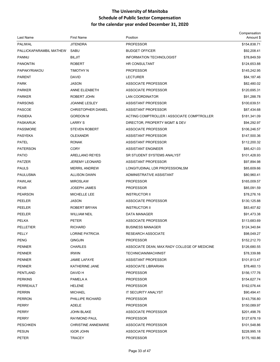| Last Name               | <b>First Name</b>          | Position                                     | Compensation<br>Amount \$ |
|-------------------------|----------------------------|----------------------------------------------|---------------------------|
| PALIWAL                 | <b>JITENDRA</b>            | <b>PROFESSOR</b>                             | \$154,838.71              |
| PALLICKAPARAMBIL MATHEW | SABU                       | <b>BUDGET OFFICER</b>                        | \$92,208.41               |
| <b>PANNU</b>            | <b>BILJIT</b>              | <b>INFORMATION TECHNOLOGIST</b>              | \$78,849.59               |
| <b>PANONTIN</b>         | <b>ROBERT</b>              | HR CONSULTANT                                | \$124,653.88              |
| PAPAKYRIAKOU            | TIMOTHY N                  | <b>PROFESSOR</b>                             | \$145,242.95              |
| <b>PARENT</b>           | <b>DAVID</b>               | <b>LECTURER</b>                              | \$84,187.46               |
| <b>PARK</b>             | <b>JASON</b>               | <b>ASSOCIATE PROFESSOR</b>                   | \$82,480.02               |
| <b>PARKER</b>           | ANNE ELIZABETH             | ASSOCIATE PROFESSOR                          | \$120,695.31              |
| <b>PARKER</b>           | ROBERT JOHN                | LAN COORDINATOR                              | \$91,288.78               |
| <b>PARSONS</b>          | <b>JOANNE LESLEY</b>       | ASSISTANT PROFESSOR                          | \$100,639.51              |
| <b>PASCOE</b>           | <b>CHRISTOPHER DANIEL</b>  | ASSISTANT PROFESSOR                          | \$87,434.68               |
| <b>PASIEKA</b>          | <b>GORDON M</b>            | ACTING COMPTROLLER / ASSOCIATE COMPTROLLER   | \$181,341.09              |
| <b>PASKARUK</b>         | <b>LARRY S</b>             | DIRECTOR, PROPERTY MGMT & DEV                | \$94,292.97               |
| <b>PASSMORE</b>         | <b>STEVEN ROBERT</b>       | ASSOCIATE PROFESSOR                          | \$106,246.57              |
| <b>PASYEKA</b>          | <b>OLEXANDR</b>            | <b>ASSISTANT PROFESSOR</b>                   | \$147,500.36              |
| <b>PATEL</b>            | <b>RONAK</b>               | ASSISTANT PROFESSOR                          | \$112,200.32              |
| <b>PATERSON</b>         | <b>CORY</b>                | <b>ASSISTANT ENGINEER</b>                    | \$85,421.03               |
| <b>PATIO</b>            | <b>ARELLANO REYES</b>      | SR STUDENT SYSTEMS ANALYST                   | \$101,428.93              |
| <b>PATZER</b>           | <b>JEREMY LEONARD</b>      | ASSISTANT PROFESSOR                          | \$97,894.98               |
| <b>PAULS</b>            | <b>MERRIL ANDREW</b>       | LONGITUDINAL LDR PROFESSIONLSM               | \$85,609.66               |
| <b>PAULUSMA</b>         | <b>ALLISON DAWN</b>        | ADMINISTRATIVE ASSISTANT                     | \$80,960.41               |
| <b>PAWLAK</b>           | <b>MIROSLAW</b>            | <b>PROFESSOR</b>                             | \$165,009.57              |
| <b>PEAR</b>             | <b>JOSEPH JAMES</b>        | <b>PROFESSOR</b>                             | \$85,091.59               |
| <b>PEARSON</b>          | MICHELLE LEE               | <b>INSTRUCTOR II</b>                         | \$78,276.16               |
| PEELER                  | <b>JASON</b>               | ASSOCIATE PROFESSOR                          | \$130,125.88              |
| PEELER                  | <b>ROBERT BRYAN</b>        | <b>INSTRUCTOR II</b>                         | \$83,407.82               |
| PEELER                  | <b>WILLIAM NEIL</b>        | DATA MANAGER                                 | \$91,473.38               |
| PELKA                   | <b>PETER</b>               | ASSOCIATE PROFESSOR                          | \$113,683.69              |
| <b>PELLETIER</b>        | <b>RICHARD</b>             | <b>BUSINESS MANAGER</b>                      | \$124,340.84              |
| PELLY                   | LORINE PATRICIA            | <b>RESEARCH ASSOCIATE</b>                    | \$98,049.27               |
| PENG                    | QINGJIN                    | <b>PROFESSOR</b>                             | \$152,212.70              |
| <b>PENNER</b>           | <b>CHARLES</b>             | ASSOCIATE DEAN, MAX RADY COLLEGE OF MEDICINE | \$126,680.55              |
| <b>PENNER</b>           | <b>IRWIN</b>               | TECHNICIAN/MACHINIST                         | \$78,339.88               |
| <b>PENNER</b>           | JAMIE LAFAYE               | ASSISTANT PROFESSOR                          | \$101,813.47              |
| <b>PENNER</b>           | <b>KATHERINE JANE</b>      | ASSOCIATE LIBRARIAN                          | \$78,460.13               |
| PENTLAND                | DAVID H                    | <b>PROFESSOR</b>                             | \$156,177.76              |
| <b>PERKINS</b>          | PAMELA A                   | <b>PROFESSOR</b>                             | \$154,627.74              |
| PERREAULT               | <b>HELENE</b>              | <b>PROFESSOR</b>                             | \$162,076.44              |
| <b>PERRIN</b>           | <b>MICHAEL</b>             | IT SECURITY ANALYST                          | \$90,494.41               |
| <b>PERRON</b>           | PHILLIPE RICHARD           | <b>PROFESSOR</b>                             | \$143,756.80              |
| PERRY                   | ADELE                      | <b>PROFESSOR</b>                             | \$150,089.97              |
| PERRY                   | JOHN BLAKE                 | ASSOCIATE PROFESSOR                          | \$201,498.76              |
| PERRY                   | RAYMOND PAUL               | <b>PROFESSOR</b>                             | \$127,678.19              |
| <b>PESCHKEN</b>         | <b>CHRISTINE ANNEMARIE</b> | ASSOCIATE PROFESSOR                          | \$101,548.86              |
| <b>PESUN</b>            | <b>IGOR JOHN</b>           | ASSOCIATE PROFESSOR                          | \$228,995.18              |
| <b>PETER</b>            | <b>TRACEY</b>              | <b>PROFESSOR</b>                             | \$175,160.86              |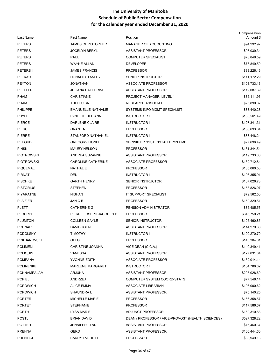| Last Name          | <b>First Name</b>         | Position                                          | Compensation<br>Amount \$ |
|--------------------|---------------------------|---------------------------------------------------|---------------------------|
| <b>PETERS</b>      | <b>JAMES CHRISTOPHER</b>  | MANAGER OF ACCOUNTING                             | \$94,292.97               |
| <b>PETERS</b>      | <b>JOCELYN BERYL</b>      | ASSISTANT PROFESSOR                               | \$93,039.34               |
| <b>PETERS</b>      | <b>PAUL</b>               | <b>COMPUTER SPECIALIST</b>                        | \$78,849.59               |
| <b>PETERS</b>      | <b>WAYNE ALLAN</b>        | <b>DEVELOPER</b>                                  | \$78,849.59               |
| PETERS III         | <b>JAMES FRANCIS</b>      | <b>PROFESSOR</b>                                  | \$83,226.46               |
| PETKAU             | DONALD STANLEY            | <b>SENIOR INSTRUCTOR</b>                          | \$111,172.29              |
| <b>PEYTON</b>      | JONATHAN                  | ASSOCIATE PROFESSOR                               | \$108,733.13              |
| <b>PFEFFER</b>     | <b>JULIANA CATHERINE</b>  | ASSISTANT PROFESSOR                               | \$119,087.69              |
| <b>PHAM</b>        | <b>CHRISTIANE</b>         | PROJECT MANAGER, LEVEL 1                          | \$85,111.93               |
| <b>PHAM</b>        | THI THU BA                | <b>RESEARCH ASSOCIATE</b>                         | \$75,890.87               |
| <b>PHILIPPE</b>    | <b>EMANUELLE NATHALIE</b> | SYSTEMS INFO MGMT SPECIALIST                      | \$83,440.28               |
| PHYFE              | LYNETTE DEE ANN           | <b>INSTRUCTOR II</b>                              | \$100,561.49              |
| <b>PIERCE</b>      | <b>DARLENE CLAIRE</b>     | <b>INSTRUCTOR II</b>                              | \$107,341.31              |
| <b>PIERCE</b>      | <b>GRANT N</b>            | <b>PROFESSOR</b>                                  | \$166,693.64              |
| <b>PIERRE</b>      | STANFORD NATHANIEL        | <b>INSTRUCTOR I</b>                               | \$88,448.24               |
| <b>PILLOUD</b>     | <b>GREGORY LIONEL</b>     | SPRINKLER SYST INSTALLER/PLUMB                    | \$77,696.49               |
| <b>PINSK</b>       | <b>MAURY NELSON</b>       | <b>PROFESSOR</b>                                  | \$131,344.54              |
| <b>PIOTROWSKI</b>  | ANDREA SUZANNE            | ASSISTANT PROFESSOR                               | \$119,733.86              |
| <b>PIOTROWSKI</b>  | CAROLINE CATHERINE        | ASSOCIATE PROFESSOR                               | \$132,712.84              |
| <b>PIQUEMAL</b>    | <b>NATHALIE</b>           | <b>PROFESSOR</b>                                  | \$135,060.58              |
| <b>PIRNAT</b>      | <b>DENI</b>               | <b>INSTRUCTOR II</b>                              | \$106,355.91              |
| <b>PISCHKE</b>     | <b>GARTH HENRY</b>        | <b>SENIOR INSTRUCTOR</b>                          | \$107,026.73              |
| <b>PISTORIUS</b>   | <b>STEPHEN</b>            | <b>PROFESSOR</b>                                  | \$158,826.07              |
| <b>PIYARATNE</b>   | <b>NISHAN</b>             | IT SUPPORT SPECIALIST                             | \$79,562.50               |
| <b>PLAIZIER</b>    | JAN C B                   | <b>PROFESSOR</b>                                  | \$152,329.51              |
| <b>PLETT</b>       | <b>CATHERINE G</b>        | PENSION ADMINISTRATOR                             | \$85,485.53               |
| <b>PLOURDE</b>     | PIERRE JOSEPH JACQUES P.  | <b>PROFESSOR</b>                                  | \$345,750.21              |
| <b>PLUMTON</b>     | <b>COLLEEN GAYLE</b>      | <b>SENIOR INSTRUCTOR</b>                          | \$105,460.85              |
| <b>PODNAR</b>      | DAVID JOHN                | ASSISTANT PROFESSOR                               | \$114,279.36              |
| <b>PODOLSKY</b>    | <b>TIMOTHY</b>            | <b>INSTRUCTOR II</b>                              | \$100,270.70              |
| <b>POKHANOVSKI</b> | OLEG                      | <b>PROFESSOR</b>                                  | \$143,304.01              |
| <b>POLIMENI</b>    | CHRISTINE JOANNA          | VICE DEAN (C.C.A.)                                | \$140,349.41              |
| <b>POLIQUIN</b>    | VANESSA                   | ASSISTANT PROFESSOR                               | \$127,031.64              |
| <b>POMPANA</b>     | YVONNE EDITH              | ASSOCIATE PROFESSOR                               | \$132,014.14              |
| <b>POMRENKE</b>    | <b>MARLENE MARGARET</b>   | <b>INSTRUCTOR II</b>                              | \$104,786.62              |
| PONNAMPALAM        | ARJUNA                    | ASSISTANT PROFESSOR                               | \$295,028.69              |
| <b>POPIEL</b>      | ANDRZEJ                   | COMPUTER SYSTEM COORD-STATS                       | \$77,548.14               |
| <b>POPOWICH</b>    | <b>ALICE EMMA</b>         | ASSOCIATE LIBRARIAN                               | \$106,000.62              |
| <b>POPOWICH</b>    | SHAUNDRA L                | ASSISTANT PROFESSOR                               | \$75,140.25               |
| <b>PORTER</b>      | <b>MICHELLE MARIE</b>     | <b>PROFESSOR</b>                                  | \$166,358.57              |
| <b>PORTET</b>      | <b>STEPHANIE</b>          | <b>PROFESSOR</b>                                  | \$117,586.67              |
| <b>PORTH</b>       | LYSA MARIE                | ADJUNCT PROFESSOR                                 | \$162,310.88              |
| <b>POSTL</b>       | <b>BRIAN DAVID</b>        | DEAN / PROFESSOR / VICE-PROVOST (HEALTH SCIENCES) | \$527,328.22              |
| <b>POTTER</b>      | <b>JENNIFER LYNN</b>      | ASSISTANT PROFESSOR                               | \$76,460.37               |
| <b>PREHNA</b>      | <b>GERD</b>               | ASSISTANT PROFESSOR                               | \$100,444.60              |
| <b>PRENTICE</b>    | <b>BARRY EVERETT</b>      | <b>PROFESSOR</b>                                  | \$82,949.18               |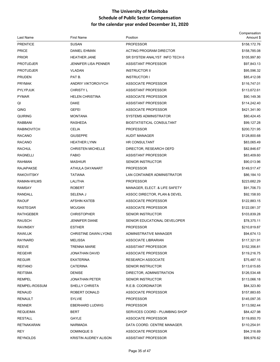| Last Name          | <b>First Name</b>           | Position                         | Compensation<br>Amount \$ |
|--------------------|-----------------------------|----------------------------------|---------------------------|
| <b>PRENTICE</b>    | <b>SUSAN</b>                | <b>PROFESSOR</b>                 | \$158,172.76              |
| <b>PRICE</b>       | <b>DANIEL EHMAN</b>         | ACTING PROGRAM DIRECTOR          | \$158,785.08              |
| <b>PRIOR</b>       | <b>HEATHER JANE</b>         | SR SYSTEM ANALYST INFO TECH 6    | \$105,997.80              |
| <b>PROTUDJER</b>   | <b>JENNIFER LISA PENNER</b> | ASSISTANT PROFESSOR              | \$97,843.13               |
| <b>PROTUDJER</b>   | <b>VLADAN</b>               | <b>INSTRUCTOR II</b>             | \$95,596.32               |
| <b>PRUDEN</b>      | PAT B.                      | <b>INSTRUCTOR I</b>              | \$85,412.08               |
| <b>PRYMAK</b>      | <b>ANDRIY VIKTOROVYCH</b>   | ASSOCIATE PROFESSOR              | \$116,747.01              |
| <b>PYLYPJUK</b>    | <b>CHRISTY L</b>            | ASSISTANT PROFESSOR              | \$113,672.61              |
| <b>PYMAR</b>       | <b>HELEN CHRISTINA</b>      | ASSOCIATE PROFESSOR              | \$90,149.36               |
| QI                 | <b>DAKE</b>                 | ASSISTANT PROFESSOR              | \$114,242.40              |
| QING               | <b>GEFEI</b>                | ASSOCIATE PROFESSOR              | \$421,341.90              |
| <b>QUIRING</b>     | <b>MONTANA</b>              | SYSTEMS ADMINISTRATOR            | \$80,424.45               |
| RABBANI            | <b>RASHEDA</b>              | <b>BIOSTATISTICAL CONSULTANT</b> | \$99,127.28               |
| <b>RABINOVITCH</b> | <b>CELIA</b>                | <b>PROFESSOR</b>                 | \$200,721.95              |
| <b>RACANO</b>      | <b>GIUSEPPE</b>             | <b>AUDIT MANAGER</b>             | \$128,800.68              |
| <b>RACANO</b>      | <b>HEATHER LYNN</b>         | HR CONSULTANT                    | \$83.065.49               |
| <b>RACHUL</b>      | <b>CHRISTEN MICHELLE</b>    | DIRECTOR, RESEARCH OEFD          | \$82,846.67               |
| <b>RAGNELLI</b>    | <b>FABIO</b>                | ASSISTANT PROFESSOR              | \$83,409.60               |
| <b>RAHMAN</b>      | <b>MASHIUR</b>              | <b>SENIOR INSTRUCTOR</b>         | \$90,013.96               |
| <b>RAJAPAKSE</b>   | ATHULA DAYANART             | <b>PROFESSOR</b>                 | \$149,517.47              |
| <b>RAKOVITSKY</b>  | <b>TATIANA</b>              | LAN CONTAINER ADMINISTRATOR      | \$86,184.10               |
| RAMAN-WILMS        | LALITHA                     | <b>PROFESSOR</b>                 | \$223,682.29              |
| <b>RAMSAY</b>      | <b>ROBERT</b>               | MANAGER, ELECT. & LIFE SAFETY    | \$91,706.73               |
| RANDALL            | <b>SELENA J</b>             | ASSOC DIRECTOR, PLAN & DEVEL     | \$92,158.93               |
| <b>RAOUF</b>       | <b>AFSHIN KATEB</b>         | ASSOCIATE PROFESSOR              | \$122,883.15              |
| <b>RASTEGAR</b>    | <b>MOJGAN</b>               | ASSOCIATE PROFESSOR              | \$122,081.37              |
| <b>RATHGEBER</b>   | <b>CHRISTOPHER</b>          | <b>SENIOR INSTRUCTOR</b>         | \$103,839.28              |
| <b>RAUSCH</b>      | <b>JENNIFER DIANE</b>       | SENIOR EDUCATIONAL DEVELOPER     | \$78,375.11               |
| <b>RAVINSKY</b>    | <b>ESTHER</b>               | <b>PROFESSOR</b>                 | \$210,819.87              |
| <b>RAWLUK</b>      | CHRISTINE DAWN LYONS        | ADMINISTRATIVE MANAGER           | \$94,674.13               |
| <b>RAYNARD</b>     | <b>MELISSA</b>              | ASSOCIATE LIBRARIAN              | \$117,321.91              |
| REEVE              | <b>TRENNA MARIE</b>         | ASSISTANT PROFESSOR              | \$152,356.81              |
| <b>REGEHR</b>      | <b>JONATHAN DAVID</b>       | ASSOCIATE PROFESSOR              | \$119,216.75              |
| <b>REGUIR</b>      | <b>EKATERINA</b>            | <b>RESEARCH ASSOCIATE</b>        | \$75,487.15               |
| <b>REITANO</b>     | <b>CATERINA</b>             | <b>SENIOR INSTRUCTOR</b>         | \$113,615.65              |
| <b>REITSMA</b>     | <b>DENISE</b>               | DIRECTOR, ADMINISTRATION         | \$126,534.48              |
| REMPEL             | <b>JONATHAN PETER</b>       | <b>SENIOR INSTRUCTOR</b>         | \$113,066.18              |
| REMPEL-ROSSUM      | SHELLY CHRISTA              | R.E.B. COORDINATOR               | \$84,323.80               |
| RENAUD             | ROBERT DONALD               | ASSOCIATE PROFESSOR              | \$157,883.65              |
| RENAULT            | <b>SYLVIE</b>               | <b>PROFESSOR</b>                 | \$145,097.35              |
| <b>RENNER</b>      | <b>EBERHARD LUDWIG</b>      | <b>PROFESSOR</b>                 | \$113,582.44              |
| <b>REQUEIMA</b>    | BERT                        | SERVICES COORD - PLUMBING SHOP   | \$84,427.98               |
| <b>RESTALL</b>     | GAYLE                       | ASSOCIATE PROFESSOR              | \$119,850.70              |
| RETNAKARAN         | NARMADA                     | DATA COORD. CENTRE MANAGER.      | \$110,254.91              |
| REY                | DOMINIQUE S                 | ASSOCIATE PROFESSOR              | \$94,316.69               |
| <b>REYNOLDS</b>    | KRISTIN AUDREY ALISON       | ASSISTANT PROFESSOR              | \$99,976.62               |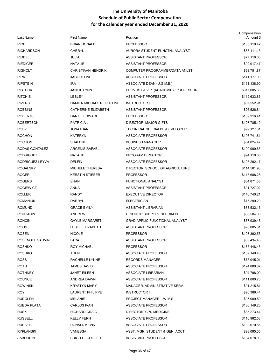| Last Name         | <b>First Name</b>         | Position                              | Compensation<br>Amount \$ |
|-------------------|---------------------------|---------------------------------------|---------------------------|
| <b>RICE</b>       | <b>BRIAN DONALD</b>       | <b>PROFESSOR</b>                      | \$135.110.42              |
| <b>RICHARDSON</b> | <b>CHERYL</b>             | AURORA STUDENT FUNCTNL ANALYST        | \$83,111.13               |
| <b>RIDDELL</b>    | <b>JULIA</b>              | ASSISTANT PROFESSOR                   | \$77,116.08               |
| <b>RIEDIGER</b>   | <b>NATALIE</b>            | ASSISTANT PROFESSOR                   | \$92,917.47               |
| <b>RIGHOLT</b>    | <b>CHRISTIAAN HENDRIK</b> | COMPUTER PROGRAMMER/DATA ANLST        | \$93,751.87               |
| <b>RIPAT</b>      | <b>JACQUELINE</b>         | ASSOCIATE PROFESSOR                   | \$141,177.00              |
| <b>RIPSTEIN</b>   | <b>IRA</b>                | ASSOCIATE DEAN (U.G.M.E.)             | \$151,138.90              |
| <b>RISTOCK</b>    | <b>JANICE LYNN</b>        | PROVOST & V.P. (ACADEMIC) / PROFESSOR | \$317,005.38              |
| <b>RITCHIE</b>    | LESLEY                    | ASSISTANT PROFESSOR                   | \$119,633.86              |
| <b>RIVERS</b>     | DAMIEN MICHAEL REGHELINI  | <b>INSTRUCTOR II</b>                  | \$87,552.91               |
| <b>ROBBINS</b>    | CATHERINE ELIZABETH       | ASSISTANT PROFESSOR                   | \$96,526.84               |
| <b>ROBERTS</b>    | DANIEL EDWARD             | <b>PROFESSOR</b>                      | \$159,316.41              |
| <b>ROBERTSON</b>  | PATRICIA J.               | DIRECTOR, MAJOR GIFTS                 | \$107,785.10              |
| <b>ROBY</b>       | <b>JONATHAN</b>           | TECHNICAL SPECIALIST/DEVELOPER        | \$99.127.31               |
| <b>ROCHON</b>     | <b>KATERYN</b>            | ASSOCIATE PROFESSOR                   | \$106,741.61              |
| <b>ROCHON</b>     | <b>SHALENE</b>            | <b>BUSINESS MANAGER</b>               | \$84,824.47               |
| RODAS GONZALEZ    | <b>ARGENIS RAFAEL</b>     | ASSOCIATE PROFESSOR                   | \$100,909.65              |
| <b>RODRIGUEZ</b>  | <b>NATALIE</b>            | PROGRAM DIRECTOR                      | \$94,110.68               |
| RODRIGUEZ LEYVA   | <b>DELFIN</b>             | ASSOCIATE PROFESSOR                   | \$105,292.17              |
| <b>ROGALSKY</b>   | <b>MICHELE THERESA</b>    | DIRECTOR, SCHOOL OF AGRICULTURE       | \$114,581.93              |
| <b>ROGER</b>      | <b>KERSTIN STIEBER</b>    | <b>PROFESSOR</b>                      | \$115,688.28              |
| <b>ROGERS</b>     | <b>SHAN</b>               | FUNCTIONAL ANALYST                    | \$84,871.38               |
| <b>ROGIEWICZ</b>  | ANNA                      | ASSISTANT PROFESSOR                   | \$91,727.02               |
| <b>ROLLER</b>     | <b>RANDY</b>              | <b>EXECUTIVE DIRECTOR</b>             | \$146,740.21              |
| <b>ROMANIUK</b>   | DARRYL                    | <b>ELECTRICIAN</b>                    | \$75,299.20               |
| <b>ROMUND</b>     | <b>GRACE EMILY</b>        | <b>ASSISTANT LIBRARIAN</b>            | \$78,532.13               |
| <b>RONCADIN</b>   | <b>ANDREW</b>             | IT SENIOR SUPPORT SPECIALIST          | \$80,504.00               |
| <b>RONCIN</b>     | <b>GAYLE MARGARET</b>     | <b>GRAD APPLIC FUNCTIONAL ANALYST</b> | \$77,939.46               |
| <b>ROOS</b>       | LESLIE ELIZABETH          | ASSISTANT PROFESSOR                   | \$96,085.31               |
| ROSEN             | <b>NICOLE</b>             | <b>PROFESSOR</b>                      | \$108,392.53              |
| ROSENOFF GAUVIN   | LARA                      | ASSISTANT PROFESSOR                   | \$85,434.43               |
| <b>ROSHKO</b>     | <b>ROY MICHAEL</b>        | <b>PROFESSOR</b>                      | \$165,448.43              |
| <b>ROSHKO</b>     | <b>TIJEN</b>              | ASSOCIATE PROFESSOR                   | \$109,149.48              |
| <b>ROSS</b>       | RACHELLE LYNNE            | <b>RECORDS MANAGER</b>                | \$75,045.01               |
| ROTH              | JAMES DAVID               | ASSOCIATE PROFESSOR                   | \$124,880.67              |
| <b>ROTHNEY</b>    | <b>JANET EILEEN</b>       | ASSOCIATE LIBRARIAN                   | \$94,798.09               |
| <b>ROUNCE</b>     | ANDREA DAWN               | ASSOCIATE PROFESSOR                   | \$111,800.76              |
| <b>ROWINSKI</b>   | <b>KRYSTYN MARY</b>       | MANAGER, ADMINISTRATIVE SERV.         | \$91,215.81               |
| <b>ROY</b>        | <b>LAURENT PHILIPPE</b>   | <b>INSTRUCTOR II</b>                  | \$90,389.44               |
| <b>RUDOLPH</b>    | MELANIE                   | PROJECT MANAGER, I.W.M.S.             | \$97,009.50               |
| RUEDA PLATA       | <b>CARLOS IVAN</b>        | ASSOCIATE PROFESSOR                   | \$136,149.20              |
| RUSK              | <b>RICHARD CRAIG</b>      | DIRECTOR, CPD MEDICINE                | \$85,273.44               |
| <b>RUSSELL</b>    | <b>KELLY FERN</b>         | ASSOCIATE PROFESSOR                   | \$116,982.58              |
| <b>RUSSELL</b>    | RONALD KEVIN              | ASSOCIATE PROFESSOR                   | \$132,670.85              |
| <b>RYPLANSKI</b>  | <b>VANESSA</b>            | ASST. MGR, STUDENT & GEN. ACCT        | \$93,095.35               |
| <b>SABOURIN</b>   | <b>BRIGITTE COLETTE</b>   | ASSISTANT PROFESSOR                   | \$104,678.93              |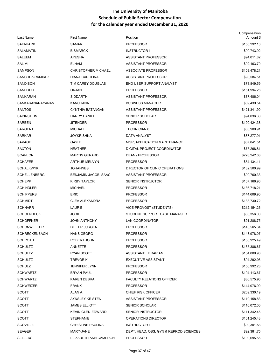| Last Name            | <b>First Name</b>           | Position                               | Compensation<br>Amount \$ |
|----------------------|-----------------------------|----------------------------------------|---------------------------|
| SAFI-HARB            | <b>SAMAR</b>                | <b>PROFESSOR</b>                       | \$150,292.10              |
| <b>SALAMATIN</b>     | <b>BISMARCK</b>             | <b>INSTRUCTOR II</b>                   | \$90,743.92               |
| SALEEM               | <b>AYESHA</b>               | <b>ASSISTANT PROFESSOR</b>             | \$94,011.82               |
| SALIMI               | <b>ELHAM</b>                | ASSISTANT PROFESSOR                    | \$92,163.70               |
| <b>SAMPSON</b>       | <b>CHRISTOPHER MICHAEL</b>  | ASSOCIATE PROFESSOR                    | \$103,478.21              |
| SANCHEZ-RAMIREZ      | <b>DIANA CAROLINA</b>       | ASSISTANT PROFESSOR                    | \$98,584.51               |
| <b>SANDISON</b>      | TIM CAREY DOUGLAS           | END USER SUPPORT ANALYST               | \$78,849.59               |
| SANDRED              | <b>ORJAN</b>                | <b>PROFESSOR</b>                       | \$151,994.26              |
| SANKARAN             | <b>SIDDARTH</b>             | ASSISTANT PROFESSOR                    | \$87,486.04               |
| SANKARANARAYANAN     | <b>KANCHANA</b>             | <b>BUSINESS MANAGER</b>                | \$89,439.54               |
| <b>SANTOS</b>        | <b>CYNTHIA BATANGAN</b>     | ASSISTANT PROFESSOR                    | \$421,341.90              |
| SAPIRSTEIN           | <b>HARRY DANIEL</b>         | <b>SENIOR SCHOLAR</b>                  | \$94,036.30               |
| <b>SAREEN</b>        | <b>JITENDER</b>             | <b>PROFESSOR</b>                       | \$190,424.38              |
| SARGENT              | <b>MICHAEL</b>              | <b>TECHNICIAN 6</b>                    | \$83,900.91               |
| <b>SARKAR</b>        | <b>JOYKRISHNA</b>           | DATA ANALYST                           | \$87,277.91               |
| SAVAGE               | GAYLE                       | MGR, APPLICATION MAINTENANCE           | \$87,041.51               |
| <b>SAXTON</b>        | <b>HEATHER</b>              | DIGITAL PROJECT COORDINATOR            | \$75,268.81               |
| <b>SCANLON</b>       | <b>MARTIN GERARD</b>        | <b>DEAN / PROFESSOR</b>                | \$228,242.68              |
| <b>SCHAFER</b>       | <b>ARTHUR MELVYN</b>        | <b>PROFESSOR</b>                       | \$84,134.11               |
| <b>SCHALKWYK</b>     | <b>JOHANNES</b>             | DIRECTOR OF CLINIC OPERATIONS          | \$132,500.99              |
| <b>SCHELLENBERG</b>  | <b>BENJAMIN JACOB ISAAC</b> | ASSISTANT PROFESSOR                    | \$90,760.33               |
| <b>SCHEPP</b>        | <b>KIRBY TAYLOR</b>         | <b>SENIOR INSTRUCTOR</b>               | \$107,166.96              |
| <b>SCHINDLER</b>     | <b>MICHAEL</b>              | <b>PROFESSOR</b>                       | \$136,718.21              |
| <b>SCHIPPERS</b>     | <b>ERIC</b>                 | <b>PROFESSOR</b>                       | \$144,609.90              |
| <b>SCHMIDT</b>       | <b>CLEA ALEXANDRA</b>       | <b>PROFESSOR</b>                       | \$138,730.72              |
| <b>SCHNARR</b>       | LAURIE                      | VICE-PROVOST (STUDENTS)                | \$212,154.26              |
| <b>SCHOENBECK</b>    | <b>JODIE</b>                | STUDENT SUPPORT CASE MANAGER           | \$83,356.00               |
| <b>SCHOFFNER</b>     | <b>JOHN ANTHONY</b>         | LAN COORDINATOR                        | \$91,288.75               |
| <b>SCHONWETTER</b>   | DIETER JURGEN               | <b>PROFESSOR</b>                       | \$143,565.64              |
| <b>SCHRECKENBACH</b> | <b>HANS GEORG</b>           | <b>PROFESSOR</b>                       | \$148,978.07              |
| SCHROTH              | ROBERT JOHN                 | <b>PROFESSOR</b>                       | \$150,925.49              |
| <b>SCHULTZ</b>       | ANNETTE                     | <b>PROFESSOR</b>                       | \$135,386.67              |
| <b>SCHULTZ</b>       | RYAN SCOTT                  | <b>ASSISTANT LIBRARIAN</b>             | \$104,009.96              |
| <b>SCHULTZ</b>       | <b>TREVOR K</b>             | <b>EXECUTIVE ASSISTANT</b>             | \$94,292.96               |
| <b>SCHULZ</b>        | <b>JENNIFER LYNN</b>        | <b>PROFESSOR</b>                       | \$156,992.28              |
| SCHWARTZ             | <b>BRYAN PAUL</b>           | <b>PROFESSOR</b>                       | \$194,113.67              |
| <b>SCHWARTZ</b>      | <b>KAREN DEBRA</b>          | <b>FACULTY RELATIONS OFFICER</b>       | \$86,575.96               |
| <b>SCHWEIZER</b>     | <b>FRANK</b>                | <b>PROFESSOR</b>                       | \$144,076.90              |
| <b>SCOTT</b>         | ALAN A.                     | CHIEF RISK OFFICER                     | \$209,330.19              |
| <b>SCOTT</b>         | <b>AYNSLEY KRISTEN</b>      | ASSISTANT PROFESSOR                    | \$110,158.83              |
| SCOTT                | <b>JAMES ELLIOTT</b>        | <b>SENIOR SCHOLAR</b>                  | \$110,072.00              |
| SCOTT                | KEVIN GLEN-EDWARD           | <b>SENIOR INSTRUCTOR</b>               | \$111,342.46              |
| SCOTT                | <b>STEPHANIE</b>            | OPERATIONS DIRECTOR                    | \$101,245.43              |
| <b>SCOVILLE</b>      | <b>CHRISTINE PAULINA</b>    | <b>INSTRUCTOR II</b>                   | \$99,301.58               |
| <b>SEAGER</b>        | MARY-JANE                   | DEPT. HEAD, OBS, GYN & REPROD SCIENCES | \$92,381.75               |
| SELLERS              | ELIZABETH ANN CAMERON       | <b>PROFESSOR</b>                       | \$109,695.56              |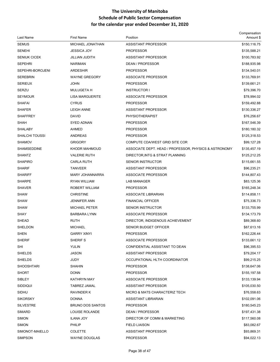| Last Name             | <b>First Name</b>      | Position                                              | Compensation<br>Amount \$ |
|-----------------------|------------------------|-------------------------------------------------------|---------------------------|
| <b>SEMUS</b>          | MICHAEL JONATHAN       | ASSISTANT PROFESSOR                                   | \$150,116.75              |
| <b>SENEHI</b>         | <b>JESSICA JOY</b>     | <b>PROFESSOR</b>                                      | \$135,588.21              |
| <b>SENIUK CICEK</b>   | <b>JILLIAN JUDITH</b>  | <b>ASSISTANT PROFESSOR</b>                            | \$100,783.92              |
| <b>SEPEHRI</b>        | <b>NARIMAN</b>         | <b>DEAN / PROFESSOR</b>                               | \$188,935.98              |
| SEPEHRI-BOROJENI      | <b>ARDESHIR</b>        | <b>PROFESSOR</b>                                      | \$134,540.01              |
| <b>SEREBRIN</b>       | <b>WAYNE GREGORY</b>   | ASSOCIATE PROFESSOR                                   | \$133,769.91              |
| <b>SERIEUX</b>        | <b>JOHN</b>            | <b>PROFESSOR</b>                                      | \$139,661.21              |
| <b>SERZU</b>          | <b>MULUGETA H</b>      | <b>INSTRUCTOR I</b>                                   | \$79,396.70               |
| <b>SEYMOUR</b>        | LISA MARGUERITE        | ASSOCIATE PROFESSOR                                   | \$78,994.02               |
| <b>SHAFAI</b>         | <b>CYRUS</b>           | <b>PROFESSOR</b>                                      | \$159,492.88              |
| <b>SHAFER</b>         | <b>LEIGH ANNE</b>      | ASSISTANT PROFESSOR                                   | \$130,336.27              |
| <b>SHAFFREY</b>       | <b>DAVID</b>           | <b>PHYSIOTHERAPIST</b>                                | \$76,256.67               |
| <b>SHAH</b>           | <b>SYED ADNAN</b>      | <b>PROFESSOR</b>                                      | \$167,546.39              |
| <b>SHALABY</b>        | <b>AHMED</b>           | <b>PROFESSOR</b>                                      | \$180,180.32              |
| <b>SHALCHI TOUSSI</b> | ANDREAS                | <b>PROFESSOR</b>                                      | \$125,318.53              |
| <b>SHAMOV</b>         | <b>GRIGORY</b>         | COMPUTE CDA/WEST GRID SITE COR                        | \$99,127.28               |
| <b>SHAMSEDDINE</b>    | KHODR MAHMOUD          | ASSOCIATE DEPT. HEAD / PROFESSOR, PHYSICS & ASTRONOMY | \$135,457.19              |
| <b>SHANTZ</b>         | <b>VALERIE RUTH</b>    | DIRECTOR, INTG & STRAT PLANNING                       | \$125,212.25              |
| <b>SHAPIRO</b>        | <b>CARLA RUTH</b>      | <b>SENIOR INSTRUCTOR</b>                              | \$115,661.55              |
| <b>SHARIF</b>         | <b>TANVEER</b>         | ASSISTANT PROFESSOR                                   | \$96,235.21               |
| <b>SHARIFF</b>        | <b>MARY JOHANNARRA</b> | ASSOCIATE PROFESSOR                                   | \$144,807.43              |
| <b>SHARPE</b>         | RYAN WILLIAM           | LAB MANAGER                                           | \$83,125.36               |
| <b>SHAVER</b>         | ROBERT WILLIAM         | <b>PROFESSOR</b>                                      | \$165,248.34              |
| <b>SHAW</b>           | <b>CHRISTINE</b>       | ASSOCIATE LIBRARIAN                                   | \$114,858.11              |
| <b>SHAW</b>           | <b>JENNIFER ANN</b>    | <b>FINANCIAL OFFICER</b>                              | \$75,336.73               |
| <b>SHAW</b>           | <b>MICHAEL PETER</b>   | <b>SENIOR INSTRUCTOR</b>                              | \$133,755.99              |
| <b>SHAY</b>           | <b>BARBARA LYNN</b>    | ASSOCIATE PROFESSOR                                   | \$134,173.79              |
| <b>SHEAD</b>          | <b>RUTH</b>            | DIRECTOR, INDIGENOUS ACHIEVEMENT                      | \$89,368.60               |
| <b>SHELDON</b>        | <b>MICHAEL</b>         | SENIOR BUDGET OFFICER                                 | \$87,613.16               |
| <b>SHEN</b>           | <b>GARRY XINYI</b>     | <b>PROFESSOR</b>                                      | \$162,226.44              |
| <b>SHERIF</b>         | SHERIF S               | ASSOCIATE PROFESSOR                                   | \$133,661.12              |
| SHI                   | <b>YULIN</b>           | CONFIDENTIAL ASSISTANT TO DEAN                        | \$96,395.53               |
| <b>SHIELDS</b>        | <b>JASON</b>           | ASSISTANT PROFESSOR                                   | \$79,204.17               |
| <b>SHIELDS</b>        | JUDY                   | OCCUPATIONAL HLTH COORDINATOR                         | \$99,215.25               |
| <b>SHOOSHTARI</b>     | <b>SHAHIN</b>          | <b>PROFESSOR</b>                                      | \$138,647.06              |
| <b>SHORT</b>          | <b>DONN</b>            | <b>PROFESSOR</b>                                      | \$155,197.58              |
| SIBLEY                | <b>KATHRYN MAY</b>     | ASSOCIATE PROFESSOR                                   | \$133,139.94              |
| <b>SIDDIQUI</b>       | TABREZ JAMAL           | ASSISTANT PROFESSOR                                   | \$105,030.50              |
| <b>SIDHU</b>          | RAVINDER K             | MICRO & MATS CHARACTERIZ TECH                         | \$76,558.63               |
| <b>SIKORSKY</b>       | <b>DONNA</b>           | ASSISTANT LIBRARIAN                                   | \$102,091.06              |
| <b>SILVESTRE</b>      | BRUNO DOS SANTOS       | <b>PROFESSOR</b>                                      | \$180,545.23              |
| <b>SIMARD</b>         | LOUISE ROLANDE         | DEAN / PROFESSOR                                      | \$197,431.38              |
| <b>SIMON</b>          | ILANA JOY              | DIRECTOR OF COMM & MARKETING                          | \$117,560.08              |
| <b>SIMON</b>          | PHILIP                 | <b>FIELD LIAISON</b>                                  | \$83,082.67               |
| SIMONOT-MAIELLO       | <b>COLETTE</b>         | ASSISTANT PROFESSOR                                   | \$93,869.31               |
| <b>SIMPSON</b>        | <b>WAYNE DOUGLAS</b>   | <b>PROFESSOR</b>                                      | \$94,022.13               |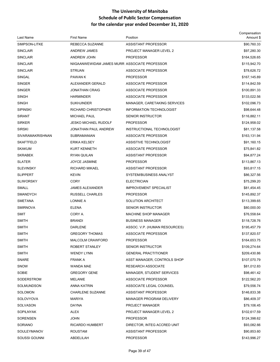| Last Name               | <b>First Name</b>                             | Position                            | Compensation<br>Amount \$ |
|-------------------------|-----------------------------------------------|-------------------------------------|---------------------------|
| SIMPSON-LITKE           | REBECCA SUZANNE                               | <b>ASSISTANT PROFESSOR</b>          | \$90,760.33               |
| <b>SINCLAIR</b>         | ANDREW JAMES                                  | <b>PROJECT MANAGER LEVEL 2</b>      | \$97,280.30               |
| <b>SINCLAIR</b>         | ANDREW JOHN                                   | <b>PROFESSOR</b>                    | \$164,526.65              |
| <b>SINCLAIR</b>         | NIIGAANWEWIDAM JAMES MURR ASSOCIATE PROFESSOR |                                     | \$115,942.70              |
| <b>SINCLAIR</b>         | <b>STRUAN</b>                                 | <b>ASSOCIATE PROFESSOR</b>          | \$78,626.72               |
| SINGAL                  | <b>PAWAN K</b>                                | <b>PROFESSOR</b>                    | \$167,145.89              |
| <b>SINGER</b>           | ALEXANDER GERALD                              | ASSOCIATE PROFESSOR                 | \$114,842.59              |
| <b>SINGER</b>           | <b>JONATHAN CRAIG</b>                         | <b>ASSOCIATE PROFESSOR</b>          | \$100,891.33              |
| <b>SINGH</b>            | <b>HARMINDER</b>                              | ASSOCIATE PROFESSOR                 | \$133,022.56              |
| <b>SINGH</b>            | <b>SUKHJINDER</b>                             | <b>MANAGER, CARETAKING SERVICES</b> | \$102,096.73              |
| <b>SIPINSKI</b>         | RICHARD CHRISTOPHER                           | INFORMATION TECHNOLOGIST            | \$98,644.48               |
| <b>SIRANT</b>           | <b>MICHAEL PAUL</b>                           | <b>SENIOR INSTRUCTOR</b>            | \$116,882.11              |
| <b>SIRKER</b>           | <b>JESKO MICHAEL RUDOLF</b>                   | <b>PROFESSOR</b>                    | \$124,958.02              |
| <b>SIRSKI</b>           | <b>JONATHAN PAUL ANDREW</b>                   | INSTRUCTIONAL TECHNOLOGIST          | \$81,137.58               |
| <b>SIVARAMAKRISHNAN</b> | <b>SUBRAMANIAN</b>                            | <b>ASSOCIATE PROFESSOR</b>          | \$163,131.94              |
| <b>SKAFTFELD</b>        | <b>ERIKA KELSEY</b>                           | ASSISTIVE TECHNOLOGIST              | \$91,160.15               |
| <b>SKAKUM</b>           | <b>KURT KENNETH</b>                           | ASSOCIATE PROFESSOR                 | \$75,841.82               |
| <b>SKRABEK</b>          | RYAN QUILAN                                   | ASSISTANT PROFESSOR                 | \$94,877.24               |
| <b>SLATER</b>           | <b>JOYCE JASMINE</b>                          | <b>PROFESSOR</b>                    | \$113,867.13              |
| <b>SLEVINSKY</b>        | RICHARD MIKAEL                                | ASSISTANT PROFESSOR                 | \$93,817.15               |
| <b>SLIPPERT</b>         | KEVIN                                         | SYSTEM/BUSINESS ANALYST             | \$86,327.56               |
| <b>SLIWORSKY</b>        | <b>CORY</b>                                   | <b>ELECTRICIAN</b>                  | \$75,299.20               |
| <b>SMALL</b>            | <b>JAMES ALEXANDER</b>                        | <b>IMPROVEMENT SPECIALIST</b>       | \$81,454.45               |
| <b>SMANDYCH</b>         | <b>RUSSELL CHARLES</b>                        | <b>PROFESSOR</b>                    | \$145,892.37              |
| <b>SMETANA</b>          | LONNIE A                                      | <b>SOLUTION ARCHITECT</b>           | \$113,399.65              |
| <b>SMIRNOVA</b>         | <b>ELENA</b>                                  | <b>SENIOR INSTRUCTOR</b>            | \$80,000.00               |
| <b>SMIT</b>             | CORY A.                                       | <b>MACHINE SHOP MANAGER</b>         | \$76,558.64               |
| <b>SMITH</b>            | <b>BRANDI</b>                                 | <b>BUSINESS MANAGER</b>             | \$118,728.76              |
| <b>SMITH</b>            | DARLENE                                       | ASSOC. V.P. (HUMAN RESOURCES)       | \$195,457.79              |
| SMITH                   | <b>GREGORY THOMAS</b>                         | ASSOCIATE PROFESSOR                 | \$137,820.57              |
| SMITH                   | <b>MALCOLM CRAWFORD</b>                       | <b>PROFESSOR</b>                    | \$164,653.75              |
| <b>SMITH</b>            | ROBERT STANLEY                                | <b>SENIOR INSTRUCTOR</b>            | \$109,274.64              |
| SMITH                   | <b>WENDY LYNN</b>                             | <b>GENERAL PRACTITIONER</b>         | \$209,430.86              |
| SNARE                   | <b>FRANK A</b>                                | ASST MANAGER, CONTROLS SHOP         | \$107,070.79              |
| <b>SNOW</b>             | WANDA MAE                                     | <b>RESEARCH ASSOCIATE</b>           | \$81,012.83               |
| <b>SOBIE</b>            | <b>GREGORY GENE</b>                           | <b>MANAGER, STUDENT SERVICES</b>    | \$98,461.42               |
| SODERSTROM              | <b>MELANIE</b>                                | <b>ASSOCIATE PROFESSOR</b>          | \$122,562.20              |
| SOLMUNDSON              | ANNA KATRIN                                   | ASSOCIATE LEGAL COUNSEL             | \$79,556.74               |
| <b>SOLOMON</b>          | <b>CHARLENE SUZANNE</b>                       | ASSISTANT PROFESSOR                 | \$146,833.38              |
| SOLOVYOVA               | <b>MARIYA</b>                                 | MANAGER PROGRAM DELIVERY            | \$86,409.37               |
| SOLVASON                | DAYNA                                         | PROJECT MANAGER                     | \$79,106.45               |
| SOPILNYAK               | ALEX                                          | PROJECT MANAGER LEVEL 2             | \$102,617.59              |
| SORENSEN                | <b>JOHN</b>                                   | <b>PROFESSOR</b>                    | \$124,398.62              |
| SORIANO                 | RICARDO HUMBERT                               | DIRECTOR, INTEG ACCRED UNIT         | \$93,082.66               |
| SOULEYMANOV             | <b>ROUSTAM</b>                                | ASSISTANT PROFESSOR                 | \$90,853.60               |
| SOUSSI GOUNNI           | ABDELILAH                                     | <b>PROFESSOR</b>                    | \$143,996.27              |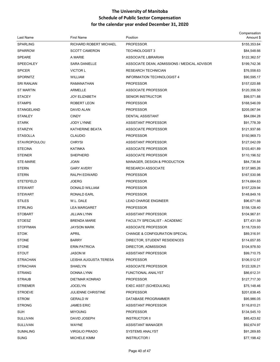| Last Name           | <b>First Name</b>         | Position                                     | Compensation<br>Amount \$ |
|---------------------|---------------------------|----------------------------------------------|---------------------------|
| <b>SPARLING</b>     | RICHARD ROBERT MICHAEL    | <b>PROFESSOR</b>                             | \$155,353.64              |
| <b>SPARROW</b>      | <b>SCOTT CAMERON</b>      | <b>TECHNOLOGIST 3</b>                        | \$84,548.66               |
| <b>SPEARE</b>       | A MARIE                   | <b>ASSOCIATE LIBRARIAN</b>                   | \$122,362.57              |
| <b>SPEECHLEY</b>    | <b>SARA DANIELLE</b>      | ASSOCIATE DEAN, ADMISSIONS / MEDICAL ADVISOR | \$199,742.36              |
| <b>SPICER</b>       | <b>VICTOR L</b>           | <b>RESEARCH TECHNICIAN</b>                   | \$76,558.63               |
| <b>SPORNITZ</b>     | <b>WILLIAM</b>            | INFORMATION TECHNOLOGIST 4                   | \$90,595.17               |
| <b>SRI RANJAN</b>   | <b>RAMANATHAN</b>         | <b>PROFESSOR</b>                             | \$157,020.88              |
| <b>ST MARTIN</b>    | ARMELLE                   | ASSOCIATE PROFESSOR                          | \$120,356.50              |
| <b>STACEY</b>       | <b>JOY ELIZABETH</b>      | <b>SENIOR INSTRUCTOR</b>                     | \$99,571.88               |
| <b>STAMPS</b>       | ROBERT LEON               | <b>PROFESSOR</b>                             | \$168,546.09              |
| STANGELAND          | DAVID ALAN                | <b>PROFESSOR</b>                             | \$205,067.94              |
| <b>STANLEY</b>      | <b>CINDY</b>              | DENTAL ASSISTANT                             | \$84,084.28               |
| <b>STARK</b>        | <b>JODY LYNNE</b>         | ASSISTANT PROFESSOR                          | \$91,778.39               |
| <b>STARZYK</b>      | KATHERINE BEATA           | ASSOCIATE PROFESSOR                          | \$121,937.66              |
| <b>STASOLLA</b>     | <b>CLAUDIO</b>            | <b>PROFESSOR</b>                             | \$150,969.73              |
| <b>STAVROPOULOU</b> | <b>CHRYSI</b>             | ASSISTANT PROFESSOR                          | \$127,042.09              |
| <b>STECINA</b>      | KATINKA                   | ASSOCIATE PROFESSOR                          | \$103,401.89              |
| <b>STEINER</b>      | <b>SHEPHERD</b>           | ASSOCIATE PROFESSOR                          | \$110,196.52              |
| STE-MARIE           | <b>JOAN</b>               | MANAGER, DESIGN & PRODUCTION                 | \$84,736.84               |
| <b>STERN</b>        | <b>GARY AVERY</b>         | <b>RESEARCH ASSOCIATE</b>                    | \$137,985.26              |
| <b>STERN</b>        | <b>RALPH EDWARD</b>       | <b>PROFESSOR</b>                             | \$167,530.98              |
| <b>STETEFELD</b>    | <b>JOERG</b>              | <b>PROFESSOR</b>                             | \$174,664.63              |
| <b>STEWART</b>      | DONALD WILLIAM            | <b>PROFESSOR</b>                             | \$157,229.94              |
| <b>STEWART</b>      | RONALD EARL               | <b>PROFESSOR</b>                             | \$148,849.16              |
| <b>STILES</b>       | W.L. DALE                 | <b>LEAD CHARGE ENGINEER</b>                  | \$96,671.66               |
| <b>STIRLING</b>     | <b>LEA MARGARET</b>       | <b>PROFESSOR</b>                             | \$158,128.40              |
| <b>STOBART</b>      | <b>JILLIAN LYNN</b>       | <b>ASSISTANT PROFESSOR</b>                   | \$104,967.81              |
| <b>STOESZ</b>       | <b>BRENDA MARIE</b>       | FACULTY SPECIALIST - ACADEMIC                | \$77,431.59               |
| <b>STOFFMAN</b>     | <b>JAYSON MARK</b>        | ASSOCIATE PROFESSOR                          | \$118,729.93              |
| <b>STOIK</b>        | <b>APRIL</b>              | <b>CHANGE &amp; CONFIGURATION SPECIAL</b>    | \$89,316.91               |
| <b>STONE</b>        | <b>BARRY</b>              | DIRECTOR, STUDENT RESIDENCES                 | \$114,657.85              |
| <b>STONE</b>        | <b>ERIN PATRICIA</b>      | DIRECTOR, ADMISSIONS                         | \$104,978.50              |
| <b>STOUT</b>        | JASON M                   | ASSISTANT PROFESSOR                          | \$99,710.75               |
| <b>STRACHAN</b>     | LEISHA AUGUSTA TERESA     | <b>PROFESSOR</b>                             | \$106,512.57              |
| <b>STRACHAN</b>     | SHAELYN                   | ASSOCIATE PROFESSOR                          | \$122,326.21              |
| <b>STRANG</b>       | DONNA LYNN                | FUNCTIONAL ANALYST                           | \$86,612.31               |
| <b>STRAUB</b>       | DIETMAR KONRAD            | <b>PROFESSOR</b>                             | \$127,717.30              |
| <b>STRIEMER</b>     | <b>JOCELYN</b>            | EXEC ASST (SCHEDULING)                       | \$75,148.46               |
| <b>STROEVE</b>      | <b>JULIENNE CHRISTINE</b> | <b>PROFESSOR</b>                             | \$201,638.45              |
| <b>STROM</b>        | <b>GERALD W</b>           | DATABASE PROGRAMMER                          | \$95,986.05               |
| <b>STRONG</b>       | <b>JAMES ERIC</b>         | ASSISTANT PROFESSOR                          | \$116,810.21              |
| SUH                 | <b>MIYOUNG</b>            | <b>PROFESSOR</b>                             | \$134,545.10              |
| <b>SULLIVAN</b>     | DAVID JOSEPH              | <b>INSTRUCTOR II</b>                         | \$85,423.82               |
| <b>SULLIVAN</b>     | WAYNE                     | ASSISTANT MANAGER                            | \$92,674.97               |
| <b>SUMALING</b>     | <b>VIRGILIO PRADO</b>     | SYSTEMS ANALYST                              | \$91,269.85               |
| <b>SUNG</b>         | <b>MICHELE KIMM</b>       | <b>INSTRUCTOR I</b>                          | \$77,198.42               |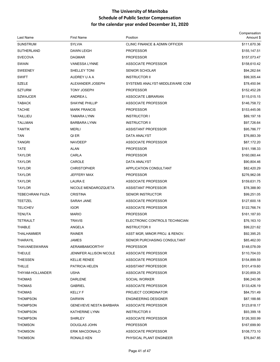| Last Name               | <b>First Name</b>              | Position                                  | Compensation<br>Amount \$ |
|-------------------------|--------------------------------|-------------------------------------------|---------------------------|
| <b>SUNSTRUM</b>         | <b>SYLVIA</b>                  | <b>CLINIC FINANCE &amp; ADMIN OFFICER</b> | \$111,670.36              |
| <b>SUTHERLAND</b>       | <b>DAWN LEIGH</b>              | <b>PROFESSOR</b>                          | \$155,147.51              |
| <b>SVECOVA</b>          | <b>DAGMAR</b>                  | <b>PROFESSOR</b>                          | \$157,073.47              |
| <b>SWAIN</b>            | <b>VANESSA LYNNE</b>           | ASSOCIATE PROFESSOR                       | \$158,610.42              |
| <b>SWEENEY</b>          | <b>SHELLEY TONI</b>            | <b>SENIOR SCHOLAR</b>                     | \$94,262.64               |
| <b>SWIFT</b>            | AUDREY U A A                   | <b>INSTRUCTOR II</b>                      | \$99,305.44               |
| <b>SZELE</b>            | ALEXANDER JOSEPH               | SYSTEMS ANALYST-MIDDLEWARE COM            | \$78,450.94               |
| <b>SZTURM</b>           | <b>TONY JOSEPH</b>             | <b>PROFESSOR</b>                          | \$152,452.28              |
| <b>SZWAJCER</b>         | ANDREA L                       | ASSOCIATE LIBRARIAN                       | \$115,015.15              |
| <b>TABACK</b>           | <b>SHAYNE PHILLIP</b>          | ASSOCIATE PROFESSOR                       | \$146,758.72              |
| <b>TACHIE</b>           | <b>MARK FRANCIS</b>            | <b>PROFESSOR</b>                          | \$153,445.06              |
| <b>TAILLIEU</b>         | <b>TAMARA LYNN</b>             | <b>INSTRUCTOR I</b>                       | \$89,197.18               |
| <b>TALLMAN</b>          | <b>BARBARA LYNN</b>            | <b>INSTRUCTOR II</b>                      | \$97,726.64               |
| <b>TAMTIK</b>           | MERLI                          | ASSISTANT PROFESSOR                       | \$95,786.77               |
| TAN                     | QI ER                          | DATA ANALYST                              | \$76,883.39               |
| <b>TANGRI</b>           | <b>NAVDEEP</b>                 | ASSOCIATE PROFESSOR                       | \$87,172.20               |
| <b>TATE</b>             | ALAN                           | <b>PROFESSOR</b>                          | \$161,198.33              |
| <b>TAYLOR</b>           | <b>CARLA</b>                   | <b>PROFESSOR</b>                          | \$160,060.44              |
| <b>TAYLOR</b>           | CAROLE                         | DATA ANALYST                              | \$90,804.46               |
| <b>TAYLOR</b>           | <b>CHRISTOPHER</b>             | APPLICATION CONSULTANT                    | \$82,420.29               |
| <b>TAYLOR</b>           | <b>JEFFERY MAX</b>             | <b>PROFESSOR</b>                          | \$276,962.08              |
| <b>TAYLOR</b>           | <b>LAURA E</b>                 | ASSOCIATE PROFESSOR                       | \$159,631.75              |
| <b>TAYLOR</b>           | NICOLE MENDAROZQUETA           | ASSISTANT PROFESSOR                       | \$78,388.90               |
| <b>TEBECHRANI FIUZA</b> | <b>CRISTINA</b>                | <b>SENIOR INSTRUCTOR</b>                  | \$99,251.05               |
| TEETZEL                 | SARAH JANE                     | ASSOCIATE PROFESSOR                       | \$127,600.18              |
| <b>TELICHEV</b>         | <b>IGOR</b>                    | ASSOCIATE PROFESSOR                       | \$122,766.74              |
| <b>TENUTA</b>           | <b>MARIO</b>                   | <b>PROFESSOR</b>                          | \$161,187.93              |
| <b>TETRAULT</b>         | <b>TRAVIS</b>                  | ELECTRONIC CONTROLS TECHNICIAN            | \$76,163.10               |
| <b>THABLE</b>           | ANGELA                         | <b>INSTRUCTOR II</b>                      | \$99,221.62               |
| <b>THALHAMMER</b>       | <b>RAINER</b>                  | ASST MGR, MINOR PROJ. & RENOV.            | \$92,395.25               |
| <b>THARAYIL</b>         | <b>JAMES</b>                   | SENIOR PURCHASING CONSULTANT              | \$85,462.00               |
| THAVANESWARAN           | <b>AERAMBAMOORTHY</b>          | <b>PROFESSOR</b>                          | \$148,078.09              |
| <b>THEULE</b>           | JENNIFER ALLISON NICOLE        | ASSOCIATE PROFESSOR                       | \$110,704.03              |
| <b>THIESSEN</b>         | <b>KELLIE RENEE</b>            | ASSOCIATE PROFESSOR                       | \$154,899.59              |
| <b>THILLE</b>           | PATRICIA HELEN                 | ASSISTANT PROFESSOR                       | \$101,419.60              |
| THIYAM-HOLLANDER        | <b>USHA</b>                    | ASSOCIATE PROFESSOR                       | \$120,859.25              |
| <b>THOMAS</b>           | DARLENE                        | SOCIAL WORKER                             | \$96,240.06               |
| <b>THOMAS</b>           | <b>GABRIEL</b>                 | ASSOCIATE PROFESSOR                       | \$133,426.19              |
| <b>THOMAS</b>           | <b>KELLY F</b>                 | PROJECT COORDINATOR                       | \$84,751.49               |
| <b>THOMPSON</b>         | <b>DARWIN</b>                  | <b>ENGINEERING DESIGNER</b>               | \$87,188.66               |
| <b>THOMPSON</b>         | <b>GENEVIEVE NESTA BARBARA</b> | ASSOCIATE PROFESSOR                       | \$123,818.17              |
| <b>THOMPSON</b>         | <b>KATHERINE LYNN</b>          | <b>INSTRUCTOR II</b>                      | \$93,399.18               |
| <b>THOMPSON</b>         | SHIRLEY                        | ASSOCIATE PROFESSOR                       | \$126,300.99              |
| <b>THOMSON</b>          | DOUGLAS JOHN                   | <b>PROFESSOR</b>                          | \$167,699.90              |
| <b>THOMSON</b>          | <b>ERIK MACDONALD</b>          | ASSOCIATE PROFESSOR                       | \$108,773.10              |
| <b>THOMSON</b>          | RONALD KEN                     | PHYSICAL PLANT ENGINEER                   | \$76,847.85               |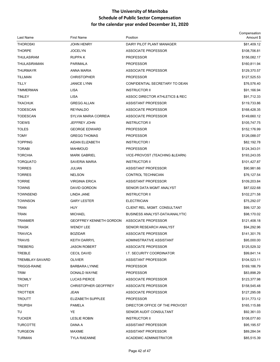| Last Name         | <b>First Name</b>              | Position                        | Compensation<br>Amount \$ |
|-------------------|--------------------------------|---------------------------------|---------------------------|
| <b>THOROSKI</b>   | <b>JOHN HENRY</b>              | DAIRY PILOT PLANT MANAGER       | \$81,409.12               |
| <b>THORPE</b>     | <b>JOCELYN</b>                 | ASSOCIATE PROFESSOR             | \$108,706.81              |
| <b>THULASIRAM</b> | <b>RUPPAK</b>                  | <b>PROFESSOR</b>                | \$156,082.17              |
| THULASIRAMAN      | <b>PARIMALA</b>                | <b>PROFESSOR</b>                | \$160,811.94              |
| <b>THURMAYR</b>   | <b>ANNA MARIA</b>              | <b>ASSOCIATE PROFESSOR</b>      | \$129,370.57              |
| <b>TILLMAN</b>    | <b>CHRISTOPHER</b>             | <b>PROFESSOR</b>                | \$127,525.53              |
| <b>TILLY</b>      | <b>JANICE LYNN</b>             | CONFIDENTIAL SECRETARY TO DEAN  | \$76,576.40               |
| <b>TIMMERMAN</b>  | <b>LISA</b>                    | <b>INSTRUCTOR II</b>            | \$91,166.94               |
| <b>TINLEY</b>     | <b>LISA</b>                    | ASSOC DIRECTOR ATHLETICS & REC  | \$91,712.33               |
| <b>TKACHUK</b>    | <b>GREGG ALLAN</b>             | ASSISTANT PROFESSOR             | \$119,733.86              |
| <b>TODESCAN</b>   | <b>REYNALDO</b>                | ASSOCIATE PROFESSOR             | \$168,428.35              |
| <b>TODESCAN</b>   | SYLVIA MARIA CORREIA           | <b>ASSOCIATE PROFESSOR</b>      | \$149,660.12              |
| <b>TOEWS</b>      | <b>JEFFREY JOHN</b>            | <b>INSTRUCTOR II</b>            | \$105,747.75              |
| <b>TOLES</b>      | <b>GEORGE EDWARD</b>           | <b>PROFESSOR</b>                | \$152,176.99              |
| <b>TOMY</b>       | <b>GREGG THOMAS</b>            | <b>PROFESSOR</b>                | \$126,088.07              |
| <b>TOPPING</b>    | AIDAN ELIZABETH                | <b>INSTRUCTOR I</b>             | \$82,192.78               |
| <b>TORABI</b>     | <b>MAHMOUD</b>                 | <b>PROFESSOR</b>                | \$124,343.01              |
| <b>TORCHIA</b>    | <b>MARK GABRIEL</b>            | VICE-PROVOST (TEACHING & LEARN) | \$193,243.05              |
| <b>TORQUATO</b>   | <b>SAVERIA MARIA</b>           | <b>INSTRUCTOR II</b>            | \$101,427.87              |
| <b>TORRES</b>     | JULIAN                         | ASSISTANT PROFESSOR             | \$90,981.66               |
| <b>TORRES</b>     | <b>NELSON</b>                  | CONTROL TECHNICIAN              | \$76,127.54               |
| <b>TORRIE</b>     | <b>VIRGINIA ERICA</b>          | ASSISTANT PROFESSOR             | \$109,203.84              |
| <b>TOWNS</b>      | <b>DAVID GORDON</b>            | SENIOR DATA MGMT ANALYST        | \$87,022.68               |
| <b>TOWNSEND</b>   | LINDA JANE                     | <b>INSTRUCTOR II</b>            | \$102,271.58              |
| <b>TOWNSON</b>    | <b>GARY LESTER</b>             | <b>ELECTRICIAN</b>              | \$75,292.07               |
| <b>TRAN</b>       | <b>HUY</b>                     | CLIENT REL. MGMT. CONSULTANT    | \$99,127.30               |
| TRAN              | <b>MICHAEL</b>                 | BUSINESS ANALYST-DATA/ANALYTIC  | \$98,170.02               |
| <b>TRANMER</b>    | <b>GEOFFREY KENNETH GORDON</b> | ASSOCIATE PROFESSOR             | \$121,408.18              |
| <b>TRASK</b>      | <b>WENDY LEE</b>               | SENIOR RESEARCH ANALYST         | \$94,292.96               |
| <b>TRAVICA</b>    | <b>BOZIDAR</b>                 | ASSOCIATE PROFESSOR             | \$141,301.76              |
| <b>TRAVIS</b>     | <b>KEITH DARRYL</b>            | ADMINISTRATIVE ASSISTANT        | \$95,000.00               |
| TREBERG           | <b>JASON ROBERT</b>            | ASSOCIATE PROFESSOR             | \$125,529.32              |
| TREBLE            | <b>CECIL DAVID</b>             | I.T. SECURITY COORDINATOR       | \$99,841.14               |
| TREMBLAY-SAVARD   | <b>OLIVIER</b>                 | ASSISTANT PROFESSOR             | \$104,523.11              |
| TRIGGS-RAINE      | <b>BARBARA LYNNE</b>           | <b>PROFESSOR</b>                | \$169,186.79              |
| TRIM              | DONALD WAYNE                   | <b>PROFESSOR</b>                | \$83,898.29               |
| <b>TROMLY</b>     | LUCAS PIERCE                   | ASSOCIATE PROFESSOR             | \$123,377.98              |
| TROTT             | <b>CHRISTOPHER GEOFFREY</b>    | ASSOCIATE PROFESSOR             | \$158,545.48              |
| <b>TROTTIER</b>   | JEAN                           | ASSOCIATE PROFESSOR             | \$127,295.08              |
| <b>TROUTT</b>     | ELIZABETH SUPPLEE              | <b>PROFESSOR</b>                | \$131,773.12              |
| <b>TRUPISH</b>    | PAMELA                         | DIRECTOR OFFICE OF THE PROVOST  | \$165,115.88              |
| TU                | YE                             | SENIOR AUDIT CONSULTANT         | \$92,361.03               |
| <b>TUCKER</b>     | <b>LESLIE ROBIN</b>            | <b>INSTRUCTOR II</b>            | \$108,077.60              |
| <b>TURCOTTE</b>   | DANA A                         | ASSISTANT PROFESSOR             | \$95,195.57               |
| <b>TURGEON</b>    | MAXIME                         | ASSISTANT PROFESSOR             | \$89,284.04               |
| <b>TURMAN</b>     | <b>TYLA RAEANNE</b>            | ACADEMIC ADMINISTRATOR          | \$85,515.39               |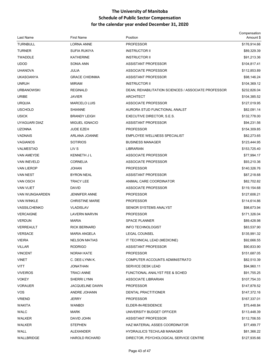| Last Name           | <b>First Name</b>      | Position                                            | Compensation<br>Amount \$ |
|---------------------|------------------------|-----------------------------------------------------|---------------------------|
| <b>TURNBULL</b>     | <b>LORNA ANNE</b>      | <b>PROFESSOR</b>                                    | \$176,914.66              |
| <b>TURNER</b>       | SUFIA RUKIYA           | <b>INSTRUCTOR II</b>                                | \$89,329.39               |
| <b>TWADDLE</b>      | <b>KATHERINE</b>       | <b>INSTRUCTOR II</b>                                | \$91,213.36               |
| <b>UDOD</b>         | <b>SONIA ANN</b>       | ASSISTANT PROFESSOR                                 | \$104,817.41              |
| <b>UHANOVA</b>      | JULIA                  | ASSOCIATE PROFESSOR                                 | \$112,853.89              |
| <b>UKASOANYA</b>    | <b>GRACE CHIDINMA</b>  | ASSISTANT PROFESSOR                                 | \$98.146.24               |
| <b>UNRUH</b>        | <b>MIRIAM</b>          | <b>INSTRUCTOR II</b>                                | \$104,369.12              |
| <b>URBANOWSKI</b>   | <b>REGINALD</b>        | DEAN, REHABILITATION SCIENCES / ASSOCIATE PROFESSOR | \$232,826.04              |
| <b>URIBE</b>        | JAVIER                 | <b>ARCHITECT</b>                                    | \$104,385.52              |
| <b>URQUIA</b>       | <b>MARCELO LUIS</b>    | ASSOCIATE PROFESSOR                                 | \$127,019.95              |
| <b>USCHOLD</b>      | <b>SHIANNE</b>         | AURORA STUD FUNCTIONAL ANALST                       | \$82,091.14               |
| <b>USICK</b>        | <b>BRANDY LEIGH</b>    | EXECUTIVE DIRECTOR, S.E.S.                          | \$132,778.00              |
| UYAGUARI DIAZ       | <b>MIGUEL IGNACIO</b>  | ASSISTANT PROFESSOR                                 | \$94,231.56               |
| <b>UZONNA</b>       | JUDE EZEH              | <b>PROFESSOR</b>                                    | \$154,309.85              |
| <b>VADNAIS</b>      | ARLANA JOANNE          | <b>EMPLOYEE WELLNESS SPECIALIST</b>                 | \$82,273.65               |
| <b>VAGIANOS</b>     | <b>SOTIRIOS</b>        | <b>BUSINESS MANAGER</b>                             | \$123,444.95              |
| VALMESTAD           | LIV S                  | <b>LIBRARIAN</b>                                    | \$153,725.40              |
| <b>VAN AMEYDE</b>   | <b>KENNETH J L</b>     | ASSOCIATE PROFESSOR                                 | \$77,994.17               |
| <b>VAN INEVELD</b>  | <b>CORNELIA</b>        | ASSOCIATE PROFESSOR                                 | \$93,210.36               |
| <b>VAN LIEROP</b>   | JOHAN                  | <b>PROFESSOR</b>                                    | \$140,326.76              |
| <b>VAN NEST</b>     | <b>BYRON NEAL</b>      | ASSISTANT PROFESSOR                                 | \$87,218.68               |
| VAN OSCH            | TRACY LEE              | ANIMAL CARE COORDINATOR                             | \$82,702.82               |
| <b>VAN VLIET</b>    | <b>DAVID</b>           | ASSOCIATE PROFESSOR                                 | \$119,154.68              |
| VAN WIJNGAARDEN     | <b>JENNIFER ANNE</b>   | <b>PROFESSOR</b>                                    | \$127,606.21              |
| <b>VAN WINKLE</b>   | <b>CHRISTINE MARIE</b> | <b>PROFESSOR</b>                                    | \$114,614.86              |
| <b>VASSILCHENKO</b> | VLADISLAV              | SENIOR SYSTEMS ANALYST                              | \$98,673.94               |
| <b>VERCAIGNE</b>    | <b>LAVERN MARVIN</b>   | <b>PROFESSOR</b>                                    | \$171,326.04              |
| <b>VERDUN</b>       | <b>MARIA</b>           | <b>SPACE PLANNER</b>                                | \$89,428.98               |
| VERREAULT           | <b>RICK BERNARD</b>    | <b>INFO TECHNOLOGIST</b>                            | \$83,537.90               |
| <b>VERSACE</b>      | <b>MARIA ANGELA</b>    | <b>LEGAL COUNSEL</b>                                | \$135,991.32              |
| <b>VIEIRA</b>       | <b>NELSON MATIAS</b>   | IT TECHNICAL LEAD (MEDICINE)                        | \$92,666.55               |
| <b>VILLAR</b>       | <b>RODRIGO</b>         | ASSISTANT PROFESSOR                                 | \$90,833.90               |
| <b>VINCENT</b>      | NORAH KATE             | <b>PROFESSOR</b>                                    | \$151,687.05              |
| <b>VINET</b>        | C. DEE-LYNN K.         | COMPUTER ACCOUNTS ADMINISTRATO                      | \$82,510.39               |
| VITT                | JONATHAN               | SERVICE DESK LEAD                                   | \$94,960.11               |
| <b>VIVEIROS</b>     | <b>TRACI ANNE</b>      | FUNCTIONAL ANALYST FEE & SCHED                      | \$91,755.25               |
| <b>VOKEY</b>        | SHERRI LYNN            | ASSOCIATE LIBRARIAN                                 | \$107,754.33              |
| <b>VORAUER</b>      | JACQUELINE DAWN        | <b>PROFESSOR</b>                                    | \$147,878.52              |
| <b>VOS</b>          | ANDRE JOHANN           | DENTAL PRACTITIONER                                 | \$147,372.16              |
| <b>VRIEND</b>       | JERRY                  | <b>PROFESSOR</b>                                    | \$167,337.01              |
| WAKITA              | WANBDI                 | ELDER-IN-RESIDENCE                                  | \$75,448.84               |
| WALC                | MARK                   | UNIVERSITY BUDGET OFFICER                           | \$113,448.39              |
| WALKER              | DAVID JOHN             | ASSISTANT PROFESSOR                                 | \$112,706.55              |
| WALKER              | <b>STEPHEN</b>         | HAZ MATERIAL ASSES COORDINATOR                      | \$77,499.77               |
| WALL                | ALEXANDER              | HYDRAULICS TECH/LAB MANAGER                         | \$81,366.22               |
| WALLBRIDGE          | <b>HAROLD RICHARD</b>  | DIRECTOR, PSYCHOLOGICAL SERVICE CENTRE              | \$127,935.66              |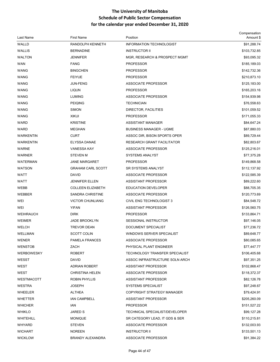| Last Name        | <b>First Name</b>        | Position                        | Compensation<br>Amount \$ |
|------------------|--------------------------|---------------------------------|---------------------------|
| WALLD            | RANDOLPH KENNETH         | <b>INFORMATION TECHNOLOGIST</b> | \$91,288.74               |
| WALLIS           | <b>BERNADINE</b>         | <b>INSTRUCTOR II</b>            | \$103,732.85              |
| <b>WALTON</b>    | <b>JENNIFER</b>          | MGR, RESEARCH & PROSPECT MGMT   | \$93,095.32               |
| WAN              | <b>FANG</b>              | <b>PROFESSOR</b>                | \$185,189.03              |
| WANG             | <b>BINGCHEN</b>          | <b>PROFESSOR</b>                | \$142,732.36              |
| WANG             | <b>FEIYUE</b>            | <b>PROFESSOR</b>                | \$210,873.10              |
| <b>WANG</b>      | <b>JUN-FENG</b>          | ASSOCIATE PROFESSOR             | \$125,183.00              |
| WANG             | <b>LIQUN</b>             | <b>PROFESSOR</b>                | \$165,203.16              |
| WANG             | <b>LUMING</b>            | <b>ASSOCIATE PROFESSOR</b>      | \$154,939.98              |
| WANG             | <b>PEIQING</b>           | <b>TECHNICIAN</b>               | \$76,558.63               |
| WANG             | <b>SIMON</b>             | DIRECTOR, FACILITIES            | \$101,059.52              |
| WANG             | <b>XIKUI</b>             | <b>PROFESSOR</b>                | \$171,055.33              |
| WARD             | <b>KRISTINE</b>          | <b>ASSISTANT MANAGER</b>        | \$84,647.24               |
| WARD             | <b>MEGHAN</b>            | <b>BUSINESS MANAGER - UGME</b>  | \$87,880.03               |
| <b>WARKENTIN</b> | <b>CURT</b>              | ASSOC DIR, BISON SPORTS OPER    | \$89,729.44               |
| <b>WARKENTIN</b> | <b>ELYSSA DANAE</b>      | RESEARCH GRANT FACILITATOR      | \$82,803.67               |
| WARNE            | VANESSA KAY              | ASSOCIATE PROFESSOR             | \$125,216.01              |
| <b>WARNER</b>    | <b>STEVEN M</b>          | SYSTEMS ANALYST                 | \$77,375.28               |
| WATERMAN         | <b>JANE MARGARET</b>     | <b>PROFESSOR</b>                | \$149,868.58              |
| WATSON           | <b>GRAHAM CARL SCOTT</b> | <b>SR SYSTEMS ANALYST</b>       | \$112,137.92              |
| WATT             | <b>DAVID</b>             | <b>ASSOCIATE PROFESSOR</b>      | \$122,585.39              |
| WATT             | <b>JENNIFER ELLEN</b>    | ASSISTANT PROFESSOR             | \$89,222.60               |
| WEBB             | <b>COLLEEN ELIZABETH</b> | EDUCATION DEVELOPER             | \$88,705.35               |
| WEBBER           | SANDRA CHRISTINE         | <b>ASSOCIATE PROFESSOR</b>      | \$120,773.69              |
| WEI              | <b>VICTOR CHUNLIANG</b>  | CIVIL ENG TECHNOLOGIST 3        | \$84,548.72               |
| WEI              | <b>YIFAN</b>             | ASSISTANT PROFESSOR             | \$126,560.75              |
| WEIHRAUCH        | <b>DIRK</b>              | <b>PROFESSOR</b>                | \$133,864.71              |
| <b>WEIMER</b>    | <b>JADE BROOKLYN</b>     | <b>SESSIONAL INSTRUCTOR</b>     | \$97,146.05               |
| <b>WELCH</b>     | <b>TREVOR DEAN</b>       | DOCUMENT SPECIALIST             | \$77,236.72               |
| WELLMAN          | <b>SCOTT COLIN</b>       | WINDOWS SERVER SPECIALIST       | \$89,648.77               |
| WENER            | PAMELA FRANCES           | ASSOCIATE PROFESSOR             | \$80,085.65               |
| <b>WENSTOB</b>   | ZACH                     | PHYSICAL PLANT ENGINEER         | \$77,447.77               |
| WERBOWESKY       | <b>ROBERT</b>            | TECHNOLOGY TRANSFER SPECIALIST  | \$106,405.68              |
| WESST            | DAVID                    | ASSOC INFRASTRUCTURE SOLN ARCH  | \$97,351.25               |
| WEST             | ADRIAN ROBERT            | <b>ASSISTANT PROFESSOR</b>      | \$102,868.47              |
| WEST             | <b>CHRISTINA HELEN</b>   | ASSOCIATE PROFESSOR             | \$118,372.37              |
| WESTMACOTT       | <b>ROBIN PHYLLIS</b>     | <b>ASSISTANT PROFESSOR</b>      | \$82,126.78               |
| WESTRA           | JOSEPH                   | <b>SYSTEMS SPECIALIST</b>       | \$97,248.67               |
| WHEELER          | ALTHEA                   | COPYRIGHT STRATEGY MANAGER      | \$79,424.91               |
| WHETTER          | <b>IAN CAMPBELL</b>      | ASSISTANT PROFESSOR             | \$205,260.09              |
| <b>WHICHER</b>   | ian                      | <b>PROFESSOR</b>                | \$151,527.22              |
| <b>WHIKLO</b>    | JARED S                  | TECHNICAL SPECIALIST/DEVELOPER  | \$99,127.28               |
| WHITEHILL        | <b>MONIQUE</b>           | SR CATEGORY LEAD, IT GDS & SER  | \$110,215.81              |
| WHYARD           | <b>STEVEN</b>            | ASSOCIATE PROFESSOR             | \$132,003.93              |
| <b>WICHART</b>   | <b>NOREEN</b>            | <b>INSTRUCTOR II</b>            | \$133,501.13              |
| <b>WICKLOW</b>   | <b>BRANDY ALEXANDRA</b>  | <b>ASSOCIATE PROFESSOR</b>      | \$91,384.22               |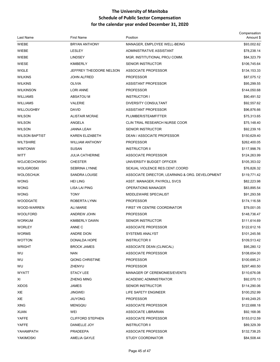| Last Name             | <b>First Name</b>       | Position                                        | Compensation<br>Amount \$ |
|-----------------------|-------------------------|-------------------------------------------------|---------------------------|
| WIEBE                 | <b>BRYAN ANTHONY</b>    | MANAGER, EMPLOYEE WELL-BEING                    | \$93,002.62               |
| <b>WIEBE</b>          | LESLEY                  | ADMINISTRATIVE ASSISTANT                        | \$78,238.14               |
| WIEBE                 | <b>LINDSEY</b>          | MGR. INSTITUTIONAL PROJ COMM.                   | \$84,323.79               |
| <b>WIESE</b>          | <b>KIMBERLY</b>         | <b>SENIOR INSTRUCTOR</b>                        | \$106,745.64              |
| WIGLE                 | JEFFREY THEODORE NELSON | ASSOCIATE PROFESSOR                             | \$134,153.33              |
| <b>WILKINS</b>        | <b>JOHN ALFRED</b>      | <b>PROFESSOR</b>                                | \$87,075.12               |
| <b>WILKINS</b>        | <b>OLIVIA</b>           | ASSISTANT PROFESSOR                             | \$95,299.55               |
| <b>WILKINSON</b>      | <b>LORI ANNE</b>        | <b>PROFESSOR</b>                                | \$144,050.68              |
| <b>WILLIAMS</b>       | <b>ABSATOU M</b>        | <b>INSTRUCTOR I</b>                             | \$90,491.52               |
| <b>WILLIAMS</b>       | VALERIE                 | DIVERSITY CONSULTANT                            | \$92,557.62               |
| <b>WILLOUGHBY</b>     | <b>DAVID</b>            | <b>ASSISTANT PROFESSOR</b>                      | \$96,876.66               |
| <b>WILSON</b>         | <b>ALISTAIR MCRAE</b>   | PLUMBER/STEAMFITTER                             | \$75,313.65               |
| <b>WILSON</b>         | ANGELA                  | CLIN TRIAL RESEARCH NURSE COOR                  | \$75,148.40               |
| <b>WILSON</b>         | JANNA LEAH              | <b>SENIOR INSTRUCTOR</b>                        | \$92,239.16               |
| <b>WILSON BAPTIST</b> | KAREN ELIZABETH         | DEAN / ASSOCIATE PROFESSOR                      | \$150,629.40              |
| <b>WILTSHIRE</b>      | <b>WILLIAM ANTHONY</b>  | <b>PROFESSOR</b>                                | \$262,400.05              |
| <b>WINTONIW</b>       | <b>SUSAN</b>            | <b>INSTRUCTOR II</b>                            | \$117,998.76              |
| WITT                  | <b>JULIA CATHERINE</b>  | <b>ASSOCIATE PROFESSOR</b>                      | \$124,263.99              |
| <b>WOJCIECHOWSKI</b>  | <b>CHESTER</b>          | UNIVERSITY BUDGET OFFICER                       | \$105,353.02              |
| <b>WOLIGROSKI</b>     | <b>SEBRINA LYNNE</b>    | SEXUAL VIOLENCE RES.CENT.COORD                  | \$76,826.32               |
| <b>WOLOSCHUK</b>      | SANDRA LOUISE           | ASSOCIATE DIRECTOR, LEARNING & ORG. DEVELOPMENT | \$119,771.42              |
| <b>WONG</b>           | <b>HEI LING</b>         | ASST. MANAGER, PAYROLL SVCS                     | \$82,223.98               |
| <b>WONG</b>           | LISA LAI PING           | <b>OPERATIONS MANAGER</b>                       | \$83,895.54               |
| <b>WONG</b>           | <b>TONY</b>             | MIDDLEWARE SPECIALIST                           | \$91,293.58               |
| WOODGATE              | ROBERTA LYNN            | <b>PROFESSOR</b>                                | \$174,116.58              |
| WOOD-WARREN           | <b>ALI MARIE</b>        | FIRST YR CENTRE COORDINATOR                     | \$79,001.05               |
| <b>WOOLFORD</b>       | <b>ANDREW JOHN</b>      | <b>PROFESSOR</b>                                | \$148,736.47              |
| <b>WORKUM</b>         | KIMBERLY DAWN           | <b>SENIOR INSTRUCTOR</b>                        | \$111,614.69              |
| <b>WORLEY</b>         | ANNE C                  | <b>ASSOCIATE PROFESSOR</b>                      | \$122,612.16              |
| <b>WORMS</b>          | ANDRE DION              | SYSTEMS ANALYST                                 | \$101,245.56              |
| <b>WOTTON</b>         | DONALDA HOPE            | <b>INSTRUCTOR II</b>                            | \$109,513.42              |
| <b>WRIGHT</b>         | <b>BROCK JAMES</b>      | ASSOCIATE DEAN (CLINICAL)                       | \$95,280.12               |
| WU                    | NAN                     | <b>ASSOCIATE PROFESSOR</b>                      | \$108,654.00              |
| WU                    | QIONG CHRISTINE         | <b>PROFESSOR</b>                                | \$100,695.21              |
| WU                    | ZHENYU                  | <b>PROFESSOR</b>                                | \$297,460.50              |
| WYATT                 | <b>STACY LEE</b>        | <b>MANAGER OF CEREMONIES/EVENTS</b>             | \$110,676.08              |
| XI                    | ZHENG MING              | ACADEMIC ADMINISTRATOR                          | \$92,070.13               |
| <b>XIDOS</b>          | <b>JAMES</b>            | <b>SENIOR INSTRUCTOR</b>                        | \$114,290.06              |
| XIE                   | <b>JINGWEI</b>          | LIFE SAFETY ENGINEER                            | \$100,252.99              |
| XIE                   | <b>JIUYONG</b>          | <b>PROFESSOR</b>                                | \$149,249.25              |
| XING                  | <b>MENGQIU</b>          | ASSOCIATE PROFESSOR                             | \$122,688.18              |
| <b>XUAN</b>           | WEI                     | ASSOCIATE LIBRARIAN                             | \$92,168.06               |
| YAFFE                 | <b>CLIFFORD STEPHEN</b> | ASSOCIATE PROFESSOR                             | \$153,012.59              |
| YAFFE                 | DANIELLE JOY            | <b>INSTRUCTOR II</b>                            | \$89,329.39               |
| YAHAMPATH             | PRADEEPA                | ASSOCIATE PROFESSOR                             | \$132,738.25              |
| YAKIMOSKI             | AMELIA GAYLE            | STUDY COORDINATOR                               | \$84,508.44               |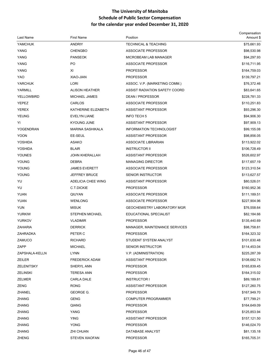| Last Name         | <b>First Name</b>       | Position                             | Compensation<br>Amount \$ |
|-------------------|-------------------------|--------------------------------------|---------------------------|
| <b>YAMCHUK</b>    | <b>ANDRIY</b>           | <b>TECHNICAL &amp; TEACHING</b>      | \$75,661.93               |
| <b>YANG</b>       | <b>CHENGBO</b>          | ASSOCIATE PROFESSOR                  | \$98,530.98               |
| <b>YANG</b>       | <b>PANSEOK</b>          | MICROBEAM LAB MANAGER                | \$94,297.93               |
| YANG              | PO                      | ASSOCIATE PROFESSOR                  | \$116,711.95              |
| YANG              | XI                      | <b>PROFESSOR</b>                     | \$164,759.03              |
| <b>YAO</b>        | XIAO-JIAN               | <b>PROFESSOR</b>                     | \$139,797.21              |
| <b>YARCHUK</b>    | <b>LORI</b>             | ASSOC. V.P. (MARKETING COMM.)        | \$76,372.46               |
| YARMILL           | <b>ALISON HEATHER</b>   | ASSIST RADIATION SAFETY COORD        | \$83,641.65               |
| YELLOWBIRD        | MICHAEL JAMES           | DEAN / PROFESSOR                     | \$228,781.33              |
| YEPEZ             | CARLOS                  | ASSOCIATE PROFESSOR                  | \$110,251.83              |
| <b>YEREX</b>      | KATHERINE ELIZABETH     | ASSISTANT PROFESSOR                  | \$93,296.30               |
| <b>YEUNG</b>      | <b>EVELYN LIANE</b>     | <b>INFO TECH 5</b>                   | \$94,906.30               |
| YI                | <b>KYOUNG JUNE</b>      | ASSISTANT PROFESSOR                  | \$97,909.13               |
| YOGENDRAN         | <b>MARINA SASHIKALA</b> | <b>INFORMATION TECHNOLOGIST</b>      | \$99,155.08               |
| <b>YOON</b>       | EE-SEUL                 | ASSISTANT PROFESSOR                  | \$98,856.05               |
| <b>YOSHIDA</b>    | <b>ASAKO</b>            | ASSOCIATE LIBRARIAN                  | \$113,922.02              |
| YOSHIDA           | <b>BLAIR</b>            | <b>INSTRUCTOR II</b>                 | \$106,728.49              |
| <b>YOUNES</b>     | <b>JOHN KHERALLAH</b>   | ASSISTANT PROFESSOR                  | \$526,602.97              |
| <b>YOUNG</b>      | <b>DEBRA</b>            | <b>MANAGING DIRECTOR</b>             | \$117,657.19              |
| <b>YOUNG</b>      | <b>JAMES EVERETT</b>    | ASSOCIATE PROFESSOR                  | \$123,310.54              |
| YOUNG             | <b>JEFFREY BRUCE</b>    | <b>SENIOR INSTRUCTOR</b>             | \$113,627.57              |
| YU                | ADELICIA CHEE WING      | ASSISTANT PROFESSOR                  | \$80,526.01               |
| YU                | C.T.DICKIE              | <b>PROFESSOR</b>                     | \$160,952.36              |
| <b>YUAN</b>       | QIUYAN                  | ASSOCIATE PROFESSOR                  | \$111,189.51              |
| <b>YUAN</b>       | <b>WENLONG</b>          | ASSOCIATE PROFESSOR                  | \$227,904.96              |
| <b>YUN</b>        | <b>MISUK</b>            | <b>GEOCHEMISTRY LABORATORY MGR</b>   | \$76,558.64               |
| <b>YURKIW</b>     | <b>STEPHEN MICHAEL</b>  | EDUCATIONAL SPECIALIST               | \$82,184.66               |
| <b>YURKOV</b>     | <b>VLADIMIR</b>         | <b>PROFESSOR</b>                     | \$135,440.69              |
| <b>ZAHARIA</b>    | <b>DERRICK</b>          | <b>MANAGER, MAINTENANCE SERVICES</b> | \$98,758.81               |
| ZAHRADKA          | PETER C                 | <b>PROFESSOR</b>                     | \$164,323.32              |
| ZAMUCO            | <b>RICHARD</b>          | STUDENT SYSTEM ANALYST               | \$101,630.48              |
| ZAPP              | <b>MICHAEL</b>          | <b>SENIOR INSTRUCTOR</b>             | \$114,453.04              |
| ZAPSHALA-KELLN    | <b>LYNN</b>             | V.P. (ADMINISTRATION)                | \$225,287.39              |
| ZEILER            | <b>FREDERICK ADAM</b>   | ASSISTANT PROFESSOR                  | \$108,682.74              |
| <b>ZELENITSKY</b> | SHERYL ANN              | <b>PROFESSOR</b>                     | \$165,839.45              |
| <b>ZELINSKI</b>   | <b>TERESA ANN</b>       | <b>PROFESSOR</b>                     | \$164,315.02              |
| <b>ZELMER</b>     | CARLA DALE              | <b>INSTRUCTOR I</b>                  | \$89,189.81               |
| ZENG              | <b>RONG</b>             | ASSISTANT PROFESSOR                  | \$127,260.75              |
| ZHANEL            | GEORGE G.               | <b>PROFESSOR</b>                     | \$167,949.70              |
| ZHANG             | <b>GENG</b>             | <b>COMPUTER PROGRAMMER</b>           | \$77,799.21               |
| ZHANG             | QIANG                   | <b>PROFESSOR</b>                     | \$164,649.09              |
| ZHANG             | YANG                    | <b>PROFESSOR</b>                     | \$125,853.94              |
| ZHANG             | <b>YING</b>             | ASSISTANT PROFESSOR                  | \$157,121.50              |
| ZHANG             | <b>YONG</b>             | <b>PROFESSOR</b>                     | \$146,024.70              |
| ZHANG             | <b>ZHI CHUAN</b>        | DATABASE ANALYST                     | \$81,135.18               |
| ZHENG             | <b>STEVEN XIAOFAN</b>   | <b>PROFESSOR</b>                     | \$165,705.31              |